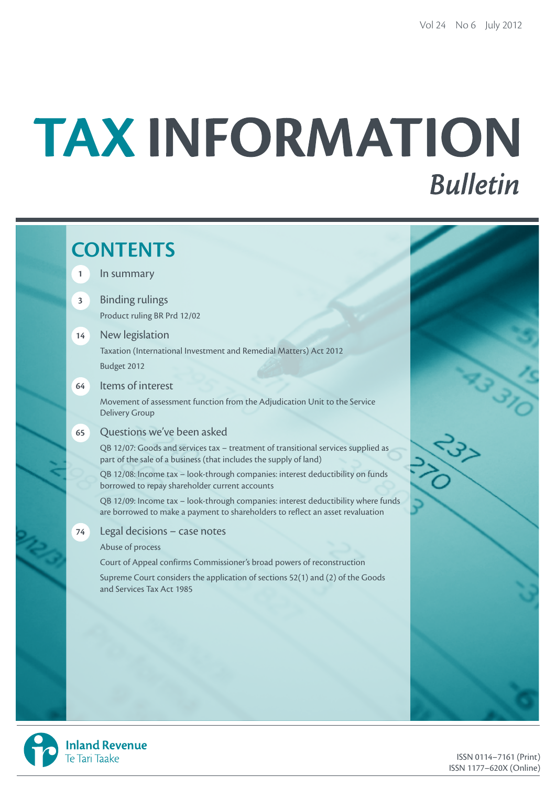# TAX INFORMATION **Bulletin**

# **CONTENTS 1** In summary **3** Binding rulings Product ruling BR Prd 12/02 **14** New legislation Taxation (International Investment and Remedial Matters) Act 2012 Budget 2012 **64** Items of interest Movement of assessment function from the Adjudication Unit to the Service Delivery Group **65** Questions we've been asked QB 12/07: Goods and services tax – treatment of transitional services supplied as part of the sale of a business (that includes the supply of land) QB 12/08: Income tax – look-through companies: interest deductibility on funds borrowed to repay shareholder current accounts QB 12/09: Income tax – look-through companies: interest deductibility where funds are borrowed to make a payment to shareholders to reflect an asset revaluation **74** Legal decisions – case notes Abuse of process Court of Appeal confirms Commissioner's broad powers of reconstruction Supreme Court considers the application of sections 52(1) and (2) of the Goods and Services Tax Act 1985

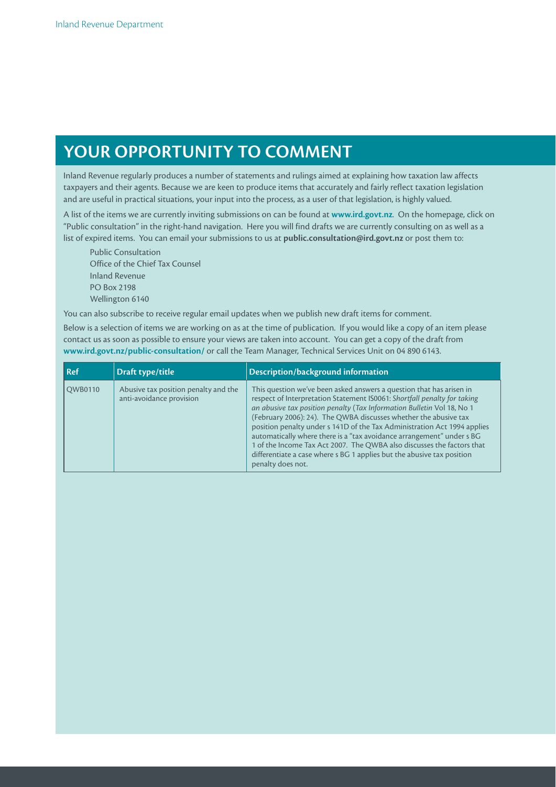# **Your opportunity to comment**

Inland Revenue regularly produces a number of statements and rulings aimed at explaining how taxation law affects taxpayers and their agents. Because we are keen to produce items that accurately and fairly reflect taxation legislation and are useful in practical situations, your input into the process, as a user of that legislation, is highly valued.

A list of the items we are currently inviting submissions on can be found at **www.ird.govt.nz**. On the homepage, click on "Public consultation" in the right-hand navigation. Here you will find drafts we are currently consulting on as well as a list of expired items. You can email your submissions to us at **public.consultation@ird.govt.nz** or post them to:

Public Consultation Office of the Chief Tax Counsel Inland Revenue PO Box 2198 Wellington 6140

You can also subscribe to receive regular email updates when we publish new draft items for comment.

Below is a selection of items we are working on as at the time of publication. If you would like a copy of an item please contact us as soon as possible to ensure your views are taken into account. You can get a copy of the draft from **www.ird.govt.nz/public-consultation/** or call the Team Manager, Technical Services Unit on 04 890 6143.

| l Ref   | Draft type/title                                                 | Description/background information                                                                                                                                                                                                                                                                                                                                                                                                                                                                                                                                                                                           |
|---------|------------------------------------------------------------------|------------------------------------------------------------------------------------------------------------------------------------------------------------------------------------------------------------------------------------------------------------------------------------------------------------------------------------------------------------------------------------------------------------------------------------------------------------------------------------------------------------------------------------------------------------------------------------------------------------------------------|
| QWB0110 | Abusive tax position penalty and the<br>anti-avoidance provision | This question we've been asked answers a question that has arisen in<br>respect of Interpretation Statement IS0061: Shortfall penalty for taking<br>an abusive tax position penalty (Tax Information Bulletin Vol 18, No 1<br>(February 2006): 24). The QWBA discusses whether the abusive tax<br>position penalty under s 141D of the Tax Administration Act 1994 applies<br>automatically where there is a "tax avoidance arrangement" under s BG<br>1 of the Income Tax Act 2007. The QWBA also discusses the factors that<br>differentiate a case where s BG 1 applies but the abusive tax position<br>penalty does not. |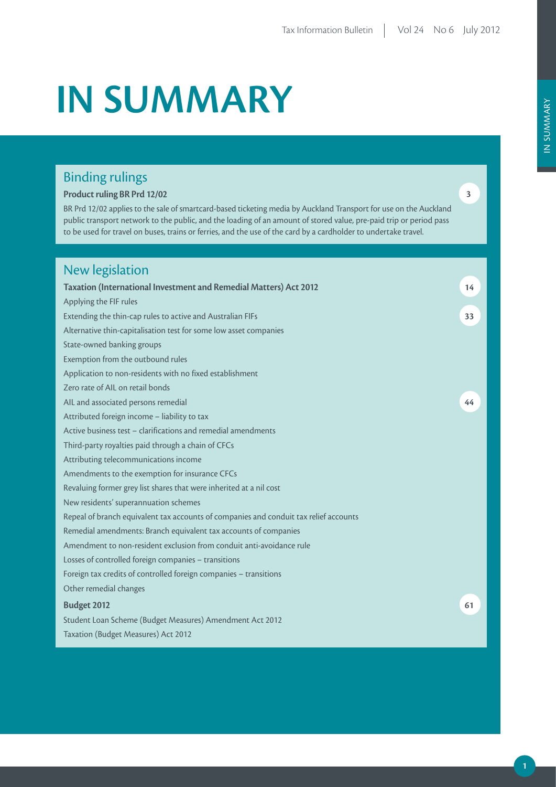# **IN SUMMARY**

# Binding rulings

### **Product ruling BR Prd 12/02**

BR Prd 12/02 applies to the sale of smartcard-based ticketing media by Auckland Transport for use on the Auckland public transport network to the public, and the loading of an amount of stored value, pre-paid trip or period pass to be used for travel on buses, trains or ferries, and the use of the card by a cardholder to undertake travel.

# New legislation

| <b>Taxation (International Investment and Remedial Matters) Act 2012</b>              | 14 |
|---------------------------------------------------------------------------------------|----|
| Applying the FIF rules                                                                |    |
| Extending the thin-cap rules to active and Australian FIFs                            | 33 |
| Alternative thin-capitalisation test for some low asset companies                     |    |
| State-owned banking groups                                                            |    |
| Exemption from the outbound rules                                                     |    |
| Application to non-residents with no fixed establishment                              |    |
| Zero rate of AIL on retail bonds                                                      |    |
| AIL and associated persons remedial                                                   | 44 |
| Attributed foreign income - liability to tax                                          |    |
| Active business test - clarifications and remedial amendments                         |    |
| Third-party royalties paid through a chain of CFCs                                    |    |
| Attributing telecommunications income                                                 |    |
| Amendments to the exemption for insurance CFCs                                        |    |
| Revaluing former grey list shares that were inherited at a nil cost                   |    |
| New residents' superannuation schemes                                                 |    |
| Repeal of branch equivalent tax accounts of companies and conduit tax relief accounts |    |
| Remedial amendments: Branch equivalent tax accounts of companies                      |    |
| Amendment to non-resident exclusion from conduit anti-avoidance rule                  |    |
| Losses of controlled foreign companies - transitions                                  |    |
| Foreign tax credits of controlled foreign companies - transitions                     |    |
| Other remedial changes                                                                |    |
| Budget 2012                                                                           | 61 |
| Student Loan Scheme (Budget Measures) Amendment Act 2012                              |    |
| Taxation (Budget Measures) Act 2012                                                   |    |

**3**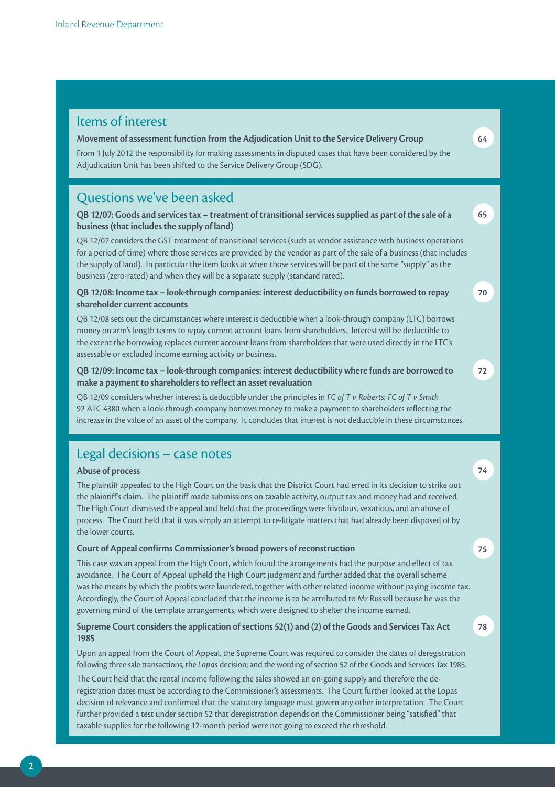## Legal decisions – case notes **Abuse of process** The plaintiff appealed to the High Court on the basis that the District Court had erred in its decision to strike out the plaintiff's claim. The plaintiff made submissions on taxable activity, output tax and money had and received. The High Court dismissed the appeal and held that the proceedings were frivolous, vexatious, and an abuse of process. The Court held that it was simply an attempt to re-litigate matters that had already been disposed of by the lower courts. **Court of Appeal confirms Commissioner's broad powers of reconstruction** This case was an appeal from the High Court, which found the arrangements had the purpose and effect of tax **74 75** Items of interest **Movement of assessment function from the Adjudication Unit to the Service Delivery Group** From 1 July 2012 the responsibility for making assessments in disputed cases that have been considered by the Adjudication Unit has been shifted to the Service Delivery Group (SDG). **64** Questions we've been asked **QB 12/07: Goods and services tax – treatment of transitional services supplied as part of the sale of a business (that includes the supply of land)** QB 12/07 considers the GST treatment of transitional services (such as vendor assistance with business operations for a period of time) where those services are provided by the vendor as part of the sale of a business (that includes the supply of land). In particular the item looks at when those services will be part of the same "supply" as the business (zero-rated) and when they will be a separate supply (standard rated). **QB 12/08: Income tax – look-through companies: interest deductibility on funds borrowed to repay shareholder current accounts** QB 12/08 sets out the circumstances where interest is deductible when a look-through company (LTC) borrows money on arm's length terms to repay current account loans from shareholders. Interest will be deductible to the extent the borrowing replaces current account loans from shareholders that were used directly in the LTC's assessable or excluded income earning activity or business. **QB 12/09: Income tax – look-through companies: interest deductibility where funds are borrowed to make a payment to shareholders to reflect an asset revaluation**  QB 12/09 considers whether interest is deductible under the principles in *FC of T v Roberts; FC of T v Smith* 92 ATC 4380 when a look-through company borrows money to make a payment to shareholders reflecting the increase in the value of an asset of the company. It concludes that interest is not deductible in these circumstances. **65 70 72**

avoidance. The Court of Appeal upheld the High Court judgment and further added that the overall scheme was the means by which the profits were laundered, together with other related income without paying income tax. Accordingly, the Court of Appeal concluded that the income is to be attributed to Mr Russell because he was the governing mind of the template arrangements, which were designed to shelter the income earned.

**78**

### **Supreme Court considers the application of sections 52(1) and (2) of the Goods and Services Tax Act 1985**

Upon an appeal from the Court of Appeal, the Supreme Court was required to consider the dates of deregistration following three sale transactions; the *Lopas* decision; and the wording of section 52 of the Goods and Services Tax 1985.

The Court held that the rental income following the sales showed an on-going supply and therefore the deregistration dates must be according to the Commissioner's assessments. The Court further looked at the Lopas decision of relevance and confirmed that the statutory language must govern any other interpretation. The Court further provided a test under section 52 that deregistration depends on the Commissioner being "satisfied" that taxable supplies for the following 12-month period were not going to exceed the threshold.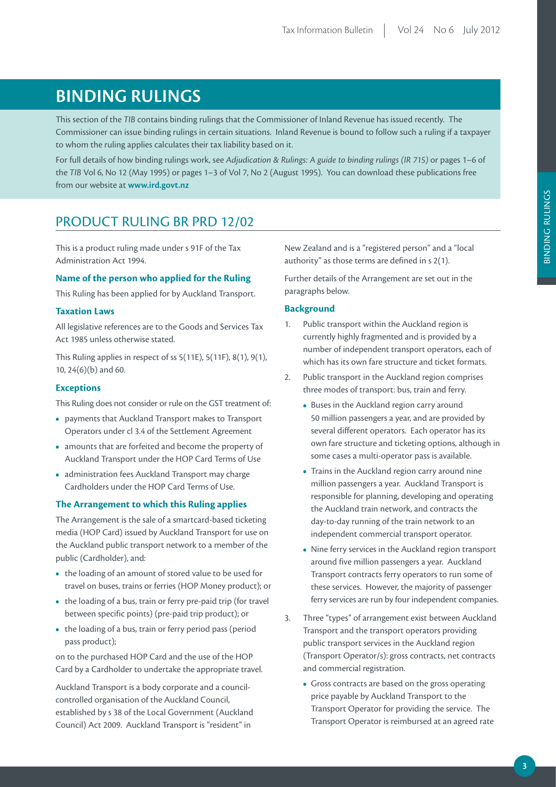# **BINDING RULINGS**

This section of the *TIB* contains binding rulings that the Commissioner of Inland Revenue has issued recently. The Commissioner can issue binding rulings in certain situations. Inland Revenue is bound to follow such a ruling if a taxpayer to whom the ruling applies calculates their tax liability based on it.

For full details of how binding rulings work, see *Adjudication & Rulings: A guide to binding rulings (IR 715)* or pages 1–6 of the *TIB* Vol 6, No 12 (May 1995) or pages 1–3 of Vol 7, No 2 (August 1995). You can download these publications free from our website at **www.ird.govt.nz**

# PRODUCT RULING BR PRD 12/02

This is a product ruling made under s 91F of the Tax Administration Act 1994.

#### **Name of the person who applied for the Ruling**

This Ruling has been applied for by Auckland Transport.

#### **Taxation Laws**

All legislative references are to the Goods and Services Tax Act 1985 unless otherwise stated.

This Ruling applies in respect of ss 5(11E), 5(11F), 8(1), 9(1), 10, 24(6)(b) and 60.

#### **Exceptions**

This Ruling does not consider or rule on the GST treatment of:

- **•**  payments that Auckland Transport makes to Transport Operators under cl 3.4 of the Settlement Agreement
- **•**  amounts that are forfeited and become the property of Auckland Transport under the HOP Card Terms of Use
- **•**  administration fees Auckland Transport may charge Cardholders under the HOP Card Terms of Use.

#### **The Arrangement to which this Ruling applies**

The Arrangement is the sale of a smartcard-based ticketing media (HOP Card) issued by Auckland Transport for use on the Auckland public transport network to a member of the public (Cardholder), and:

- **•**  the loading of an amount of stored value to be used for travel on buses, trains or ferries (HOP Money product); or
- the loading of a bus, train or ferry pre-paid trip (for travel between specific points) (pre-paid trip product); or
- the loading of a bus, train or ferry period pass (period pass product);

on to the purchased HOP Card and the use of the HOP Card by a Cardholder to undertake the appropriate travel.

Auckland Transport is a body corporate and a councilcontrolled organisation of the Auckland Council, established by s 38 of the Local Government (Auckland Council) Act 2009. Auckland Transport is "resident" in

New Zealand and is a "registered person" and a "local authority" as those terms are defined in s 2(1).

Further details of the Arrangement are set out in the paragraphs below.

#### **Background**

- 1. Public transport within the Auckland region is currently highly fragmented and is provided by a number of independent transport operators, each of which has its own fare structure and ticket formats.
- 2. Public transport in the Auckland region comprises three modes of transport: bus, train and ferry.
	- **•**  Buses in the Auckland region carry around 50 million passengers a year, and are provided by several different operators. Each operator has its own fare structure and ticketing options, although in some cases a multi-operator pass is available.
	- **•**  Trains in the Auckland region carry around nine million passengers a year. Auckland Transport is responsible for planning, developing and operating the Auckland train network, and contracts the day-to-day running of the train network to an independent commercial transport operator.
	- **•**  Nine ferry services in the Auckland region transport around five million passengers a year. Auckland Transport contracts ferry operators to run some of these services. However, the majority of passenger ferry services are run by four independent companies.
- 3. Three "types" of arrangement exist between Auckland Transport and the transport operators providing public transport services in the Auckland region (Transport Operator/s): gross contracts, net contracts and commercial registration.
	- **•**  Gross contracts are based on the gross operating price payable by Auckland Transport to the Transport Operator for providing the service. The Transport Operator is reimbursed at an agreed rate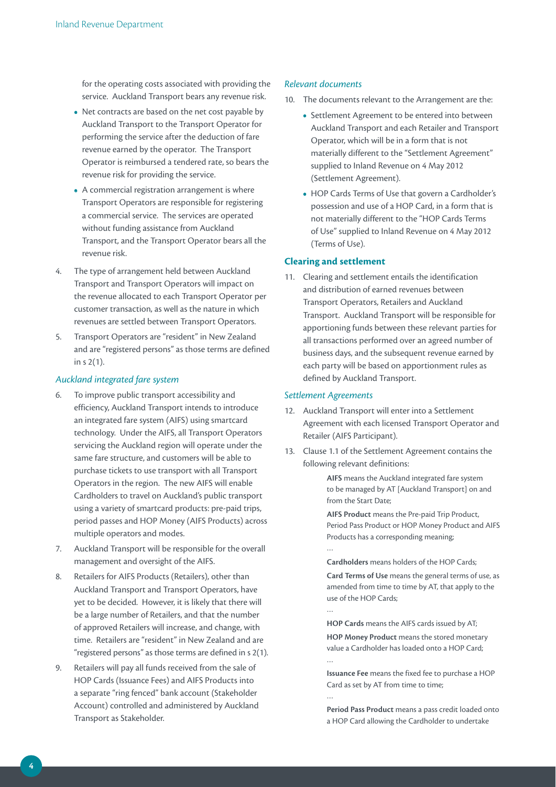for the operating costs associated with providing the service. Auckland Transport bears any revenue risk.

- Net contracts are based on the net cost payable by Auckland Transport to the Transport Operator for performing the service after the deduction of fare revenue earned by the operator. The Transport Operator is reimbursed a tendered rate, so bears the revenue risk for providing the service.
- **•**  A commercial registration arrangement is where Transport Operators are responsible for registering a commercial service. The services are operated without funding assistance from Auckland Transport, and the Transport Operator bears all the revenue risk.
- 4. The type of arrangement held between Auckland Transport and Transport Operators will impact on the revenue allocated to each Transport Operator per customer transaction, as well as the nature in which revenues are settled between Transport Operators.
- 5. Transport Operators are "resident" in New Zealand and are "registered persons" as those terms are defined in s 2(1).

#### *Auckland integrated fare system*

- 6. To improve public transport accessibility and efficiency, Auckland Transport intends to introduce an integrated fare system (AIFS) using smartcard technology. Under the AIFS, all Transport Operators servicing the Auckland region will operate under the same fare structure, and customers will be able to purchase tickets to use transport with all Transport Operators in the region. The new AIFS will enable Cardholders to travel on Auckland's public transport using a variety of smartcard products: pre-paid trips, period passes and HOP Money (AIFS Products) across multiple operators and modes.
- 7. Auckland Transport will be responsible for the overall management and oversight of the AIFS.
- 8. Retailers for AIFS Products (Retailers), other than Auckland Transport and Transport Operators, have yet to be decided. However, it is likely that there will be a large number of Retailers, and that the number of approved Retailers will increase, and change, with time. Retailers are "resident" in New Zealand and are "registered persons" as those terms are defined in s 2(1).
- 9. Retailers will pay all funds received from the sale of HOP Cards (Issuance Fees) and AIFS Products into a separate "ring fenced" bank account (Stakeholder Account) controlled and administered by Auckland Transport as Stakeholder.

#### *Relevant documents*

- 10. The documents relevant to the Arrangement are the:
	- **•**  Settlement Agreement to be entered into between Auckland Transport and each Retailer and Transport Operator, which will be in a form that is not materially different to the "Settlement Agreement" supplied to Inland Revenue on 4 May 2012 (Settlement Agreement).
	- **•**  HOP Cards Terms of Use that govern a Cardholder's possession and use of a HOP Card, in a form that is not materially different to the "HOP Cards Terms of Use" supplied to Inland Revenue on 4 May 2012 (Terms of Use).

#### **Clearing and settlement**

11. Clearing and settlement entails the identification and distribution of earned revenues between Transport Operators, Retailers and Auckland Transport. Auckland Transport will be responsible for apportioning funds between these relevant parties for all transactions performed over an agreed number of business days, and the subsequent revenue earned by each party will be based on apportionment rules as defined by Auckland Transport.

#### *Settlement Agreements*

…

- 12. Auckland Transport will enter into a Settlement Agreement with each licensed Transport Operator and Retailer (AIFS Participant).
- 13. Clause 1.1 of the Settlement Agreement contains the following relevant definitions:

**AIFS** means the Auckland integrated fare system to be managed by AT [Auckland Transport] on and from the Start Date;

**AIFS Product** means the Pre-paid Trip Product, Period Pass Product or HOP Money Product and AIFS Products has a corresponding meaning; …

**Cardholders** means holders of the HOP Cards;

**Card Terms of Use** means the general terms of use, as amended from time to time by AT, that apply to the use of the HOP Cards;

**HOP Cards** means the AIFS cards issued by AT;

**HOP Money Product** means the stored monetary value a Cardholder has loaded onto a HOP Card; …

**Issuance Fee** means the fixed fee to purchase a HOP Card as set by AT from time to time; …

**Period Pass Product** means a pass credit loaded onto a HOP Card allowing the Cardholder to undertake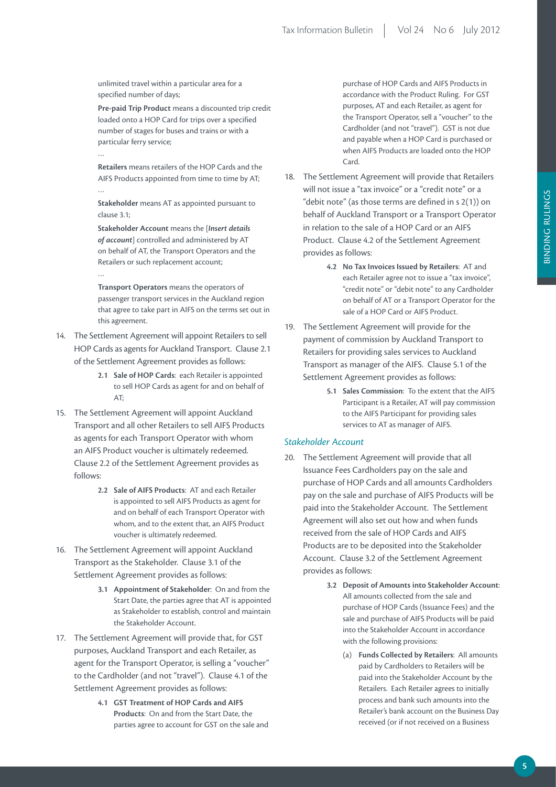unlimited travel within a particular area for a specified number of days;

…

…

**Pre-paid Trip Product** means a discounted trip credit loaded onto a HOP Card for trips over a specified number of stages for buses and trains or with a particular ferry service;

**Retailers** means retailers of the HOP Cards and the AIFS Products appointed from time to time by AT; …

**Stakeholder** means AT as appointed pursuant to clause 3.1;

**Stakeholder Account** means the [*Insert details of account*] controlled and administered by AT on behalf of AT, the Transport Operators and the Retailers or such replacement account;

**Transport Operators** means the operators of passenger transport services in the Auckland region that agree to take part in AIFS on the terms set out in this agreement.

- 14. The Settlement Agreement will appoint Retailers to sell HOP Cards as agents for Auckland Transport. Clause 2.1 of the Settlement Agreement provides as follows:
	- **2.1 Sale of HOP Cards**: each Retailer is appointed to sell HOP Cards as agent for and on behalf of A<sub>T</sub>
- 15. The Settlement Agreement will appoint Auckland Transport and all other Retailers to sell AIFS Products as agents for each Transport Operator with whom an AIFS Product voucher is ultimately redeemed. Clause 2.2 of the Settlement Agreement provides as follows:
	- **2.2 Sale of AIFS Products**: AT and each Retailer is appointed to sell AIFS Products as agent for and on behalf of each Transport Operator with whom, and to the extent that, an AIFS Product voucher is ultimately redeemed.
- 16. The Settlement Agreement will appoint Auckland Transport as the Stakeholder. Clause 3.1 of the Settlement Agreement provides as follows:
	- **3.1 Appointment of Stakeholder**: On and from the Start Date, the parties agree that AT is appointed as Stakeholder to establish, control and maintain the Stakeholder Account.
- 17. The Settlement Agreement will provide that, for GST purposes, Auckland Transport and each Retailer, as agent for the Transport Operator, is selling a "voucher" to the Cardholder (and not "travel"). Clause 4.1 of the Settlement Agreement provides as follows:
	- **4.1 GST Treatment of HOP Cards and AIFS Products**: On and from the Start Date, the parties agree to account for GST on the sale and

purchase of HOP Cards and AIFS Products in accordance with the Product Ruling. For GST purposes, AT and each Retailer, as agent for the Transport Operator, sell a "voucher" to the Cardholder (and not "travel"). GST is not due and payable when a HOP Card is purchased or when AIFS Products are loaded onto the HOP Card.

- 18. The Settlement Agreement will provide that Retailers will not issue a "tax invoice" or a "credit note" or a "debit note" (as those terms are defined in s 2(1)) on behalf of Auckland Transport or a Transport Operator in relation to the sale of a HOP Card or an AIFS Product. Clause 4.2 of the Settlement Agreement provides as follows:
	- **4.2 No Tax Invoices Issued by Retailers**: AT and each Retailer agree not to issue a "tax invoice", "credit note" or "debit note" to any Cardholder on behalf of AT or a Transport Operator for the sale of a HOP Card or AIFS Product.
- 19. The Settlement Agreement will provide for the payment of commission by Auckland Transport to Retailers for providing sales services to Auckland Transport as manager of the AIFS. Clause 5.1 of the Settlement Agreement provides as follows:
	- **5.1 Sales Commission**: To the extent that the AIFS Participant is a Retailer, AT will pay commission to the AIFS Participant for providing sales services to AT as manager of AIFS.

#### *Stakeholder Account*

- 20. The Settlement Agreement will provide that all Issuance Fees Cardholders pay on the sale and purchase of HOP Cards and all amounts Cardholders pay on the sale and purchase of AIFS Products will be paid into the Stakeholder Account. The Settlement Agreement will also set out how and when funds received from the sale of HOP Cards and AIFS Products are to be deposited into the Stakeholder Account. Clause 3.2 of the Settlement Agreement provides as follows:
	- **3.2 Deposit of Amounts into Stakeholder Account**: All amounts collected from the sale and purchase of HOP Cards (Issuance Fees) and the sale and purchase of AIFS Products will be paid into the Stakeholder Account in accordance with the following provisions:
		- (a) **Funds Collected by Retailers**: All amounts paid by Cardholders to Retailers will be paid into the Stakeholder Account by the Retailers. Each Retailer agrees to initially process and bank such amounts into the Retailer's bank account on the Business Day received (or if not received on a Business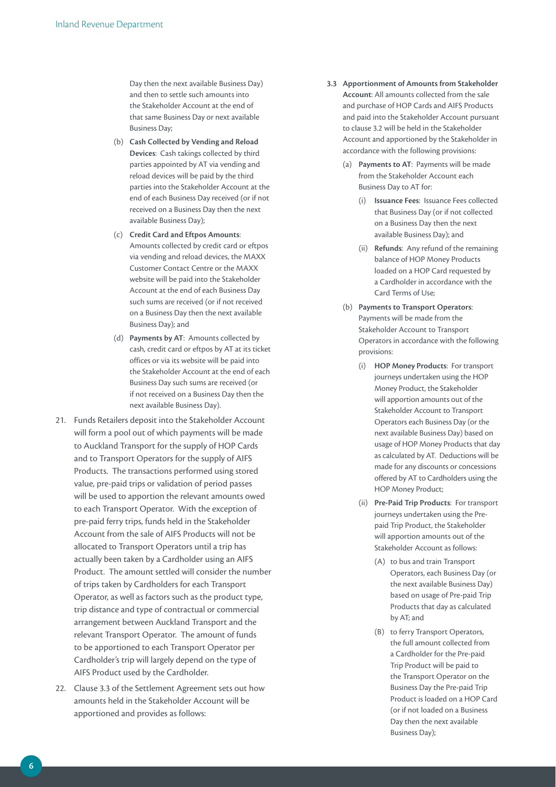Day then the next available Business Day) and then to settle such amounts into the Stakeholder Account at the end of that same Business Day or next available Business Day;

- (b) **Cash Collected by Vending and Reload Devices**: Cash takings collected by third parties appointed by AT via vending and reload devices will be paid by the third parties into the Stakeholder Account at the end of each Business Day received (or if not received on a Business Day then the next available Business Day);
- (c) **Credit Card and Eftpos Amounts**: Amounts collected by credit card or eftpos via vending and reload devices, the MAXX Customer Contact Centre or the MAXX website will be paid into the Stakeholder Account at the end of each Business Day such sums are received (or if not received on a Business Day then the next available Business Day); and
- (d) **Payments by AT**: Amounts collected by cash, credit card or eftpos by AT at its ticket offices or via its website will be paid into the Stakeholder Account at the end of each Business Day such sums are received (or if not received on a Business Day then the next available Business Day).
- 21. Funds Retailers deposit into the Stakeholder Account will form a pool out of which payments will be made to Auckland Transport for the supply of HOP Cards and to Transport Operators for the supply of AIFS Products. The transactions performed using stored value, pre-paid trips or validation of period passes will be used to apportion the relevant amounts owed to each Transport Operator. With the exception of pre-paid ferry trips, funds held in the Stakeholder Account from the sale of AIFS Products will not be allocated to Transport Operators until a trip has actually been taken by a Cardholder using an AIFS Product. The amount settled will consider the number of trips taken by Cardholders for each Transport Operator, as well as factors such as the product type, trip distance and type of contractual or commercial arrangement between Auckland Transport and the relevant Transport Operator. The amount of funds to be apportioned to each Transport Operator per Cardholder's trip will largely depend on the type of AIFS Product used by the Cardholder.
- 22. Clause 3.3 of the Settlement Agreement sets out how amounts held in the Stakeholder Account will be apportioned and provides as follows:
- **3.3 Apportionment of Amounts from Stakeholder Account**: All amounts collected from the sale and purchase of HOP Cards and AIFS Products and paid into the Stakeholder Account pursuant to clause 3.2 will be held in the Stakeholder Account and apportioned by the Stakeholder in accordance with the following provisions:
	- (a) **Payments to AT**: Payments will be made from the Stakeholder Account each Business Day to AT for:
		- (i) **Issuance Fees**: Issuance Fees collected that Business Day (or if not collected on a Business Day then the next available Business Day); and
		- (ii) **Refunds**: Any refund of the remaining balance of HOP Money Products loaded on a HOP Card requested by a Cardholder in accordance with the Card Terms of Use;
	- (b) **Payments to Transport Operators**: Payments will be made from the Stakeholder Account to Transport Operators in accordance with the following provisions:
		- (i) **HOP Money Products**: For transport journeys undertaken using the HOP Money Product, the Stakeholder will apportion amounts out of the Stakeholder Account to Transport Operators each Business Day (or the next available Business Day) based on usage of HOP Money Products that day as calculated by AT. Deductions will be made for any discounts or concessions offered by AT to Cardholders using the HOP Money Product;
		- (ii) **Pre-Paid Trip Products**: For transport journeys undertaken using the Prepaid Trip Product, the Stakeholder will apportion amounts out of the Stakeholder Account as follows:
			- (A) to bus and train Transport Operators, each Business Day (or the next available Business Day) based on usage of Pre-paid Trip Products that day as calculated by AT; and
			- (B) to ferry Transport Operators, the full amount collected from a Cardholder for the Pre-paid Trip Product will be paid to the Transport Operator on the Business Day the Pre-paid Trip Product is loaded on a HOP Card (or if not loaded on a Business Day then the next available Business Day);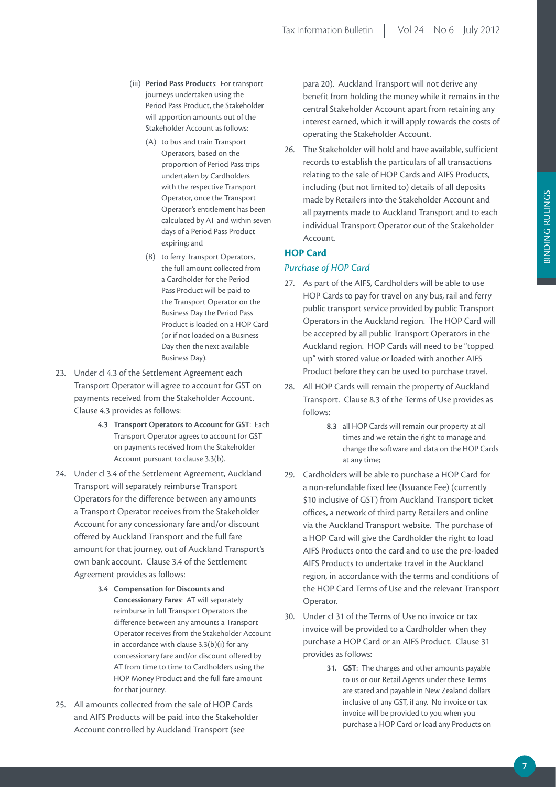- (iii) **Period Pass Product**s: For transport journeys undertaken using the Period Pass Product, the Stakeholder will apportion amounts out of the Stakeholder Account as follows:
	- (A) to bus and train Transport Operators, based on the proportion of Period Pass trips undertaken by Cardholders with the respective Transport Operator, once the Transport Operator's entitlement has been calculated by AT and within seven days of a Period Pass Product expiring; and
	- (B) to ferry Transport Operators, the full amount collected from a Cardholder for the Period Pass Product will be paid to the Transport Operator on the Business Day the Period Pass Product is loaded on a HOP Card (or if not loaded on a Business Day then the next available Business Day).
- 23. Under cl 4.3 of the Settlement Agreement each Transport Operator will agree to account for GST on payments received from the Stakeholder Account. Clause 4.3 provides as follows:
	- **4.3 Transport Operators to Account for GST**: Each Transport Operator agrees to account for GST on payments received from the Stakeholder Account pursuant to clause 3.3(b).
- 24. Under cl 3.4 of the Settlement Agreement, Auckland Transport will separately reimburse Transport Operators for the difference between any amounts a Transport Operator receives from the Stakeholder Account for any concessionary fare and/or discount offered by Auckland Transport and the full fare amount for that journey, out of Auckland Transport's own bank account. Clause 3.4 of the Settlement Agreement provides as follows:
	- **3.4 Compensation for Discounts and Concessionary Fares**: AT will separately reimburse in full Transport Operators the difference between any amounts a Transport Operator receives from the Stakeholder Account in accordance with clause 3.3(b)(i) for any concessionary fare and/or discount offered by AT from time to time to Cardholders using the HOP Money Product and the full fare amount for that journey.
- 25. All amounts collected from the sale of HOP Cards and AIFS Products will be paid into the Stakeholder Account controlled by Auckland Transport (see

para 20). Auckland Transport will not derive any benefit from holding the money while it remains in the central Stakeholder Account apart from retaining any interest earned, which it will apply towards the costs of operating the Stakeholder Account.

26. The Stakeholder will hold and have available, sufficient records to establish the particulars of all transactions relating to the sale of HOP Cards and AIFS Products, including (but not limited to) details of all deposits made by Retailers into the Stakeholder Account and all payments made to Auckland Transport and to each individual Transport Operator out of the Stakeholder Account.

## **HOP Card**

#### *Purchase of HOP Card*

- 27. As part of the AIFS, Cardholders will be able to use HOP Cards to pay for travel on any bus, rail and ferry public transport service provided by public Transport Operators in the Auckland region. The HOP Card will be accepted by all public Transport Operators in the Auckland region. HOP Cards will need to be "topped up" with stored value or loaded with another AIFS Product before they can be used to purchase travel.
- 28. All HOP Cards will remain the property of Auckland Transport. Clause 8.3 of the Terms of Use provides as follows:
	- **8.3** all HOP Cards will remain our property at all times and we retain the right to manage and change the software and data on the HOP Cards at any time;
- 29. Cardholders will be able to purchase a HOP Card for a non-refundable fixed fee (Issuance Fee) (currently \$10 inclusive of GST) from Auckland Transport ticket offices, a network of third party Retailers and online via the Auckland Transport website. The purchase of a HOP Card will give the Cardholder the right to load AIFS Products onto the card and to use the pre-loaded AIFS Products to undertake travel in the Auckland region, in accordance with the terms and conditions of the HOP Card Terms of Use and the relevant Transport Operator.
- 30. Under cl 31 of the Terms of Use no invoice or tax invoice will be provided to a Cardholder when they purchase a HOP Card or an AIFS Product. Clause 31 provides as follows:
	- **31. GST**: The charges and other amounts payable to us or our Retail Agents under these Terms are stated and payable in New Zealand dollars inclusive of any GST, if any. No invoice or tax invoice will be provided to you when you purchase a HOP Card or load any Products on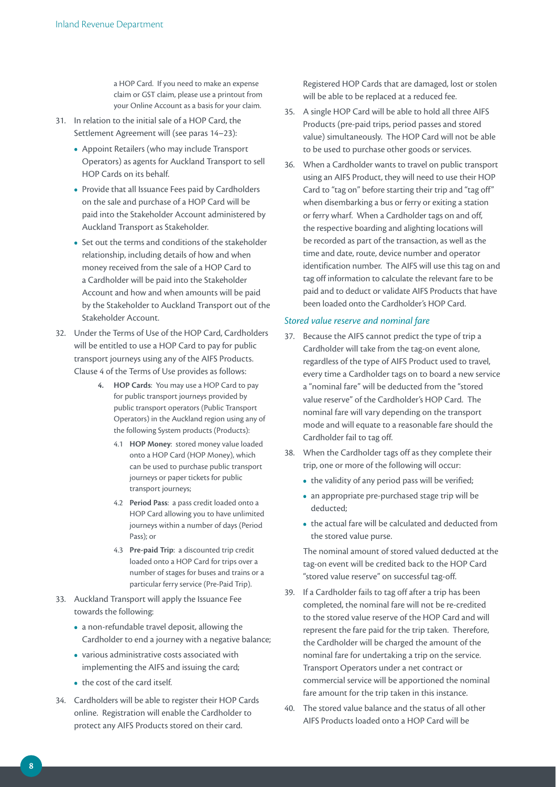a HOP Card. If you need to make an expense claim or GST claim, please use a printout from your Online Account as a basis for your claim.

- 31. In relation to the initial sale of a HOP Card, the Settlement Agreement will (see paras 14–23):
	- **•**  Appoint Retailers (who may include Transport Operators) as agents for Auckland Transport to sell HOP Cards on its behalf.
	- Provide that all Issuance Fees paid by Cardholders on the sale and purchase of a HOP Card will be paid into the Stakeholder Account administered by Auckland Transport as Stakeholder.
	- **•**  Set out the terms and conditions of the stakeholder relationship, including details of how and when money received from the sale of a HOP Card to a Cardholder will be paid into the Stakeholder Account and how and when amounts will be paid by the Stakeholder to Auckland Transport out of the Stakeholder Account.
- 32. Under the Terms of Use of the HOP Card, Cardholders will be entitled to use a HOP Card to pay for public transport journeys using any of the AIFS Products. Clause 4 of the Terms of Use provides as follows:
	- **4. HOP Cards**: You may use a HOP Card to pay for public transport journeys provided by public transport operators (Public Transport Operators) in the Auckland region using any of the following System products (Products):
		- 4.1 **HOP Money**: stored money value loaded onto a HOP Card (HOP Money), which can be used to purchase public transport journeys or paper tickets for public transport journeys;
		- 4.2 **Period Pass**: a pass credit loaded onto a HOP Card allowing you to have unlimited journeys within a number of days (Period Pass); or
		- 4.3 **Pre-paid Trip**: a discounted trip credit loaded onto a HOP Card for trips over a number of stages for buses and trains or a particular ferry service (Pre-Paid Trip).
- 33. Auckland Transport will apply the Issuance Fee towards the following:
	- **•**  a non-refundable travel deposit, allowing the Cardholder to end a journey with a negative balance;
	- **•**  various administrative costs associated with implementing the AIFS and issuing the card;
	- the cost of the card itself.
- 34. Cardholders will be able to register their HOP Cards online. Registration will enable the Cardholder to protect any AIFS Products stored on their card.

Registered HOP Cards that are damaged, lost or stolen will be able to be replaced at a reduced fee.

- 35. A single HOP Card will be able to hold all three AIFS Products (pre-paid trips, period passes and stored value) simultaneously. The HOP Card will not be able to be used to purchase other goods or services.
- 36. When a Cardholder wants to travel on public transport using an AIFS Product, they will need to use their HOP Card to "tag on" before starting their trip and "tag off" when disembarking a bus or ferry or exiting a station or ferry wharf. When a Cardholder tags on and off, the respective boarding and alighting locations will be recorded as part of the transaction, as well as the time and date, route, device number and operator identification number. The AIFS will use this tag on and tag off information to calculate the relevant fare to be paid and to deduct or validate AIFS Products that have been loaded onto the Cardholder's HOP Card.

#### *Stored value reserve and nominal fare*

- 37. Because the AIFS cannot predict the type of trip a Cardholder will take from the tag-on event alone, regardless of the type of AIFS Product used to travel, every time a Cardholder tags on to board a new service a "nominal fare" will be deducted from the "stored value reserve" of the Cardholder's HOP Card. The nominal fare will vary depending on the transport mode and will equate to a reasonable fare should the Cardholder fail to tag off.
- 38. When the Cardholder tags off as they complete their trip, one or more of the following will occur:
	- the validity of any period pass will be verified;
	- **•**  an appropriate pre-purchased stage trip will be deducted;
	- the actual fare will be calculated and deducted from the stored value purse.

The nominal amount of stored valued deducted at the tag-on event will be credited back to the HOP Card "stored value reserve" on successful tag-off.

- 39. If a Cardholder fails to tag off after a trip has been completed, the nominal fare will not be re-credited to the stored value reserve of the HOP Card and will represent the fare paid for the trip taken. Therefore, the Cardholder will be charged the amount of the nominal fare for undertaking a trip on the service. Transport Operators under a net contract or commercial service will be apportioned the nominal fare amount for the trip taken in this instance.
- 40. The stored value balance and the status of all other AIFS Products loaded onto a HOP Card will be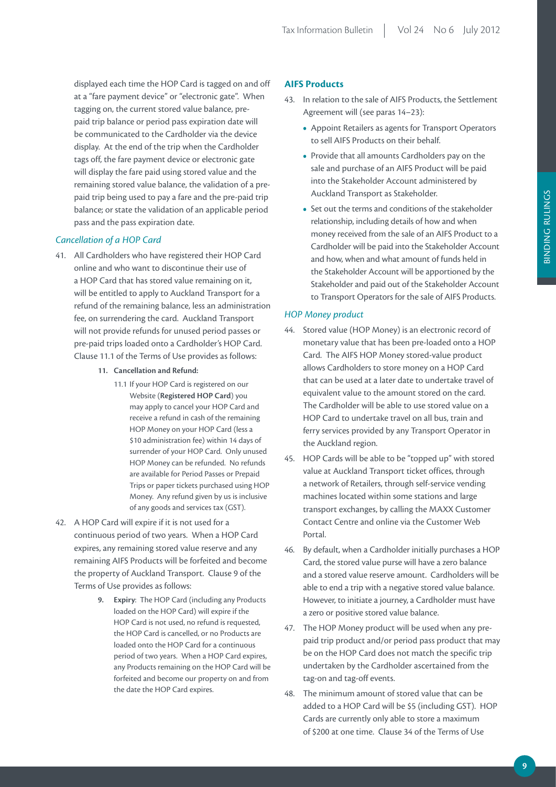displayed each time the HOP Card is tagged on and off at a "fare payment device" or "electronic gate". When tagging on, the current stored value balance, prepaid trip balance or period pass expiration date will be communicated to the Cardholder via the device display. At the end of the trip when the Cardholder tags off, the fare payment device or electronic gate will display the fare paid using stored value and the remaining stored value balance, the validation of a prepaid trip being used to pay a fare and the pre-paid trip balance; or state the validation of an applicable period pass and the pass expiration date.

#### *Cancellation of a HOP Card*

- 41. All Cardholders who have registered their HOP Card online and who want to discontinue their use of a HOP Card that has stored value remaining on it, will be entitled to apply to Auckland Transport for a refund of the remaining balance, less an administration fee, on surrendering the card. Auckland Transport will not provide refunds for unused period passes or pre-paid trips loaded onto a Cardholder's HOP Card. Clause 11.1 of the Terms of Use provides as follows:
	- **11. Cancellation and Refund:**
		- 11.1 If your HOP Card is registered on our Website (**Registered HOP Card**) you may apply to cancel your HOP Card and receive a refund in cash of the remaining HOP Money on your HOP Card (less a \$10 administration fee) within 14 days of surrender of your HOP Card. Only unused HOP Money can be refunded. No refunds are available for Period Passes or Prepaid Trips or paper tickets purchased using HOP Money. Any refund given by us is inclusive of any goods and services tax (GST).
- 42. A HOP Card will expire if it is not used for a continuous period of two years. When a HOP Card expires, any remaining stored value reserve and any remaining AIFS Products will be forfeited and become the property of Auckland Transport. Clause 9 of the Terms of Use provides as follows:
	- **9. Expiry**: The HOP Card (including any Products loaded on the HOP Card) will expire if the HOP Card is not used, no refund is requested, the HOP Card is cancelled, or no Products are loaded onto the HOP Card for a continuous period of two years. When a HOP Card expires, any Products remaining on the HOP Card will be forfeited and become our property on and from the date the HOP Card expires.

#### **AIFS Products**

- 43. In relation to the sale of AIFS Products, the Settlement Agreement will (see paras 14–23):
	- **•**  Appoint Retailers as agents for Transport Operators to sell AIFS Products on their behalf.
	- **•**  Provide that all amounts Cardholders pay on the sale and purchase of an AIFS Product will be paid into the Stakeholder Account administered by Auckland Transport as Stakeholder.
	- **•**  Set out the terms and conditions of the stakeholder relationship, including details of how and when money received from the sale of an AIFS Product to a Cardholder will be paid into the Stakeholder Account and how, when and what amount of funds held in the Stakeholder Account will be apportioned by the Stakeholder and paid out of the Stakeholder Account to Transport Operators for the sale of AIFS Products.

#### *HOP Money product*

- 44. Stored value (HOP Money) is an electronic record of monetary value that has been pre-loaded onto a HOP Card. The AIFS HOP Money stored-value product allows Cardholders to store money on a HOP Card that can be used at a later date to undertake travel of equivalent value to the amount stored on the card. The Cardholder will be able to use stored value on a HOP Card to undertake travel on all bus, train and ferry services provided by any Transport Operator in the Auckland region.
- 45. HOP Cards will be able to be "topped up" with stored value at Auckland Transport ticket offices, through a network of Retailers, through self-service vending machines located within some stations and large transport exchanges, by calling the MAXX Customer Contact Centre and online via the Customer Web Portal.
- 46. By default, when a Cardholder initially purchases a HOP Card, the stored value purse will have a zero balance and a stored value reserve amount. Cardholders will be able to end a trip with a negative stored value balance. However, to initiate a journey, a Cardholder must have a zero or positive stored value balance.
- 47. The HOP Money product will be used when any prepaid trip product and/or period pass product that may be on the HOP Card does not match the specific trip undertaken by the Cardholder ascertained from the tag-on and tag-off events.
- 48. The minimum amount of stored value that can be added to a HOP Card will be \$5 (including GST). HOP Cards are currently only able to store a maximum of \$200 at one time. Clause 34 of the Terms of Use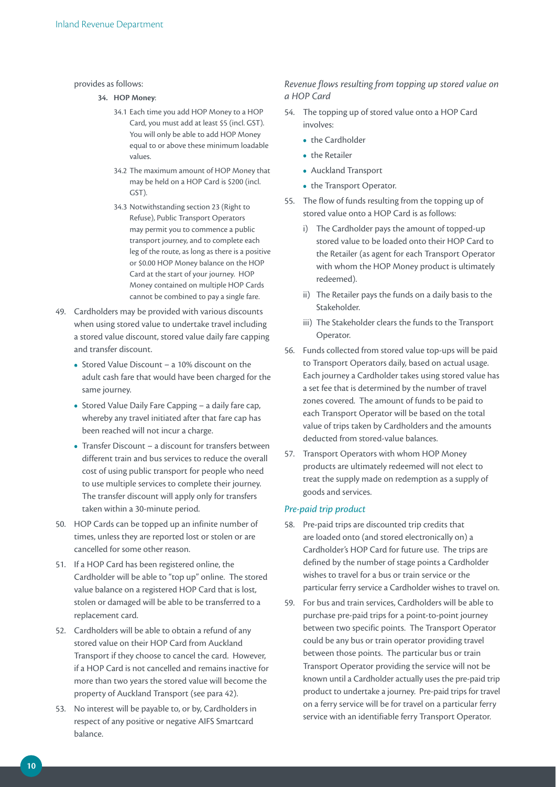#### provides as follows:

- **34. HOP Money**:
	- 34.1 Each time you add HOP Money to a HOP Card, you must add at least \$5 (incl. GST). You will only be able to add HOP Money equal to or above these minimum loadable values.
	- 34.2 The maximum amount of HOP Money that may be held on a HOP Card is \$200 (incl. GST).
	- 34.3 Notwithstanding section 23 (Right to Refuse), Public Transport Operators may permit you to commence a public transport journey, and to complete each leg of the route, as long as there is a positive or \$0.00 HOP Money balance on the HOP Card at the start of your journey. HOP Money contained on multiple HOP Cards cannot be combined to pay a single fare.
- 49. Cardholders may be provided with various discounts when using stored value to undertake travel including a stored value discount, stored value daily fare capping and transfer discount.
	- Stored Value Discount a 10% discount on the adult cash fare that would have been charged for the same journey.
	- **•**  Stored Value Daily Fare Capping a daily fare cap, whereby any travel initiated after that fare cap has been reached will not incur a charge.
	- **•**  Transfer Discount a discount for transfers between different train and bus services to reduce the overall cost of using public transport for people who need to use multiple services to complete their journey. The transfer discount will apply only for transfers taken within a 30-minute period.
- 50. HOP Cards can be topped up an infinite number of times, unless they are reported lost or stolen or are cancelled for some other reason.
- 51. If a HOP Card has been registered online, the Cardholder will be able to "top up" online. The stored value balance on a registered HOP Card that is lost, stolen or damaged will be able to be transferred to a replacement card.
- 52. Cardholders will be able to obtain a refund of any stored value on their HOP Card from Auckland Transport if they choose to cancel the card. However, if a HOP Card is not cancelled and remains inactive for more than two years the stored value will become the property of Auckland Transport (see para 42).
- 53. No interest will be payable to, or by, Cardholders in respect of any positive or negative AIFS Smartcard balance.

#### *Revenue flows resulting from topping up stored value on a HOP Card*

- 54. The topping up of stored value onto a HOP Card involves:
	- **•**  the Cardholder
	- **•**  the Retailer
	- **•**  Auckland Transport
	- **•**  the Transport Operator.
- 55. The flow of funds resulting from the topping up of stored value onto a HOP Card is as follows:
	- i) The Cardholder pays the amount of topped-up stored value to be loaded onto their HOP Card to the Retailer (as agent for each Transport Operator with whom the HOP Money product is ultimately redeemed).
	- ii) The Retailer pays the funds on a daily basis to the Stakeholder.
	- iii) The Stakeholder clears the funds to the Transport Operator.
- 56. Funds collected from stored value top-ups will be paid to Transport Operators daily, based on actual usage. Each journey a Cardholder takes using stored value has a set fee that is determined by the number of travel zones covered. The amount of funds to be paid to each Transport Operator will be based on the total value of trips taken by Cardholders and the amounts deducted from stored-value balances.
- 57. Transport Operators with whom HOP Money products are ultimately redeemed will not elect to treat the supply made on redemption as a supply of goods and services.

#### *Pre-paid trip product*

- 58. Pre-paid trips are discounted trip credits that are loaded onto (and stored electronically on) a Cardholder's HOP Card for future use. The trips are defined by the number of stage points a Cardholder wishes to travel for a bus or train service or the particular ferry service a Cardholder wishes to travel on.
- 59. For bus and train services, Cardholders will be able to purchase pre-paid trips for a point-to-point journey between two specific points. The Transport Operator could be any bus or train operator providing travel between those points. The particular bus or train Transport Operator providing the service will not be known until a Cardholder actually uses the pre-paid trip product to undertake a journey. Pre-paid trips for travel on a ferry service will be for travel on a particular ferry service with an identifiable ferry Transport Operator.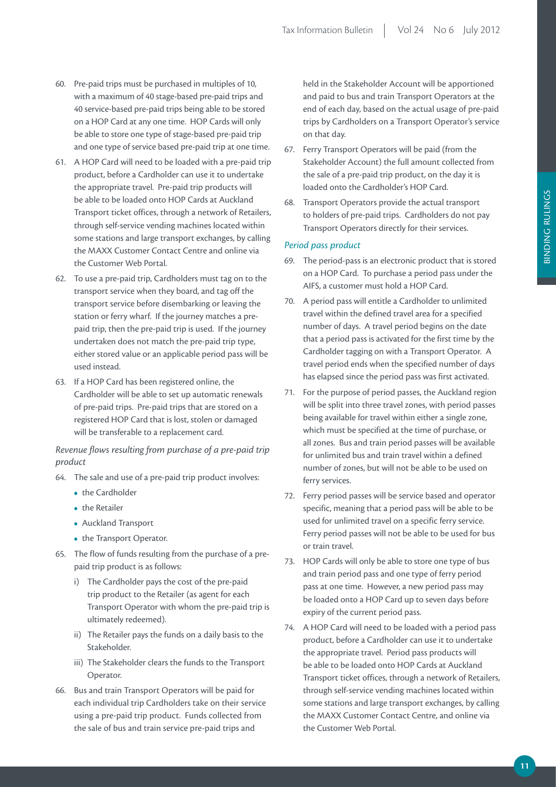- 60. Pre-paid trips must be purchased in multiples of 10, with a maximum of 40 stage-based pre-paid trips and 40 service-based pre-paid trips being able to be stored on a HOP Card at any one time. HOP Cards will only be able to store one type of stage-based pre-paid trip and one type of service based pre-paid trip at one time.
- 61. A HOP Card will need to be loaded with a pre-paid trip product, before a Cardholder can use it to undertake the appropriate travel. Pre-paid trip products will be able to be loaded onto HOP Cards at Auckland Transport ticket offices, through a network of Retailers, through self-service vending machines located within some stations and large transport exchanges, by calling the MAXX Customer Contact Centre and online via the Customer Web Portal.
- 62. To use a pre-paid trip, Cardholders must tag on to the transport service when they board, and tag off the transport service before disembarking or leaving the station or ferry wharf. If the journey matches a prepaid trip, then the pre-paid trip is used. If the journey undertaken does not match the pre-paid trip type, either stored value or an applicable period pass will be used instead.
- 63. If a HOP Card has been registered online, the Cardholder will be able to set up automatic renewals of pre-paid trips. Pre-paid trips that are stored on a registered HOP Card that is lost, stolen or damaged will be transferable to a replacement card.

#### *Revenue flows resulting from purchase of a pre-paid trip product*

- 64. The sale and use of a pre-paid trip product involves:
	- the Cardholder
	- **•**  the Retailer
	- **•**  Auckland Transport
	- **•**  the Transport Operator.
- 65. The flow of funds resulting from the purchase of a prepaid trip product is as follows:
	- i) The Cardholder pays the cost of the pre-paid trip product to the Retailer (as agent for each Transport Operator with whom the pre-paid trip is ultimately redeemed).
	- ii) The Retailer pays the funds on a daily basis to the Stakeholder.
	- iii) The Stakeholder clears the funds to the Transport Operator.
- 66. Bus and train Transport Operators will be paid for each individual trip Cardholders take on their service using a pre-paid trip product. Funds collected from the sale of bus and train service pre-paid trips and

held in the Stakeholder Account will be apportioned and paid to bus and train Transport Operators at the end of each day, based on the actual usage of pre-paid trips by Cardholders on a Transport Operator's service on that day.

- 67. Ferry Transport Operators will be paid (from the Stakeholder Account) the full amount collected from the sale of a pre-paid trip product, on the day it is loaded onto the Cardholder's HOP Card.
- 68. Transport Operators provide the actual transport to holders of pre-paid trips. Cardholders do not pay Transport Operators directly for their services.

#### *Period pass product*

- 69. The period-pass is an electronic product that is stored on a HOP Card. To purchase a period pass under the AIFS, a customer must hold a HOP Card.
- 70. A period pass will entitle a Cardholder to unlimited travel within the defined travel area for a specified number of days. A travel period begins on the date that a period pass is activated for the first time by the Cardholder tagging on with a Transport Operator. A travel period ends when the specified number of days has elapsed since the period pass was first activated.
- 71. For the purpose of period passes, the Auckland region will be split into three travel zones, with period passes being available for travel within either a single zone, which must be specified at the time of purchase, or all zones. Bus and train period passes will be available for unlimited bus and train travel within a defined number of zones, but will not be able to be used on ferry services.
- 72. Ferry period passes will be service based and operator specific, meaning that a period pass will be able to be used for unlimited travel on a specific ferry service. Ferry period passes will not be able to be used for bus or train travel.
- 73. HOP Cards will only be able to store one type of bus and train period pass and one type of ferry period pass at one time. However, a new period pass may be loaded onto a HOP Card up to seven days before expiry of the current period pass.
- 74. A HOP Card will need to be loaded with a period pass product, before a Cardholder can use it to undertake the appropriate travel. Period pass products will be able to be loaded onto HOP Cards at Auckland Transport ticket offices, through a network of Retailers, through self-service vending machines located within some stations and large transport exchanges, by calling the MAXX Customer Contact Centre, and online via the Customer Web Portal.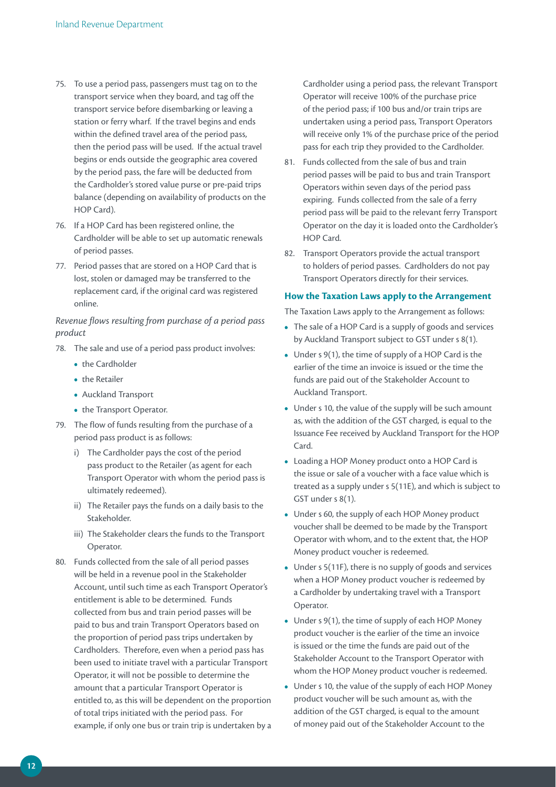- 75. To use a period pass, passengers must tag on to the transport service when they board, and tag off the transport service before disembarking or leaving a station or ferry wharf. If the travel begins and ends within the defined travel area of the period pass, then the period pass will be used. If the actual travel begins or ends outside the geographic area covered by the period pass, the fare will be deducted from the Cardholder's stored value purse or pre-paid trips balance (depending on availability of products on the HOP Card).
- 76. If a HOP Card has been registered online, the Cardholder will be able to set up automatic renewals of period passes.
- 77. Period passes that are stored on a HOP Card that is lost, stolen or damaged may be transferred to the replacement card, if the original card was registered online.

## *Revenue flows resulting from purchase of a period pass product*

- 78. The sale and use of a period pass product involves:
	- **•**  the Cardholder
	- **•**  the Retailer
	- **•**  Auckland Transport
	- **•**  the Transport Operator.
- 79. The flow of funds resulting from the purchase of a period pass product is as follows:
	- i) The Cardholder pays the cost of the period pass product to the Retailer (as agent for each Transport Operator with whom the period pass is ultimately redeemed).
	- ii) The Retailer pays the funds on a daily basis to the Stakeholder.
	- iii) The Stakeholder clears the funds to the Transport Operator.
- 80. Funds collected from the sale of all period passes will be held in a revenue pool in the Stakeholder Account, until such time as each Transport Operator's entitlement is able to be determined. Funds collected from bus and train period passes will be paid to bus and train Transport Operators based on the proportion of period pass trips undertaken by Cardholders. Therefore, even when a period pass has been used to initiate travel with a particular Transport Operator, it will not be possible to determine the amount that a particular Transport Operator is entitled to, as this will be dependent on the proportion of total trips initiated with the period pass. For example, if only one bus or train trip is undertaken by a

Cardholder using a period pass, the relevant Transport Operator will receive 100% of the purchase price of the period pass; if 100 bus and/or train trips are undertaken using a period pass, Transport Operators will receive only 1% of the purchase price of the period pass for each trip they provided to the Cardholder.

- 81. Funds collected from the sale of bus and train period passes will be paid to bus and train Transport Operators within seven days of the period pass expiring. Funds collected from the sale of a ferry period pass will be paid to the relevant ferry Transport Operator on the day it is loaded onto the Cardholder's HOP Card.
- 82. Transport Operators provide the actual transport to holders of period passes. Cardholders do not pay Transport Operators directly for their services.

#### **How the Taxation Laws apply to the Arrangement**

The Taxation Laws apply to the Arrangement as follows:

- **•**  The sale of a HOP Card is a supply of goods and services by Auckland Transport subject to GST under s 8(1).
- **•**  Under s 9(1), the time of supply of a HOP Card is the earlier of the time an invoice is issued or the time the funds are paid out of the Stakeholder Account to Auckland Transport.
- **•**  Under s 10, the value of the supply will be such amount as, with the addition of the GST charged, is equal to the Issuance Fee received by Auckland Transport for the HOP Card.
- **•**  Loading a HOP Money product onto a HOP Card is the issue or sale of a voucher with a face value which is treated as a supply under s 5(11E), and which is subject to GST under s 8(1).
- **•**  Under s 60, the supply of each HOP Money product voucher shall be deemed to be made by the Transport Operator with whom, and to the extent that, the HOP Money product voucher is redeemed.
- **•**  Under s 5(11F), there is no supply of goods and services when a HOP Money product voucher is redeemed by a Cardholder by undertaking travel with a Transport Operator.
- Under s 9(1), the time of supply of each HOP Money product voucher is the earlier of the time an invoice is issued or the time the funds are paid out of the Stakeholder Account to the Transport Operator with whom the HOP Money product voucher is redeemed.
- **•**  Under s 10, the value of the supply of each HOP Money product voucher will be such amount as, with the addition of the GST charged, is equal to the amount of money paid out of the Stakeholder Account to the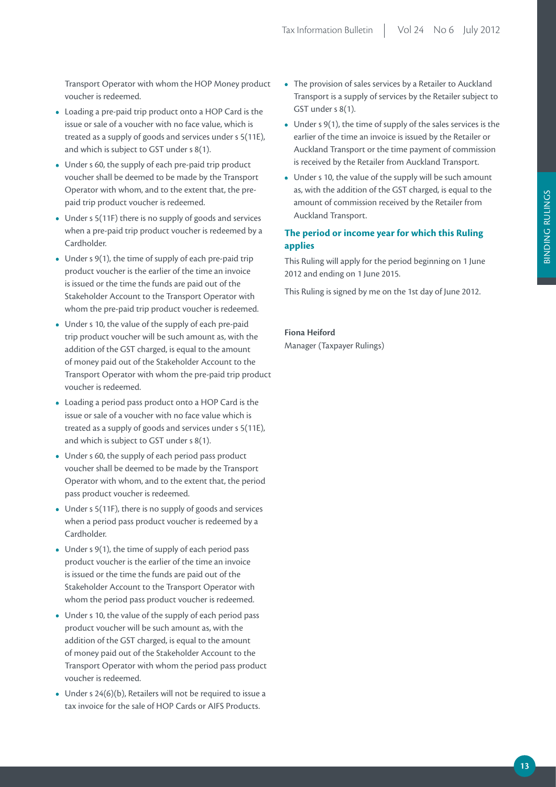Transport Operator with whom the HOP Money product voucher is redeemed.

- **•**  Loading a pre-paid trip product onto a HOP Card is the issue or sale of a voucher with no face value, which is treated as a supply of goods and services under s 5(11E), and which is subject to GST under s 8(1).
- Under s 60, the supply of each pre-paid trip product voucher shall be deemed to be made by the Transport Operator with whom, and to the extent that, the prepaid trip product voucher is redeemed.
- **•**  Under s 5(11F) there is no supply of goods and services when a pre-paid trip product voucher is redeemed by a Cardholder.
- Under s 9(1), the time of supply of each pre-paid trip product voucher is the earlier of the time an invoice is issued or the time the funds are paid out of the Stakeholder Account to the Transport Operator with whom the pre-paid trip product voucher is redeemed.
- **•**  Under s 10, the value of the supply of each pre-paid trip product voucher will be such amount as, with the addition of the GST charged, is equal to the amount of money paid out of the Stakeholder Account to the Transport Operator with whom the pre-paid trip product voucher is redeemed.
- **•**  Loading a period pass product onto a HOP Card is the issue or sale of a voucher with no face value which is treated as a supply of goods and services under s 5(11E), and which is subject to GST under s 8(1).
- Under s 60, the supply of each period pass product voucher shall be deemed to be made by the Transport Operator with whom, and to the extent that, the period pass product voucher is redeemed.
- **•**  Under s 5(11F), there is no supply of goods and services when a period pass product voucher is redeemed by a Cardholder.
- Under s 9(1), the time of supply of each period pass product voucher is the earlier of the time an invoice is issued or the time the funds are paid out of the Stakeholder Account to the Transport Operator with whom the period pass product voucher is redeemed.
- **•**  Under s 10, the value of the supply of each period pass product voucher will be such amount as, with the addition of the GST charged, is equal to the amount of money paid out of the Stakeholder Account to the Transport Operator with whom the period pass product voucher is redeemed.
- **•**  Under s 24(6)(b), Retailers will not be required to issue a tax invoice for the sale of HOP Cards or AIFS Products.
- The provision of sales services by a Retailer to Auckland Transport is a supply of services by the Retailer subject to GST under s 8(1).
- Under s 9(1), the time of supply of the sales services is the earlier of the time an invoice is issued by the Retailer or Auckland Transport or the time payment of commission is received by the Retailer from Auckland Transport.
- **•**  Under s 10, the value of the supply will be such amount as, with the addition of the GST charged, is equal to the amount of commission received by the Retailer from Auckland Transport.

### **The period or income year for which this Ruling applies**

This Ruling will apply for the period beginning on 1 June 2012 and ending on 1 June 2015.

This Ruling is signed by me on the 1st day of June 2012.

### **Fiona Heiford** Manager (Taxpayer Rulings)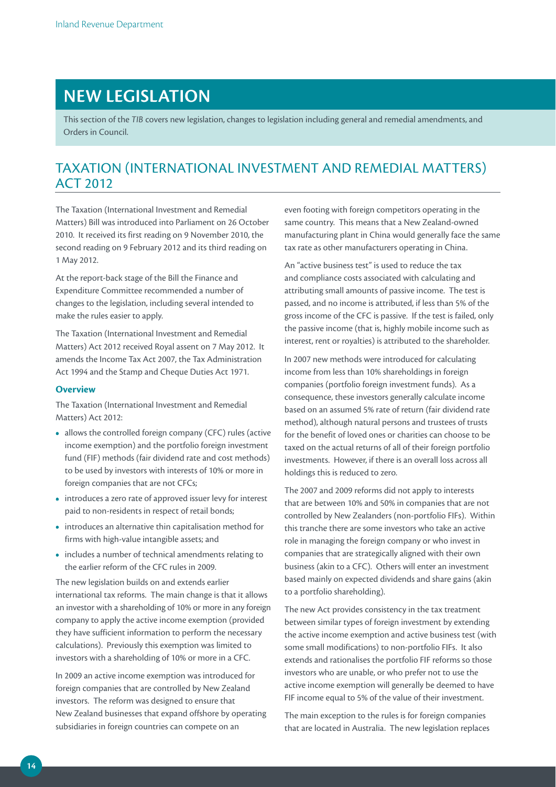# **NEW LEGISLATION**

This section of the *TIB* covers new legislation, changes to legislation including general and remedial amendments, and Orders in Council.

# TAXATION (INTERNATIONAL INVESTMENT AND REMEDIAL MATTERS) ACT 2012

The Taxation (International Investment and Remedial Matters) Bill was introduced into Parliament on 26 October 2010. It received its first reading on 9 November 2010, the second reading on 9 February 2012 and its third reading on 1 May 2012.

At the report-back stage of the Bill the Finance and Expenditure Committee recommended a number of changes to the legislation, including several intended to make the rules easier to apply.

The Taxation (International Investment and Remedial Matters) Act 2012 received Royal assent on 7 May 2012. It amends the Income Tax Act 2007, the Tax Administration Act 1994 and the Stamp and Cheque Duties Act 1971.

#### **Overview**

The Taxation (International Investment and Remedial Matters) Act 2012:

- **•**  allows the controlled foreign company (CFC) rules (active income exemption) and the portfolio foreign investment fund (FIF) methods (fair dividend rate and cost methods) to be used by investors with interests of 10% or more in foreign companies that are not CFCs;
- **•**  introduces a zero rate of approved issuer levy for interest paid to non-residents in respect of retail bonds;
- **•**  introduces an alternative thin capitalisation method for firms with high-value intangible assets; and
- **•**  includes a number of technical amendments relating to the earlier reform of the CFC rules in 2009.

The new legislation builds on and extends earlier international tax reforms. The main change is that it allows an investor with a shareholding of 10% or more in any foreign company to apply the active income exemption (provided they have sufficient information to perform the necessary calculations). Previously this exemption was limited to investors with a shareholding of 10% or more in a CFC.

In 2009 an active income exemption was introduced for foreign companies that are controlled by New Zealand investors. The reform was designed to ensure that New Zealand businesses that expand offshore by operating subsidiaries in foreign countries can compete on an

even footing with foreign competitors operating in the same country. This means that a New Zealand-owned manufacturing plant in China would generally face the same tax rate as other manufacturers operating in China.

An "active business test" is used to reduce the tax and compliance costs associated with calculating and attributing small amounts of passive income. The test is passed, and no income is attributed, if less than 5% of the gross income of the CFC is passive. If the test is failed, only the passive income (that is, highly mobile income such as interest, rent or royalties) is attributed to the shareholder.

In 2007 new methods were introduced for calculating income from less than 10% shareholdings in foreign companies (portfolio foreign investment funds). As a consequence, these investors generally calculate income based on an assumed 5% rate of return (fair dividend rate method), although natural persons and trustees of trusts for the benefit of loved ones or charities can choose to be taxed on the actual returns of all of their foreign portfolio investments. However, if there is an overall loss across all holdings this is reduced to zero.

The 2007 and 2009 reforms did not apply to interests that are between 10% and 50% in companies that are not controlled by New Zealanders (non-portfolio FIFs). Within this tranche there are some investors who take an active role in managing the foreign company or who invest in companies that are strategically aligned with their own business (akin to a CFC). Others will enter an investment based mainly on expected dividends and share gains (akin to a portfolio shareholding).

The new Act provides consistency in the tax treatment between similar types of foreign investment by extending the active income exemption and active business test (with some small modifications) to non-portfolio FIFs. It also extends and rationalises the portfolio FIF reforms so those investors who are unable, or who prefer not to use the active income exemption will generally be deemed to have FIF income equal to 5% of the value of their investment.

The main exception to the rules is for foreign companies that are located in Australia. The new legislation replaces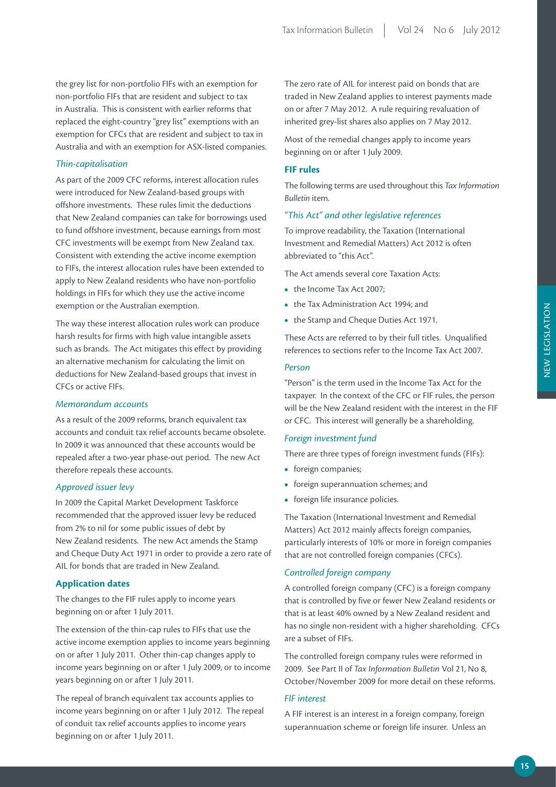the grey list for non-portfolio FIFs with an exemption for non-portfolio FIFs that are resident and subject to tax in Australia. This is consistent with earlier reforms that replaced the eight-country "grey list" exemptions with an exemption for CFCs that are resident and subject to tax in Australia and with an exemption for ASX-listed companies.

#### *Thin-capitalisation*

As part of the 2009 CFC reforms, interest allocation rules were introduced for New Zealand-based groups with offshore investments. These rules limit the deductions that New Zealand companies can take for borrowings used to fund offshore investment, because earnings from most CFC investments will be exempt from New Zealand tax. Consistent with extending the active income exemption to FIFs, the interest allocation rules have been extended to apply to New Zealand residents who have non-portfolio holdings in FIFs for which they use the active income exemption or the Australian exemption.

The way these interest allocation rules work can produce harsh results for firms with high value intangible assets such as brands. The Act mitigates this effect by providing an alternative mechanism for calculating the limit on deductions for New Zealand-based groups that invest in CFCs or active FIFs.

#### *Memorandum accounts*

As a result of the 2009 reforms, branch equivalent tax accounts and conduit tax relief accounts became obsolete. In 2009 it was announced that these accounts would be repealed after a two-year phase-out period. The new Act therefore repeals these accounts.

#### *Approved issuer levy*

In 2009 the Capital Market Development Taskforce recommended that the approved issuer levy be reduced from 2% to nil for some public issues of debt by New Zealand residents. The new Act amends the Stamp and Cheque Duty Act 1971 in order to provide a zero rate of AIL for bonds that are traded in New Zealand.

#### **Application dates**

The changes to the FIF rules apply to income years beginning on or after 1 July 2011.

The extension of the thin-cap rules to FIFs that use the active income exemption applies to income years beginning on or after 1 July 2011. Other thin-cap changes apply to income years beginning on or after 1 July 2009, or to income years beginning on or after 1 July 2011.

The repeal of branch equivalent tax accounts applies to income years beginning on or after 1 July 2012. The repeal of conduit tax relief accounts applies to income years beginning on or after 1 July 2011.

The zero rate of AIL for interest paid on bonds that are traded in New Zealand applies to interest payments made on or after 7 May 2012. A rule requiring revaluation of inherited grey-list shares also applies on 7 May 2012.

Most of the remedial changes apply to income years beginning on or after 1 July 2009.

#### **FIF rules**

The following terms are used throughout this *Tax Information Bulletin* item.

#### *"This Act" and other legislative references*

To improve readability, the Taxation (International Investment and Remedial Matters) Act 2012 is often abbreviated to "this Act".

The Act amends several core Taxation Acts:

- the Income Tax Act 2007:
- **•**  the Tax Administration Act 1994; and
- the Stamp and Cheque Duties Act 1971.

These Acts are referred to by their full titles. Unqualified references to sections refer to the Income Tax Act 2007.

#### *Person*

"Person" is the term used in the Income Tax Act for the taxpayer. In the context of the CFC or FIF rules, the person will be the New Zealand resident with the interest in the FIF or CFC. This interest will generally be a shareholding.

#### *Foreign investment fund*

There are three types of foreign investment funds (FIFs):

- foreign companies;
- **•**  foreign superannuation schemes; and
- foreign life insurance policies.

The Taxation (International Investment and Remedial Matters) Act 2012 mainly affects foreign companies, particularly interests of 10% or more in foreign companies that are not controlled foreign companies (CFCs).

#### *Controlled foreign company*

A controlled foreign company (CFC) is a foreign company that is controlled by five or fewer New Zealand residents or that is at least 40% owned by a New Zealand resident and has no single non-resident with a higher shareholding. CFCs are a subset of FIFs.

The controlled foreign company rules were reformed in 2009. See Part II of *Tax Information Bulletin* Vol 21, No 8, October/November 2009 for more detail on these reforms.

#### *FIF interest*

A FIF interest is an interest in a foreign company, foreign superannuation scheme or foreign life insurer. Unless an NEW LEGISLATION

NEW LEGISLATION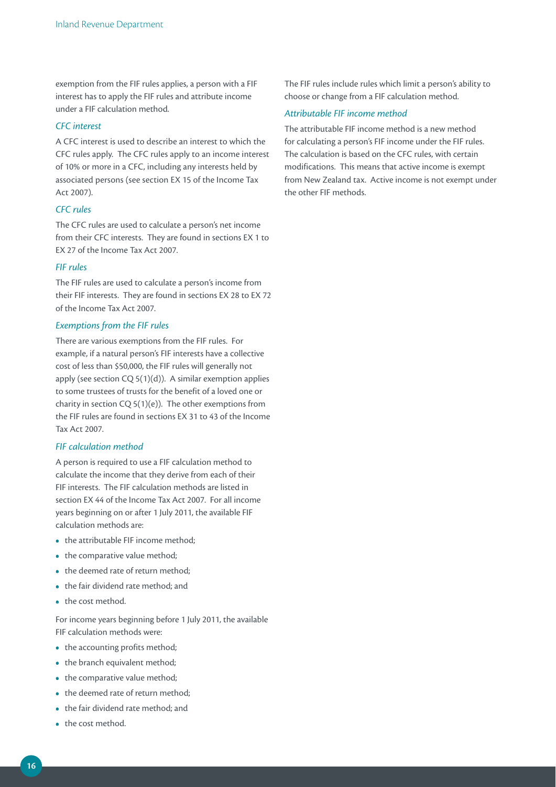exemption from the FIF rules applies, a person with a FIF interest has to apply the FIF rules and attribute income under a FIF calculation method.

#### *CFC interest*

A CFC interest is used to describe an interest to which the CFC rules apply. The CFC rules apply to an income interest of 10% or more in a CFC, including any interests held by associated persons (see section EX 15 of the Income Tax Act 2007).

#### *CFC rules*

The CFC rules are used to calculate a person's net income from their CFC interests. They are found in sections EX 1 to EX 27 of the Income Tax Act 2007.

#### *FIF rules*

The FIF rules are used to calculate a person's income from their FIF interests. They are found in sections EX 28 to EX 72 of the Income Tax Act 2007.

#### *Exemptions from the FIF rules*

There are various exemptions from the FIF rules. For example, if a natural person's FIF interests have a collective cost of less than \$50,000, the FIF rules will generally not apply (see section CQ 5(1)(d)). A similar exemption applies to some trustees of trusts for the benefit of a loved one or charity in section  $CQ 5(1)(e)$ ). The other exemptions from the FIF rules are found in sections EX 31 to 43 of the Income Tax Act 2007.

#### *FIF calculation method*

A person is required to use a FIF calculation method to calculate the income that they derive from each of their FIF interests. The FIF calculation methods are listed in section EX 44 of the Income Tax Act 2007. For all income years beginning on or after 1 July 2011, the available FIF calculation methods are:

- the attributable FIF income method;
- the comparative value method;
- the deemed rate of return method;
- **•**  the fair dividend rate method; and
- **•**  the cost method.

For income years beginning before 1 July 2011, the available FIF calculation methods were:

- the accounting profits method;
- the branch equivalent method;
- the comparative value method;
- the deemed rate of return method:
- **•**  the fair dividend rate method; and
- the cost method.

The FIF rules include rules which limit a person's ability to choose or change from a FIF calculation method.

#### *Attributable FIF income method*

The attributable FIF income method is a new method for calculating a person's FIF income under the FIF rules. The calculation is based on the CFC rules, with certain modifications. This means that active income is exempt from New Zealand tax. Active income is not exempt under the other FIF methods.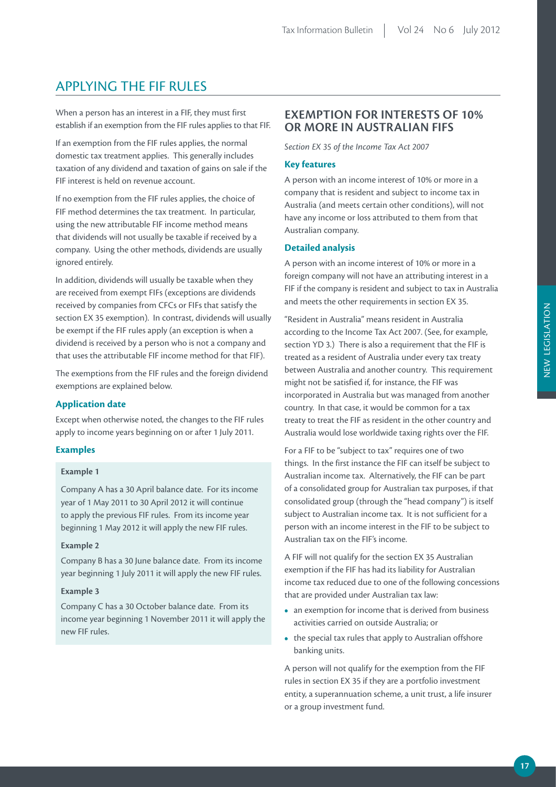# APPLYING THE FIF RULES

When a person has an interest in a FIF, they must first establish if an exemption from the FIF rules applies to that FIF.

If an exemption from the FIF rules applies, the normal domestic tax treatment applies. This generally includes taxation of any dividend and taxation of gains on sale if the FIF interest is held on revenue account.

If no exemption from the FIF rules applies, the choice of FIF method determines the tax treatment. In particular, using the new attributable FIF income method means that dividends will not usually be taxable if received by a company. Using the other methods, dividends are usually ignored entirely.

In addition, dividends will usually be taxable when they are received from exempt FIFs (exceptions are dividends received by companies from CFCs or FIFs that satisfy the section EX 35 exemption). In contrast, dividends will usually be exempt if the FIF rules apply (an exception is when a dividend is received by a person who is not a company and that uses the attributable FIF income method for that FIF).

The exemptions from the FIF rules and the foreign dividend exemptions are explained below.

#### **Application date**

Except when otherwise noted, the changes to the FIF rules apply to income years beginning on or after 1 July 2011.

#### **Examples**

#### **Example 1**

Company A has a 30 April balance date. For its income year of 1 May 2011 to 30 April 2012 it will continue to apply the previous FIF rules. From its income year beginning 1 May 2012 it will apply the new FIF rules.

#### **Example 2**

Company B has a 30 June balance date. From its income year beginning 1 July 2011 it will apply the new FIF rules.

#### **Example 3**

Company C has a 30 October balance date. From its income year beginning 1 November 2011 it will apply the new FIF rules.

## **EXEMPTION FOR INTERESTS OF 10% OR MORE IN AUSTRALIAN FIFS**

*Section EX 35 of the Income Tax Act 2007*

#### **Key features**

A person with an income interest of 10% or more in a company that is resident and subject to income tax in Australia (and meets certain other conditions), will not have any income or loss attributed to them from that Australian company.

#### **Detailed analysis**

A person with an income interest of 10% or more in a foreign company will not have an attributing interest in a FIF if the company is resident and subject to tax in Australia and meets the other requirements in section EX 35.

"Resident in Australia" means resident in Australia according to the Income Tax Act 2007. (See, for example, section YD 3.) There is also a requirement that the FIF is treated as a resident of Australia under every tax treaty between Australia and another country. This requirement might not be satisfied if, for instance, the FIF was incorporated in Australia but was managed from another country. In that case, it would be common for a tax treaty to treat the FIF as resident in the other country and Australia would lose worldwide taxing rights over the FIF.

For a FIF to be "subject to tax" requires one of two things. In the first instance the FIF can itself be subject to Australian income tax. Alternatively, the FIF can be part of a consolidated group for Australian tax purposes, if that consolidated group (through the "head company") is itself subject to Australian income tax. It is not sufficient for a person with an income interest in the FIF to be subject to Australian tax on the FIF's income.

A FIF will not qualify for the section EX 35 Australian exemption if the FIF has had its liability for Australian income tax reduced due to one of the following concessions that are provided under Australian tax law:

- **•**  an exemption for income that is derived from business activities carried on outside Australia; or
- **•**  the special tax rules that apply to Australian offshore banking units.

A person will not qualify for the exemption from the FIF rules in section EX 35 if they are a portfolio investment entity, a superannuation scheme, a unit trust, a life insurer or a group investment fund.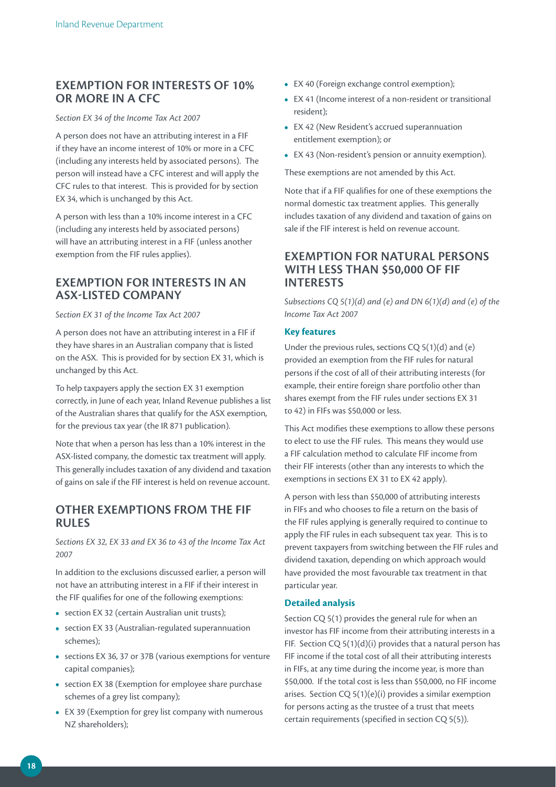# **EXEMPTION FOR INTERESTS OF 10% OR MORE IN A CFC**

#### *Section EX 34 of the Income Tax Act 2007*

A person does not have an attributing interest in a FIF if they have an income interest of 10% or more in a CFC (including any interests held by associated persons). The person will instead have a CFC interest and will apply the CFC rules to that interest. This is provided for by section EX 34, which is unchanged by this Act.

A person with less than a 10% income interest in a CFC (including any interests held by associated persons) will have an attributing interest in a FIF (unless another exemption from the FIF rules applies).

## **EXEMPTION FOR INTERESTS IN AN ASX-LISTED COMPANY**

#### *Section EX 31 of the Income Tax Act 2007*

A person does not have an attributing interest in a FIF if they have shares in an Australian company that is listed on the ASX. This is provided for by section EX 31, which is unchanged by this Act.

To help taxpayers apply the section EX 31 exemption correctly, in June of each year, Inland Revenue publishes a list of the Australian shares that qualify for the ASX exemption, for the previous tax year (the IR 871 publication).

Note that when a person has less than a 10% interest in the ASX-listed company, the domestic tax treatment will apply. This generally includes taxation of any dividend and taxation of gains on sale if the FIF interest is held on revenue account.

## **OTHER EXEMPTIONS FROM THE FIF RULES**

*Sections EX 32, EX 33 and EX 36 to 43 of the Income Tax Act 2007*

In addition to the exclusions discussed earlier, a person will not have an attributing interest in a FIF if their interest in the FIF qualifies for one of the following exemptions:

- section EX 32 (certain Australian unit trusts);
- **•**  section EX 33 (Australian-regulated superannuation schemes);
- **•**  sections EX 36, 37 or 37B (various exemptions for venture capital companies);
- section EX 38 (Exemption for employee share purchase schemes of a grey list company);
- **•**  EX 39 (Exemption for grey list company with numerous NZ shareholders);
- **•**  EX 40 (Foreign exchange control exemption);
- **•**  EX 41 (Income interest of a non-resident or transitional resident);
- **•**  EX 42 (New Resident's accrued superannuation entitlement exemption); or
- **•**  EX 43 (Non-resident's pension or annuity exemption).

These exemptions are not amended by this Act.

Note that if a FIF qualifies for one of these exemptions the normal domestic tax treatment applies. This generally includes taxation of any dividend and taxation of gains on sale if the FIF interest is held on revenue account.

## **EXEMPTION FOR NATURAL PERSONS WITH LESS THAN \$50,000 OF FIF INTERESTS**

*Subsections CQ 5(1)(d) and (e) and DN 6(1)(d) and (e) of the Income Tax Act 2007*

#### **Key features**

Under the previous rules, sections CQ 5(1)(d) and (e) provided an exemption from the FIF rules for natural persons if the cost of all of their attributing interests (for example, their entire foreign share portfolio other than shares exempt from the FIF rules under sections EX 31 to 42) in FIFs was \$50,000 or less.

This Act modifies these exemptions to allow these persons to elect to use the FIF rules. This means they would use a FIF calculation method to calculate FIF income from their FIF interests (other than any interests to which the exemptions in sections EX 31 to EX 42 apply).

A person with less than \$50,000 of attributing interests in FIFs and who chooses to file a return on the basis of the FIF rules applying is generally required to continue to apply the FIF rules in each subsequent tax year. This is to prevent taxpayers from switching between the FIF rules and dividend taxation, depending on which approach would have provided the most favourable tax treatment in that particular year.

#### **Detailed analysis**

Section CQ 5(1) provides the general rule for when an investor has FIF income from their attributing interests in a FIF. Section  $CQ 5(1)(d)(i)$  provides that a natural person has FIF income if the total cost of all their attributing interests in FIFs, at any time during the income year, is more than \$50,000. If the total cost is less than \$50,000, no FIF income arises. Section CQ 5(1)(e)(i) provides a similar exemption for persons acting as the trustee of a trust that meets certain requirements (specified in section CQ 5(5)).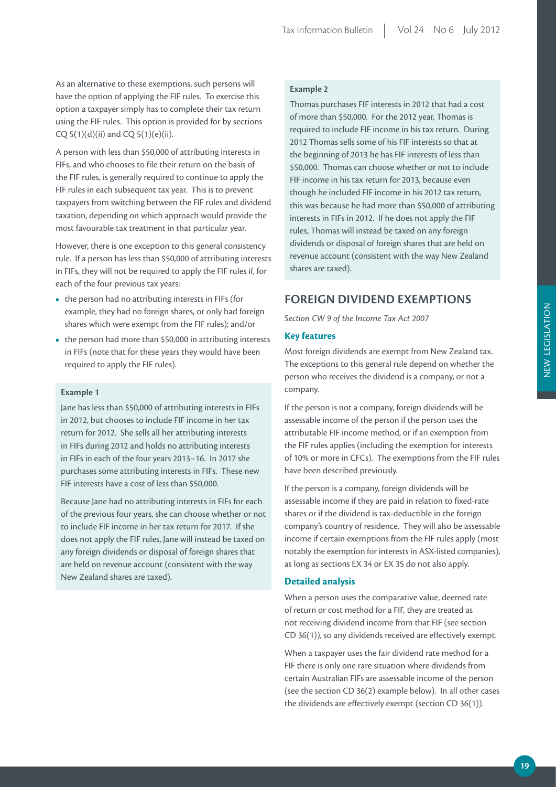As an alternative to these exemptions, such persons will have the option of applying the FIF rules. To exercise this option a taxpayer simply has to complete their tax return using the FIF rules. This option is provided for by sections CQ  $5(1)(d)(ii)$  and CQ  $5(1)(e)(ii)$ .

A person with less than \$50,000 of attributing interests in FIFs, and who chooses to file their return on the basis of the FIF rules, is generally required to continue to apply the FIF rules in each subsequent tax year. This is to prevent taxpayers from switching between the FIF rules and dividend taxation, depending on which approach would provide the most favourable tax treatment in that particular year.

However, there is one exception to this general consistency rule. If a person has less than \$50,000 of attributing interests in FIFs, they will not be required to apply the FIF rules if, for each of the four previous tax years:

- the person had no attributing interests in FIFs (for example, they had no foreign shares, or only had foreign shares which were exempt from the FIF rules); and/or
- the person had more than \$50,000 in attributing interests in FIFs (note that for these years they would have been required to apply the FIF rules).

#### **Example 1**

Jane has less than \$50,000 of attributing interests in FIFs in 2012, but chooses to include FIF income in her tax return for 2012. She sells all her attributing interests in FIFs during 2012 and holds no attributing interests in FIFs in each of the four years 2013–16. In 2017 she purchases some attributing interests in FIFs. These new FIF interests have a cost of less than \$50,000.

Because Jane had no attributing interests in FIFs for each of the previous four years, she can choose whether or not to include FIF income in her tax return for 2017. If she does not apply the FIF rules, Jane will instead be taxed on any foreign dividends or disposal of foreign shares that are held on revenue account (consistent with the way New Zealand shares are taxed).

#### **Example 2**

Thomas purchases FIF interests in 2012 that had a cost of more than \$50,000. For the 2012 year, Thomas is required to include FIF income in his tax return. During 2012 Thomas sells some of his FIF interests so that at the beginning of 2013 he has FIF interests of less than \$50,000. Thomas can choose whether or not to include FIF income in his tax return for 2013, because even though he included FIF income in his 2012 tax return, this was because he had more than \$50,000 of attributing interests in FIFs in 2012. If he does not apply the FIF rules, Thomas will instead be taxed on any foreign dividends or disposal of foreign shares that are held on revenue account (consistent with the way New Zealand shares are taxed).

# **FOREIGN DIVIDEND EXEMPTIONS**

*Section CW 9 of the Income Tax Act 2007*

#### **Key features**

Most foreign dividends are exempt from New Zealand tax. The exceptions to this general rule depend on whether the person who receives the dividend is a company, or not a company.

If the person is not a company, foreign dividends will be assessable income of the person if the person uses the attributable FIF income method, or if an exemption from the FIF rules applies (including the exemption for interests of 10% or more in CFCs). The exemptions from the FIF rules have been described previously.

If the person is a company, foreign dividends will be assessable income if they are paid in relation to fixed-rate shares or if the dividend is tax-deductible in the foreign company's country of residence. They will also be assessable income if certain exemptions from the FIF rules apply (most notably the exemption for interests in ASX-listed companies), as long as sections EX 34 or EX 35 do not also apply.

#### **Detailed analysis**

When a person uses the comparative value, deemed rate of return or cost method for a FIF, they are treated as not receiving dividend income from that FIF (see section CD 36(1)), so any dividends received are effectively exempt.

When a taxpayer uses the fair dividend rate method for a FIF there is only one rare situation where dividends from certain Australian FIFs are assessable income of the person (see the section CD 36(2) example below). In all other cases the dividends are effectively exempt (section CD 36(1)).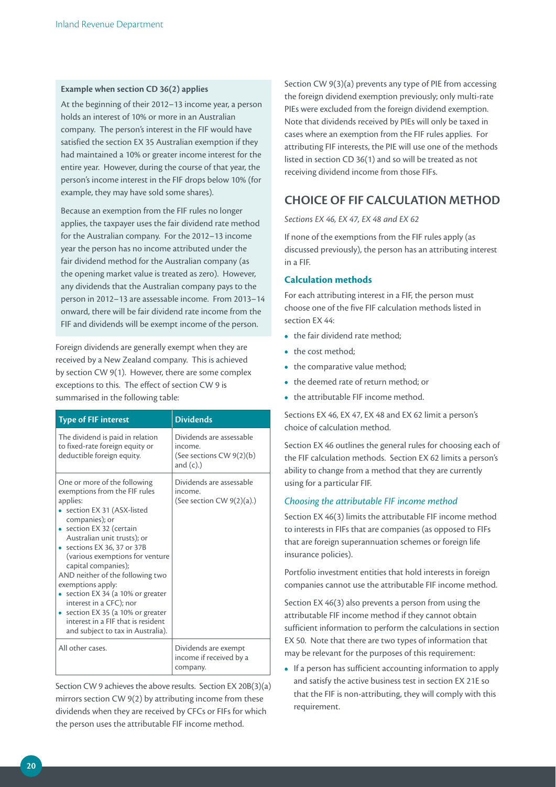#### **Example when section CD 36(2) applies**

At the beginning of their 2012–13 income year, a person holds an interest of 10% or more in an Australian company. The person's interest in the FIF would have satisfied the section EX 35 Australian exemption if they had maintained a 10% or greater income interest for the entire year. However, during the course of that year, the person's income interest in the FIF drops below 10% (for example, they may have sold some shares).

Because an exemption from the FIF rules no longer applies, the taxpayer uses the fair dividend rate method for the Australian company. For the 2012–13 income year the person has no income attributed under the fair dividend method for the Australian company (as the opening market value is treated as zero). However, any dividends that the Australian company pays to the person in 2012–13 are assessable income. From 2013–14 onward, there will be fair dividend rate income from the FIF and dividends will be exempt income of the person.

Foreign dividends are generally exempt when they are received by a New Zealand company. This is achieved by section CW 9(1). However, there are some complex exceptions to this. The effect of section CW 9 is summarised in the following table:

| <b>Type of FIF interest</b>                                                                                                                                                                                                                                                                                                                                                                                                                                                                                       | <b>Dividends</b>                                                                |
|-------------------------------------------------------------------------------------------------------------------------------------------------------------------------------------------------------------------------------------------------------------------------------------------------------------------------------------------------------------------------------------------------------------------------------------------------------------------------------------------------------------------|---------------------------------------------------------------------------------|
| The dividend is paid in relation<br>to fixed-rate foreign equity or<br>deductible foreign equity.                                                                                                                                                                                                                                                                                                                                                                                                                 | Dividends are assessable<br>income.<br>(See sections CW 9(2)(b)<br>and $(c)$ .) |
| One or more of the following<br>exemptions from the FIF rules<br>applies:<br>section EX 31 (ASX-listed<br>companies); or<br>• section EX 32 (certain<br>Australian unit trusts); or<br>• sections EX 36, 37 or 37B<br>(various exemptions for venture<br>capital companies);<br>AND neither of the following two<br>exemptions apply:<br>section EX 34 (a 10% or greater<br>interest in a CFC); nor<br>section EX 35 (a 10% or greater<br>interest in a FIF that is resident<br>and subject to tax in Australia). | Dividends are assessable<br>income.<br>(See section CW $9(2)(a)$ .)             |
| All other cases.                                                                                                                                                                                                                                                                                                                                                                                                                                                                                                  | Dividends are exempt<br>income if received by a<br>company.                     |

Section CW 9 achieves the above results. Section EX 20B(3)(a) mirrors section CW 9(2) by attributing income from these dividends when they are received by CFCs or FIFs for which the person uses the attributable FIF income method.

Section CW 9(3)(a) prevents any type of PIE from accessing the foreign dividend exemption previously; only multi-rate PIEs were excluded from the foreign dividend exemption. Note that dividends received by PIEs will only be taxed in cases where an exemption from the FIF rules applies. For attributing FIF interests, the PIE will use one of the methods listed in section CD 36(1) and so will be treated as not receiving dividend income from those FIFs.

# **CHOICE OF FIF CALCULATION METHOD**

*Sections EX 46, EX 47, EX 48 and EX 62*

If none of the exemptions from the FIF rules apply (as discussed previously), the person has an attributing interest in a FIF.

#### **Calculation methods**

For each attributing interest in a FIF, the person must choose one of the five FIF calculation methods listed in section EX 44:

- the fair dividend rate method:
- the cost method:
- the comparative value method;
- the deemed rate of return method; or
- the attributable FIF income method.

Sections EX 46, EX 47, EX 48 and EX 62 limit a person's choice of calculation method.

Section EX 46 outlines the general rules for choosing each of the FIF calculation methods. Section EX 62 limits a person's ability to change from a method that they are currently using for a particular FIF.

#### *Choosing the attributable FIF income method*

Section EX 46(3) limits the attributable FIF income method to interests in FIFs that are companies (as opposed to FIFs that are foreign superannuation schemes or foreign life insurance policies).

Portfolio investment entities that hold interests in foreign companies cannot use the attributable FIF income method.

Section EX 46(3) also prevents a person from using the attributable FIF income method if they cannot obtain sufficient information to perform the calculations in section EX 50. Note that there are two types of information that may be relevant for the purposes of this requirement:

• If a person has sufficient accounting information to apply and satisfy the active business test in section EX 21E so that the FIF is non-attributing, they will comply with this requirement.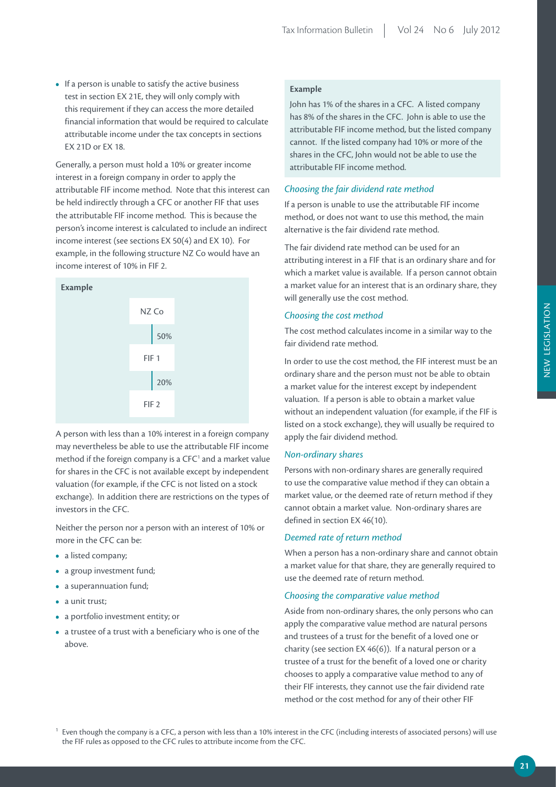• If a person is unable to satisfy the active business test in section EX 21E, they will only comply with this requirement if they can access the more detailed financial information that would be required to calculate attributable income under the tax concepts in sections EX 21D or EX 18.

Generally, a person must hold a 10% or greater income interest in a foreign company in order to apply the attributable FIF income method. Note that this interest can be held indirectly through a CFC or another FIF that uses the attributable FIF income method. This is because the person's income interest is calculated to include an indirect income interest (see sections EX 50(4) and EX 10). For example, in the following structure NZ Co would have an income interest of 10% in FIF 2.



A person with less than a 10% interest in a foreign company may nevertheless be able to use the attributable FIF income method if the foreign company is a  $CFC<sup>1</sup>$  and a market value for shares in the CFC is not available except by independent valuation (for example, if the CFC is not listed on a stock exchange). In addition there are restrictions on the types of investors in the CFC.

Neither the person nor a person with an interest of 10% or more in the CFC can be:

- **•**  a listed company;
- **•**  a group investment fund;
- **•**  a superannuation fund;
- a unit trust:
- **•**  a portfolio investment entity; or
- **•**  a trustee of a trust with a beneficiary who is one of the above.

### **Example**

John has 1% of the shares in a CFC. A listed company has 8% of the shares in the CFC. John is able to use the attributable FIF income method, but the listed company cannot. If the listed company had 10% or more of the shares in the CFC, John would not be able to use the attributable FIF income method.

#### *Choosing the fair dividend rate method*

If a person is unable to use the attributable FIF income method, or does not want to use this method, the main alternative is the fair dividend rate method.

The fair dividend rate method can be used for an attributing interest in a FIF that is an ordinary share and for which a market value is available. If a person cannot obtain a market value for an interest that is an ordinary share, they will generally use the cost method.

#### *Choosing the cost method*

The cost method calculates income in a similar way to the fair dividend rate method.

In order to use the cost method, the FIF interest must be an ordinary share and the person must not be able to obtain a market value for the interest except by independent valuation. If a person is able to obtain a market value without an independent valuation (for example, if the FIF is listed on a stock exchange), they will usually be required to apply the fair dividend method.

#### *Non-ordinary shares*

Persons with non-ordinary shares are generally required to use the comparative value method if they can obtain a market value, or the deemed rate of return method if they cannot obtain a market value. Non-ordinary shares are defined in section EX 46(10).

#### *Deemed rate of return method*

When a person has a non-ordinary share and cannot obtain a market value for that share, they are generally required to use the deemed rate of return method.

#### *Choosing the comparative value method*

Aside from non-ordinary shares, the only persons who can apply the comparative value method are natural persons and trustees of a trust for the benefit of a loved one or charity (see section EX 46(6)). If a natural person or a trustee of a trust for the benefit of a loved one or charity chooses to apply a comparative value method to any of their FIF interests, they cannot use the fair dividend rate method or the cost method for any of their other FIF

 $1$  Even though the company is a CFC, a person with less than a 10% interest in the CFC (including interests of associated persons) will use the FIF rules as opposed to the CFC rules to attribute income from the CFC.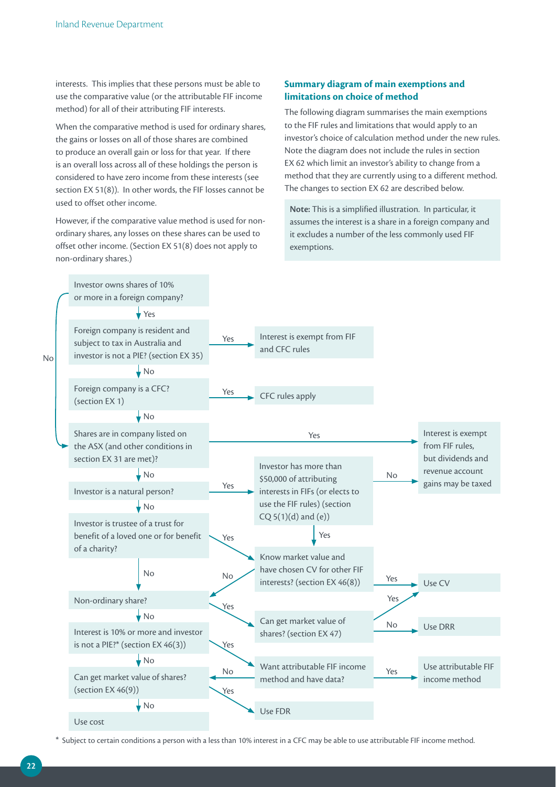interests. This implies that these persons must be able to use the comparative value (or the attributable FIF income method) for all of their attributing FIF interests.

When the comparative method is used for ordinary shares, the gains or losses on all of those shares are combined to produce an overall gain or loss for that year. If there is an overall loss across all of these holdings the person is considered to have zero income from these interests (see section EX 51(8)). In other words, the FIF losses cannot be used to offset other income.

However, if the comparative value method is used for nonordinary shares, any losses on these shares can be used to offset other income. (Section EX 51(8) does not apply to non-ordinary shares.)

#### **Summary diagram of main exemptions and limitations on choice of method**

The following diagram summarises the main exemptions to the FIF rules and limitations that would apply to an investor's choice of calculation method under the new rules. Note the diagram does not include the rules in section EX 62 which limit an investor's ability to change from a method that they are currently using to a different method. The changes to section EX 62 are described below.

**Note:** This is a simplified illustration. In particular, it assumes the interest is a share in a foreign company and it excludes a number of the less commonly used FIF exemptions.



\* Subject to certain conditions a person with a less than 10% interest in a CFC may be able to use attributable FIF income method.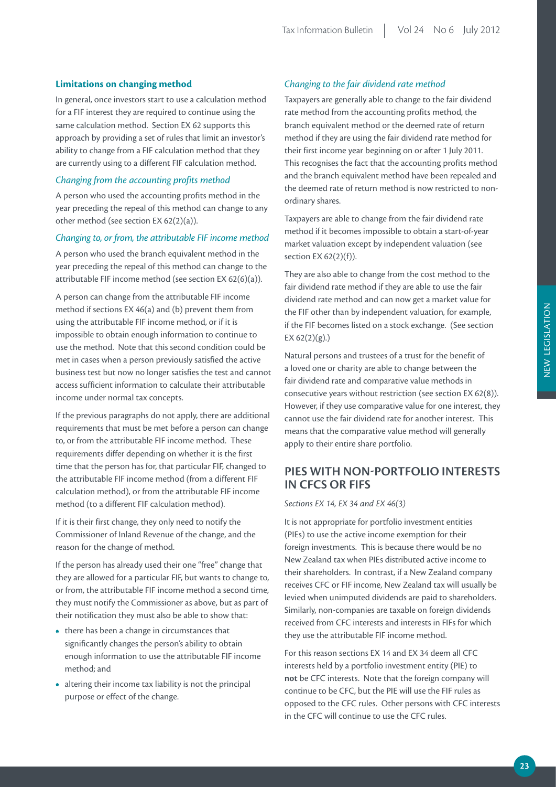#### **Limitations on changing method**

In general, once investors start to use a calculation method for a FIF interest they are required to continue using the same calculation method. Section EX 62 supports this approach by providing a set of rules that limit an investor's ability to change from a FIF calculation method that they are currently using to a different FIF calculation method.

#### *Changing from the accounting profits method*

A person who used the accounting profits method in the year preceding the repeal of this method can change to any other method (see section EX 62(2)(a)).

#### *Changing to, or from, the attributable FIF income method*

A person who used the branch equivalent method in the year preceding the repeal of this method can change to the attributable FIF income method (see section EX 62(6)(a)).

A person can change from the attributable FIF income method if sections EX 46(a) and (b) prevent them from using the attributable FIF income method, or if it is impossible to obtain enough information to continue to use the method. Note that this second condition could be met in cases when a person previously satisfied the active business test but now no longer satisfies the test and cannot access sufficient information to calculate their attributable income under normal tax concepts.

If the previous paragraphs do not apply, there are additional requirements that must be met before a person can change to, or from the attributable FIF income method. These requirements differ depending on whether it is the first time that the person has for, that particular FIF, changed to the attributable FIF income method (from a different FIF calculation method), or from the attributable FIF income method (to a different FIF calculation method).

If it is their first change, they only need to notify the Commissioner of Inland Revenue of the change, and the reason for the change of method.

If the person has already used their one "free" change that they are allowed for a particular FIF, but wants to change to, or from, the attributable FIF income method a second time, they must notify the Commissioner as above, but as part of their notification they must also be able to show that:

- there has been a change in circumstances that significantly changes the person's ability to obtain enough information to use the attributable FIF income method; and
- **•**  altering their income tax liability is not the principal purpose or effect of the change.

#### *Changing to the fair dividend rate method*

Taxpayers are generally able to change to the fair dividend rate method from the accounting profits method, the branch equivalent method or the deemed rate of return method if they are using the fair dividend rate method for their first income year beginning on or after 1 July 2011. This recognises the fact that the accounting profits method and the branch equivalent method have been repealed and the deemed rate of return method is now restricted to nonordinary shares.

Taxpayers are able to change from the fair dividend rate method if it becomes impossible to obtain a start-of-year market valuation except by independent valuation (see section EX 62(2)(f)).

They are also able to change from the cost method to the fair dividend rate method if they are able to use the fair dividend rate method and can now get a market value for the FIF other than by independent valuation, for example, if the FIF becomes listed on a stock exchange. (See section EX  $62(2)(g)$ .)

Natural persons and trustees of a trust for the benefit of a loved one or charity are able to change between the fair dividend rate and comparative value methods in consecutive years without restriction (see section EX 62(8)). However, if they use comparative value for one interest, they cannot use the fair dividend rate for another interest. This means that the comparative value method will generally apply to their entire share portfolio.

# **PIES WITH NON-PORTFOLIO INTERESTS IN CFCS OR FIFS**

#### *Sections EX 14, EX 34 and EX 46(3)*

It is not appropriate for portfolio investment entities (PIEs) to use the active income exemption for their foreign investments. This is because there would be no New Zealand tax when PIEs distributed active income to their shareholders. In contrast, if a New Zealand company receives CFC or FIF income, New Zealand tax will usually be levied when unimputed dividends are paid to shareholders. Similarly, non-companies are taxable on foreign dividends received from CFC interests and interests in FIFs for which they use the attributable FIF income method.

For this reason sections EX 14 and EX 34 deem all CFC interests held by a portfolio investment entity (PIE) to **not** be CFC interests. Note that the foreign company will continue to be CFC, but the PIE will use the FIF rules as opposed to the CFC rules. Other persons with CFC interests in the CFC will continue to use the CFC rules.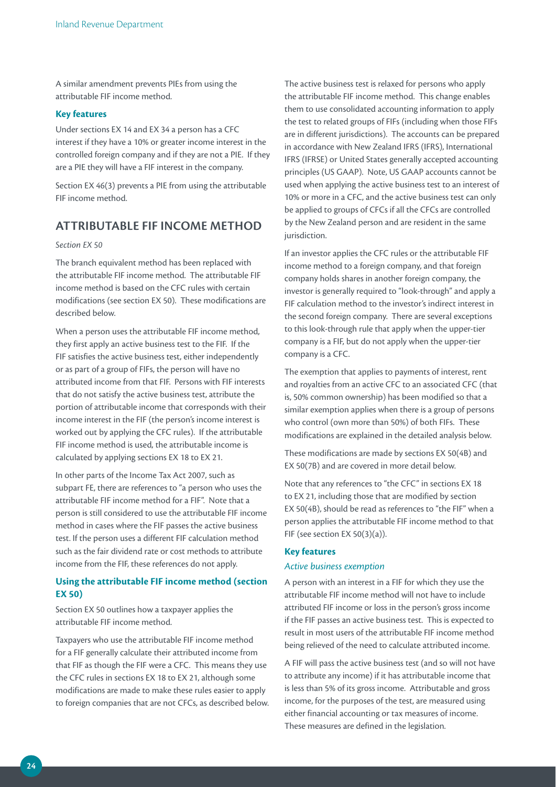A similar amendment prevents PIEs from using the attributable FIF income method.

#### **Key features**

Under sections EX 14 and EX 34 a person has a CFC interest if they have a 10% or greater income interest in the controlled foreign company and if they are not a PIE. If they are a PIE they will have a FIF interest in the company.

Section EX 46(3) prevents a PIE from using the attributable FIF income method.

# **ATTRIBUTABLE FIF INCOME METHOD**

#### *Section EX 50*

The branch equivalent method has been replaced with the attributable FIF income method. The attributable FIF income method is based on the CFC rules with certain modifications (see section EX 50). These modifications are described below.

When a person uses the attributable FIF income method, they first apply an active business test to the FIF. If the FIF satisfies the active business test, either independently or as part of a group of FIFs, the person will have no attributed income from that FIF. Persons with FIF interests that do not satisfy the active business test, attribute the portion of attributable income that corresponds with their income interest in the FIF (the person's income interest is worked out by applying the CFC rules). If the attributable FIF income method is used, the attributable income is calculated by applying sections EX 18 to EX 21.

In other parts of the Income Tax Act 2007, such as subpart FE, there are references to "a person who uses the attributable FIF income method for a FIF". Note that a person is still considered to use the attributable FIF income method in cases where the FIF passes the active business test. If the person uses a different FIF calculation method such as the fair dividend rate or cost methods to attribute income from the FIF, these references do not apply.

### **Using the attributable FIF income method (section EX 50)**

Section EX 50 outlines how a taxpayer applies the attributable FIF income method.

Taxpayers who use the attributable FIF income method for a FIF generally calculate their attributed income from that FIF as though the FIF were a CFC. This means they use the CFC rules in sections EX 18 to EX 21, although some modifications are made to make these rules easier to apply to foreign companies that are not CFCs, as described below.

The active business test is relaxed for persons who apply the attributable FIF income method. This change enables them to use consolidated accounting information to apply the test to related groups of FIFs (including when those FIFs are in different jurisdictions). The accounts can be prepared in accordance with New Zealand IFRS (IFRS), International IFRS (IFRSE) or United States generally accepted accounting principles (US GAAP). Note, US GAAP accounts cannot be used when applying the active business test to an interest of 10% or more in a CFC, and the active business test can only be applied to groups of CFCs if all the CFCs are controlled by the New Zealand person and are resident in the same jurisdiction.

If an investor applies the CFC rules or the attributable FIF income method to a foreign company, and that foreign company holds shares in another foreign company, the investor is generally required to "look-through" and apply a FIF calculation method to the investor's indirect interest in the second foreign company. There are several exceptions to this look-through rule that apply when the upper-tier company is a FIF, but do not apply when the upper-tier company is a CFC.

The exemption that applies to payments of interest, rent and royalties from an active CFC to an associated CFC (that is, 50% common ownership) has been modified so that a similar exemption applies when there is a group of persons who control (own more than 50%) of both FIFs. These modifications are explained in the detailed analysis below.

These modifications are made by sections EX 50(4B) and EX 50(7B) and are covered in more detail below.

Note that any references to "the CFC" in sections EX 18 to EX 21, including those that are modified by section EX 50(4B), should be read as references to "the FIF" when a person applies the attributable FIF income method to that FIF (see section EX 50(3)(a)).

#### **Key features**

#### *Active business exemption*

A person with an interest in a FIF for which they use the attributable FIF income method will not have to include attributed FIF income or loss in the person's gross income if the FIF passes an active business test. This is expected to result in most users of the attributable FIF income method being relieved of the need to calculate attributed income.

A FIF will pass the active business test (and so will not have to attribute any income) if it has attributable income that is less than 5% of its gross income. Attributable and gross income, for the purposes of the test, are measured using either financial accounting or tax measures of income. These measures are defined in the legislation.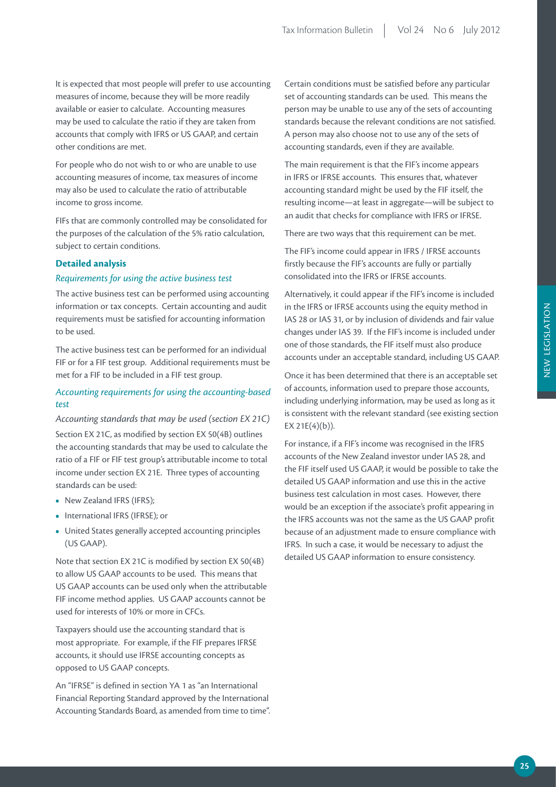It is expected that most people will prefer to use accounting measures of income, because they will be more readily available or easier to calculate. Accounting measures may be used to calculate the ratio if they are taken from accounts that comply with IFRS or US GAAP, and certain other conditions are met.

For people who do not wish to or who are unable to use accounting measures of income, tax measures of income may also be used to calculate the ratio of attributable income to gross income.

FIFs that are commonly controlled may be consolidated for the purposes of the calculation of the 5% ratio calculation, subject to certain conditions.

#### **Detailed analysis**

#### *Requirements for using the active business test*

The active business test can be performed using accounting information or tax concepts. Certain accounting and audit requirements must be satisfied for accounting information to be used.

The active business test can be performed for an individual FIF or for a FIF test group. Additional requirements must be met for a FIF to be included in a FIF test group.

#### *Accounting requirements for using the accounting-based test*

*Accounting standards that may be used (section EX 21C)* Section EX 21C, as modified by section EX 50(4B) outlines the accounting standards that may be used to calculate the ratio of a FIF or FIF test group's attributable income to total income under section EX 21E. Three types of accounting

• New Zealand IFRS (IFRS);

standards can be used:

- **•**  International IFRS (IFRSE); or
- **•**  United States generally accepted accounting principles (US GAAP).

Note that section EX 21C is modified by section EX 50(4B) to allow US GAAP accounts to be used. This means that US GAAP accounts can be used only when the attributable FIF income method applies. US GAAP accounts cannot be used for interests of 10% or more in CFCs.

Taxpayers should use the accounting standard that is most appropriate. For example, if the FIF prepares IFRSE accounts, it should use IFRSE accounting concepts as opposed to US GAAP concepts.

An "IFRSE" is defined in section YA 1 as "an International Financial Reporting Standard approved by the International Accounting Standards Board, as amended from time to time".

Certain conditions must be satisfied before any particular set of accounting standards can be used. This means the person may be unable to use any of the sets of accounting standards because the relevant conditions are not satisfied. A person may also choose not to use any of the sets of accounting standards, even if they are available.

The main requirement is that the FIF's income appears in IFRS or IFRSE accounts. This ensures that, whatever accounting standard might be used by the FIF itself, the resulting income—at least in aggregate—will be subject to an audit that checks for compliance with IFRS or IFRSE.

There are two ways that this requirement can be met.

The FIF's income could appear in IFRS / IFRSE accounts firstly because the FIF's accounts are fully or partially consolidated into the IFRS or IFRSE accounts.

Alternatively, it could appear if the FIF's income is included in the IFRS or IFRSE accounts using the equity method in IAS 28 or IAS 31, or by inclusion of dividends and fair value changes under IAS 39. If the FIF's income is included under one of those standards, the FIF itself must also produce accounts under an acceptable standard, including US GAAP.

Once it has been determined that there is an acceptable set of accounts, information used to prepare those accounts, including underlying information, may be used as long as it is consistent with the relevant standard (see existing section  $EX 21E(4)(b)$ ).

For instance, if a FIF's income was recognised in the IFRS accounts of the New Zealand investor under IAS 28, and the FIF itself used US GAAP, it would be possible to take the detailed US GAAP information and use this in the active business test calculation in most cases. However, there would be an exception if the associate's profit appearing in the IFRS accounts was not the same as the US GAAP profit because of an adjustment made to ensure compliance with IFRS. In such a case, it would be necessary to adjust the detailed US GAAP information to ensure consistency.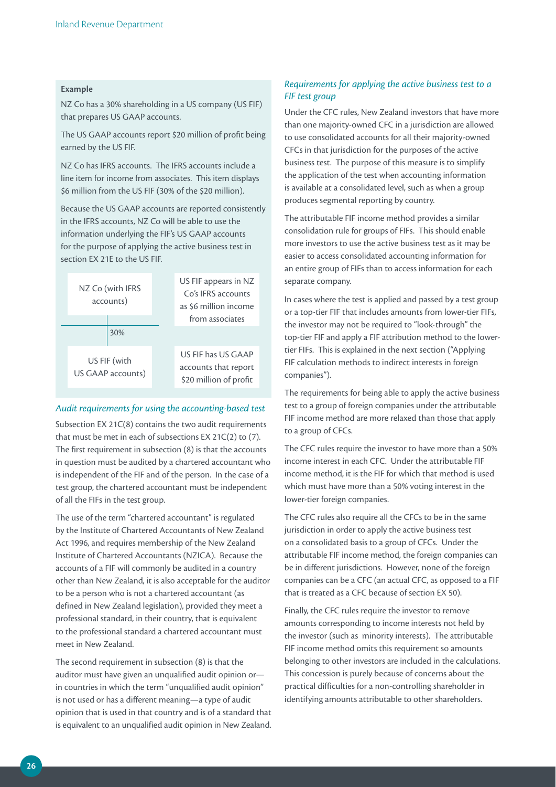#### **Example**

NZ Co has a 30% shareholding in a US company (US FIF) that prepares US GAAP accounts.

The US GAAP accounts report \$20 million of profit being earned by the US FIF.

NZ Co has IFRS accounts. The IFRS accounts include a line item for income from associates. This item displays \$6 million from the US FIF (30% of the \$20 million).

Because the US GAAP accounts are reported consistently in the IFRS accounts, NZ Co will be able to use the information underlying the FIF's US GAAP accounts for the purpose of applying the active business test in section EX 21E to the US FIF.



#### *Audit requirements for using the accounting-based test*

Subsection EX 21C(8) contains the two audit requirements that must be met in each of subsections EX 21C(2) to (7). The first requirement in subsection (8) is that the accounts in question must be audited by a chartered accountant who is independent of the FIF and of the person. In the case of a test group, the chartered accountant must be independent of all the FIFs in the test group.

The use of the term "chartered accountant" is regulated by the Institute of Chartered Accountants of New Zealand Act 1996, and requires membership of the New Zealand Institute of Chartered Accountants (NZICA). Because the accounts of a FIF will commonly be audited in a country other than New Zealand, it is also acceptable for the auditor to be a person who is not a chartered accountant (as defined in New Zealand legislation), provided they meet a professional standard, in their country, that is equivalent to the professional standard a chartered accountant must meet in New Zealand.

The second requirement in subsection (8) is that the auditor must have given an unqualified audit opinion or in countries in which the term "unqualified audit opinion" is not used or has a different meaning—a type of audit opinion that is used in that country and is of a standard that is equivalent to an unqualified audit opinion in New Zealand.

#### *Requirements for applying the active business test to a FIF test group*

Under the CFC rules, New Zealand investors that have more than one majority-owned CFC in a jurisdiction are allowed to use consolidated accounts for all their majority-owned CFCs in that jurisdiction for the purposes of the active business test. The purpose of this measure is to simplify the application of the test when accounting information is available at a consolidated level, such as when a group produces segmental reporting by country.

The attributable FIF income method provides a similar consolidation rule for groups of FIFs. This should enable more investors to use the active business test as it may be easier to access consolidated accounting information for an entire group of FIFs than to access information for each separate company.

In cases where the test is applied and passed by a test group or a top-tier FIF that includes amounts from lower-tier FIFs, the investor may not be required to "look-through" the top-tier FIF and apply a FIF attribution method to the lowertier FIFs. This is explained in the next section ("Applying FIF calculation methods to indirect interests in foreign companies").

The requirements for being able to apply the active business test to a group of foreign companies under the attributable FIF income method are more relaxed than those that apply to a group of CFCs.

The CFC rules require the investor to have more than a 50% income interest in each CFC. Under the attributable FIF income method, it is the FIF for which that method is used which must have more than a 50% voting interest in the lower-tier foreign companies.

The CFC rules also require all the CFCs to be in the same jurisdiction in order to apply the active business test on a consolidated basis to a group of CFCs. Under the attributable FIF income method, the foreign companies can be in different jurisdictions. However, none of the foreign companies can be a CFC (an actual CFC, as opposed to a FIF that is treated as a CFC because of section EX 50).

Finally, the CFC rules require the investor to remove amounts corresponding to income interests not held by the investor (such as minority interests). The attributable FIF income method omits this requirement so amounts belonging to other investors are included in the calculations. This concession is purely because of concerns about the practical difficulties for a non-controlling shareholder in identifying amounts attributable to other shareholders.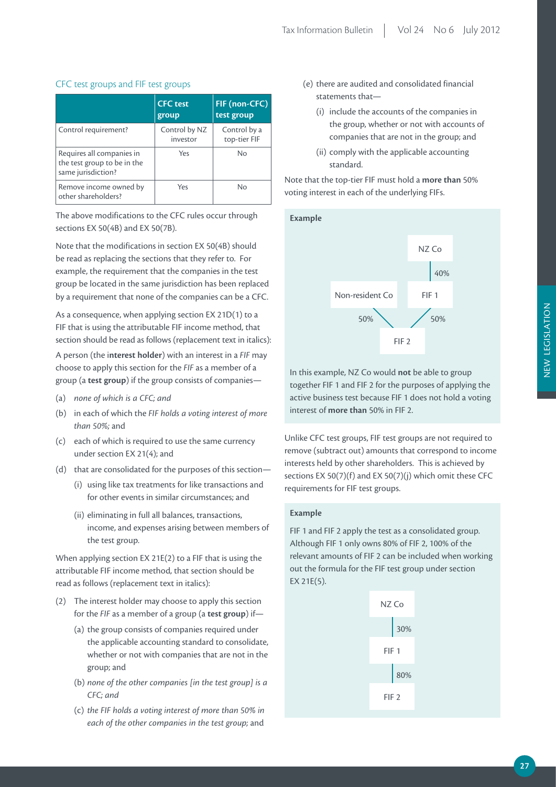|                                                                                | <b>CFC</b> test<br>group  | FIF (non-CFC)<br>test group  |
|--------------------------------------------------------------------------------|---------------------------|------------------------------|
| Control requirement?                                                           | Control by NZ<br>investor | Control by a<br>top-tier FIF |
| Requires all companies in<br>the test group to be in the<br>same jurisdiction? | Yes                       | No                           |
| Remove income owned by<br>other shareholders?                                  | Yes                       | No                           |

#### CFC test groups and FIF test groups

The above modifications to the CFC rules occur through sections EX 50(4B) and EX 50(7B).

Note that the modifications in section EX 50(4B) should be read as replacing the sections that they refer to. For example, the requirement that the companies in the test group be located in the same jurisdiction has been replaced by a requirement that none of the companies can be a CFC.

As a consequence, when applying section EX 21D(1) to a FIF that is using the attributable FIF income method, that section should be read as follows (replacement text in italics):

A person (the i**nterest holder**) with an interest in a *FIF* may choose to apply this section for the *FIF* as a member of a group (a **test group**) if the group consists of companies—

- (a) *none of which is a CFC; and*
- (b) in each of which the *FIF holds a voting interest of more than 50%;* and
- (c) each of which is required to use the same currency under section EX 21(4); and
- (d) that are consolidated for the purposes of this section—
	- (i) using like tax treatments for like transactions and for other events in similar circumstances; and
	- (ii) eliminating in full all balances, transactions, income, and expenses arising between members of the test group.

When applying section EX 21E(2) to a FIF that is using the attributable FIF income method, that section should be read as follows (replacement text in italics):

- (2) The interest holder may choose to apply this section for the *FIF* as a member of a group (a **test group**) if—
	- (a) the group consists of companies required under the applicable accounting standard to consolidate, whether or not with companies that are not in the group; and
	- (b) *none of the other companies [in the test group] is a CFC; and*
	- (c) *the FIF holds a voting interest of more than 50% in each of the other companies in the test group;* and
- (e) there are audited and consolidated financial statements that—
	- (i) include the accounts of the companies in the group, whether or not with accounts of companies that are not in the group; and
	- (ii) comply with the applicable accounting standard.

Note that the top-tier FIF must hold a **more than** 50% voting interest in each of the underlying FIFs.



In this example, NZ Co would **not** be able to group together FIF 1 and FIF 2 for the purposes of applying the active business test because FIF 1 does not hold a voting interest of **more than** 50% in FIF 2.

Unlike CFC test groups, FIF test groups are not required to remove (subtract out) amounts that correspond to income interests held by other shareholders. This is achieved by sections EX 50(7)(f) and EX 50(7)(j) which omit these CFC requirements for FIF test groups.

#### **APPLICATION FIRST CALCULATION Example**

FIF 1 and FIF 2 apply the test as a consolidated group. Although FIF 1 only owns 80% of FIF 2, 100% of the relevant amounts of FIF 2 can be included when working out the formula for the FIF test group under section EX 21E(5).

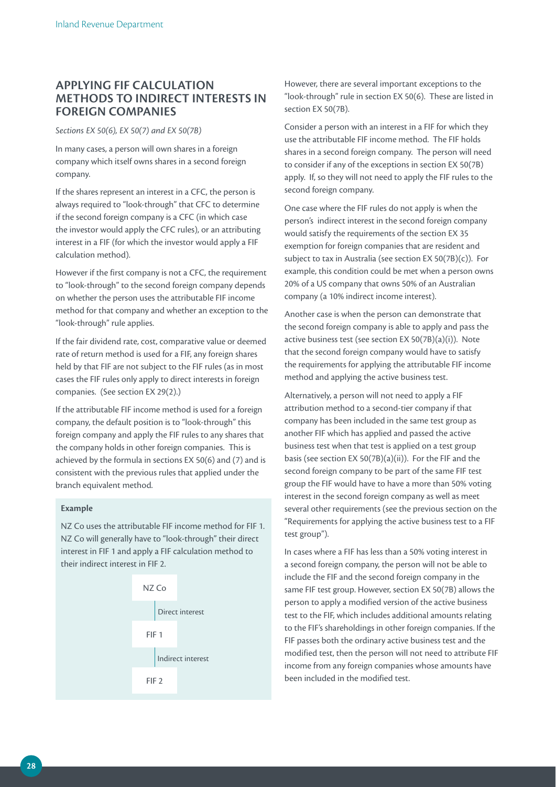# **APPLYING FIF CALCULATION METHODS TO INDIRECT INTERESTS IN FOREIGN COMPANIES**

#### *Sections EX 50(6), EX 50(7) and EX 50(7B)*

In many cases, a person will own shares in a foreign company which itself owns shares in a second foreign company.

If the shares represent an interest in a CFC, the person is always required to "look-through" that CFC to determine if the second foreign company is a CFC (in which case the investor would apply the CFC rules), or an attributing interest in a FIF (for which the investor would apply a FIF calculation method).

However if the first company is not a CFC, the requirement to "look-through" to the second foreign company depends on whether the person uses the attributable FIF income method for that company and whether an exception to the "look-through" rule applies.

If the fair dividend rate, cost, comparative value or deemed rate of return method is used for a FIF, any foreign shares held by that FIF are not subject to the FIF rules (as in most cases the FIF rules only apply to direct interests in foreign companies. (See section EX 29(2).)

If the attributable FIF income method is used for a foreign company, the default position is to "look-through" this foreign company and apply the FIF rules to any shares that the company holds in other foreign companies. This is achieved by the formula in sections EX 50(6) and (7) and is consistent with the previous rules that applied under the branch equivalent method.

#### **Example**

NZ Co uses the attributable FIF income method for FIF 1. NZ Co will generally have to "look-through" their direct interest in FIF 1 and apply a FIF calculation method to their indirect interest in FIF 2.



However, there are several important exceptions to the "look-through" rule in section EX 50(6). These are listed in section EX 50(7B).

Consider a person with an interest in a FIF for which they use the attributable FIF income method. The FIF holds shares in a second foreign company. The person will need to consider if any of the exceptions in section EX 50(7B) apply. If, so they will not need to apply the FIF rules to the second foreign company.

One case where the FIF rules do not apply is when the person's indirect interest in the second foreign company would satisfy the requirements of the section EX 35 exemption for foreign companies that are resident and subject to tax in Australia (see section EX 50(7B)(c)). For example, this condition could be met when a person owns 20% of a US company that owns 50% of an Australian company (a 10% indirect income interest).

Another case is when the person can demonstrate that the second foreign company is able to apply and pass the active business test (see section EX 50(7B)(a)(i)). Note that the second foreign company would have to satisfy the requirements for applying the attributable FIF income method and applying the active business test.

Alternatively, a person will not need to apply a FIF attribution method to a second-tier company if that company has been included in the same test group as another FIF which has applied and passed the active business test when that test is applied on a test group basis (see section EX 50(7B)(a)(ii)). For the FIF and the second foreign company to be part of the same FIF test group the FIF would have to have a more than 50% voting interest in the second foreign company as well as meet several other requirements (see the previous section on the "Requirements for applying the active business test to a FIF test group").

In cases where a FIF has less than a 50% voting interest in a second foreign company, the person will not be able to include the FIF and the second foreign company in the same FIF test group. However, section EX 50(7B) allows the person to apply a modified version of the active business test to the FIF, which includes additional amounts relating to the FIF's shareholdings in other foreign companies. If the FIF passes both the ordinary active business test and the modified test, then the person will not need to attribute FIF income from any foreign companies whose amounts have been included in the modified test.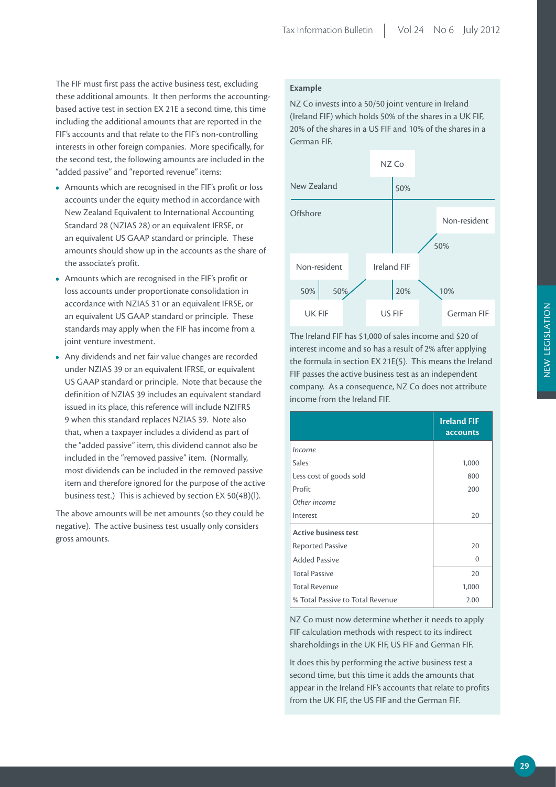The FIF must first pass the active business test, excluding these additional amounts. It then performs the accountingbased active test in section EX 21E a second time, this time including the additional amounts that are reported in the FIF's accounts and that relate to the FIF's non-controlling interests in other foreign companies. More specifically, for the second test, the following amounts are included in the "added passive" and "reported revenue" items:

- **•**  Amounts which are recognised in the FIF's profit or loss accounts under the equity method in accordance with New Zealand Equivalent to International Accounting Standard 28 (NZIAS 28) or an equivalent IFRSE, or an equivalent US GAAP standard or principle. These amounts should show up in the accounts as the share of the associate's profit.
- **•**  Amounts which are recognised in the FIF's profit or loss accounts under proportionate consolidation in accordance with NZIAS 31 or an equivalent IFRSE, or an equivalent US GAAP standard or principle. These standards may apply when the FIF has income from a joint venture investment.
- **•**  Any dividends and net fair value changes are recorded under NZIAS 39 or an equivalent IFRSE, or equivalent US GAAP standard or principle. Note that because the definition of NZIAS 39 includes an equivalent standard issued in its place, this reference will include NZIFRS 9 when this standard replaces NZIAS 39. Note also that, when a taxpayer includes a dividend as part of the "added passive" item, this dividend cannot also be included in the "removed passive" item. (Normally, most dividends can be included in the removed passive item and therefore ignored for the purpose of the active business test.) This is achieved by section EX 50(4B)(l).

The above amounts will be net amounts (so they could be negative). The active business test usually only considers gross amounts.

#### **Example**

NZ Co invests into a 50/50 joint venture in Ireland (Ireland FIF) which holds 50% of the shares in a UK FIF, 20% of the shares in a US FIF and 10% of the shares in a German FIF.



The Ireland FIF has \$1,000 of sales income and \$20 of interest income and so has a result of 2% after applying the formula in section EX 21E(5). This means the Ireland FIF passes the active business test as an independent company. As a consequence, NZ Co does not attribute income from the Ireland FIF.

|                                  | <b>Ireland FIF</b><br>accounts |
|----------------------------------|--------------------------------|
| Income                           |                                |
| <b>Sales</b>                     | 1,000                          |
| Less cost of goods sold          | 800                            |
| Profit                           | 200                            |
| Other income                     |                                |
| Interest                         | 20                             |
| <b>Active business test</b>      |                                |
| <b>Reported Passive</b>          | 20                             |
| <b>Added Passive</b>             | $\Omega$                       |
| <b>Total Passive</b>             | 20                             |
| <b>Total Revenue</b>             | 1,000                          |
| % Total Passive to Total Revenue | 2.00                           |

NZ Co must now determine whether it needs to apply FIF calculation methods with respect to its indirect shareholdings in the UK FIF, US FIF and German FIF.

It does this by performing the active business test a second time, but this time it adds the amounts that appear in the Ireland FIF's accounts that relate to profits from the UK FIF, the US FIF and the German FIF.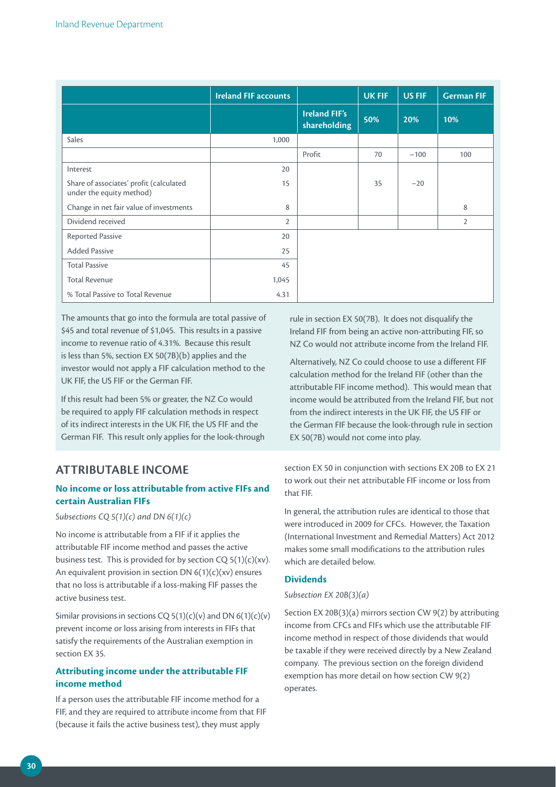|                                                                     | <b>Ireland FIF accounts</b> |                                      | <b>UK FIF</b> | <b>US FIF</b> | <b>German FIF</b> |
|---------------------------------------------------------------------|-----------------------------|--------------------------------------|---------------|---------------|-------------------|
|                                                                     |                             | <b>Ireland FIF's</b><br>shareholding | 50%           | 20%           | 10%               |
| <b>Sales</b>                                                        | 1,000                       |                                      |               |               |                   |
|                                                                     |                             | Profit                               | 70            | $-100$        | 100               |
| Interest                                                            | 20                          |                                      |               |               |                   |
| Share of associates' profit (calculated<br>under the equity method) | 15                          |                                      | 35            | $-20$         |                   |
| Change in net fair value of investments                             | 8                           |                                      |               |               | 8                 |
| Dividend received                                                   | $\overline{2}$              |                                      |               |               | $\overline{2}$    |
| Reported Passive                                                    | 20                          |                                      |               |               |                   |
| <b>Added Passive</b>                                                | 25                          |                                      |               |               |                   |
| <b>Total Passive</b>                                                | 45                          |                                      |               |               |                   |
| <b>Total Revenue</b>                                                | 1,045                       |                                      |               |               |                   |
| % Total Passive to Total Revenue                                    | 4.31                        |                                      |               |               |                   |

The amounts that go into the formula are total passive of \$45 and total revenue of \$1,045. This results in a passive income to revenue ratio of 4.31%. Because this result is less than 5%, section EX 50(7B)(b) applies and the investor would not apply a FIF calculation method to the UK FIF, the US FIF or the German FIF.

If this result had been 5% or greater, the NZ Co would be required to apply FIF calculation methods in respect of its indirect interests in the UK FIF, the US FIF and the German FIF. This result only applies for the look-through

# **ATTRIBUTABLE INCOME**

### **No income or loss attributable from active FIFs and certain Australian FIFs**

#### *Subsections CQ 5(1)(c) and DN 6(1)(c)*

No income is attributable from a FIF if it applies the attributable FIF income method and passes the active business test. This is provided for by section  $CQ 5(1)(c)(xv)$ . An equivalent provision in section DN  $6(1)(c)(xv)$  ensures that no loss is attributable if a loss-making FIF passes the active business test.

Similar provisions in sections CQ  $5(1)(c)(v)$  and DN  $6(1)(c)(v)$ prevent income or loss arising from interests in FIFs that satisfy the requirements of the Australian exemption in section EX 35.

#### **Attributing income under the attributable FIF income method**

If a person uses the attributable FIF income method for a FIF, and they are required to attribute income from that FIF (because it fails the active business test), they must apply

rule in section EX 50(7B). It does not disqualify the Ireland FIF from being an active non-attributing FIF, so NZ Co would not attribute income from the Ireland FIF.

Alternatively, NZ Co could choose to use a different FIF calculation method for the Ireland FIF (other than the attributable FIF income method). This would mean that income would be attributed from the Ireland FIF, but not from the indirect interests in the UK FIF, the US FIF or the German FIF because the look-through rule in section EX 50(7B) would not come into play.

section EX 50 in conjunction with sections EX 20B to EX 21 to work out their net attributable FIF income or loss from that FIF.

In general, the attribution rules are identical to those that were introduced in 2009 for CFCs. However, the Taxation (International Investment and Remedial Matters) Act 2012 makes some small modifications to the attribution rules which are detailed below.

#### **Dividends**

#### *Subsection EX 20B(3)(a)*

Section EX 20B(3)(a) mirrors section CW 9(2) by attributing income from CFCs and FIFs which use the attributable FIF income method in respect of those dividends that would be taxable if they were received directly by a New Zealand company. The previous section on the foreign dividend exemption has more detail on how section CW 9(2) operates.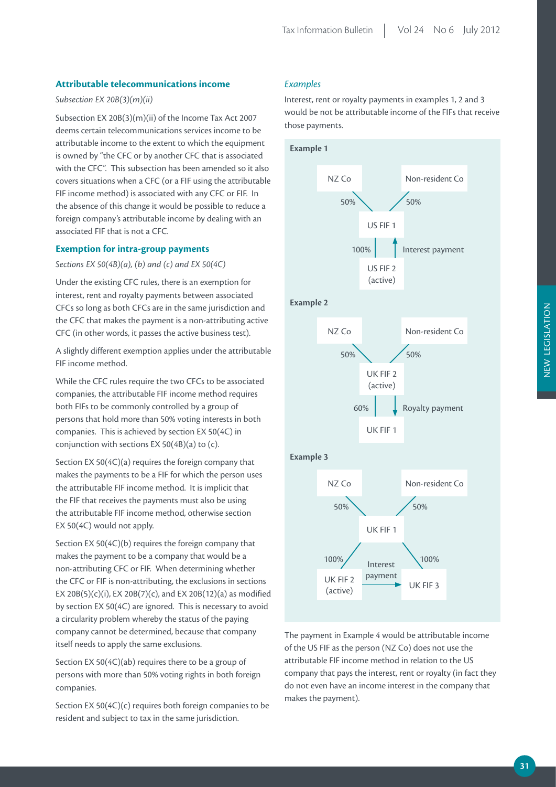#### **Attributable telecommunications income**

#### *Subsection EX 20B(3)(m)(ii)*

Subsection EX 20B(3)(m)(ii) of the Income Tax Act 2007 deems certain telecommunications services income to be attributable income to the extent to which the equipment is owned by "the CFC or by another CFC that is associated with the CFC". This subsection has been amended so it also covers situations when a CFC (or a FIF using the attributable FIF income method) is associated with any CFC or FIF. In the absence of this change it would be possible to reduce a foreign company's attributable income by dealing with an associated FIF that is not a CFC.

#### **Exemption for intra-group payments**

*Sections EX 50(4B)(a), (b) and (c) and EX 50(4C)*

Under the existing CFC rules, there is an exemption for interest, rent and royalty payments between associated CFCs so long as both CFCs are in the same jurisdiction and the CFC that makes the payment is a non-attributing active CFC (in other words, it passes the active business test).

A slightly different exemption applies under the attributable FIF income method.

While the CFC rules require the two CFCs to be associated companies, the attributable FIF income method requires both FIFs to be commonly controlled by a group of persons that hold more than 50% voting interests in both companies. This is achieved by section EX 50(4C) in conjunction with sections EX 50(4B)(a) to (c).

Section EX 50(4C)(a) requires the foreign company that makes the payments to be a FIF for which the person uses the attributable FIF income method. It is implicit that the FIF that receives the payments must also be using the attributable FIF income method, otherwise section EX 50(4C) would not apply.

Section EX 50(4C)(b) requires the foreign company that makes the payment to be a company that would be a non-attributing CFC or FIF. When determining whether the CFC or FIF is non-attributing, the exclusions in sections EX 20B(5)(c)(i), EX 20B(7)(c), and EX 20B(12)(a) as modified by section EX 50(4C) are ignored. This is necessary to avoid a circularity problem whereby the status of the paying company cannot be determined, because that company itself needs to apply the same exclusions.

Section EX 50(4C)(ab) requires there to be a group of persons with more than 50% voting rights in both foreign companies.

Section EX 50(4C)(c) requires both foreign companies to be resident and subject to tax in the same jurisdiction.

#### *Examples*

Interest, rent or royalty payments in examples 1, 2 and 3 would be not be attributable income of the FIFs that receive those payments.





The payment in Example 4 would be attributable income of the US FIF as the person (NZ Co) does not use the attributable FIF income method in relation to the US company that pays the interest, rent or royalty (in fact they do not even have an income interest in the company that makes the payment).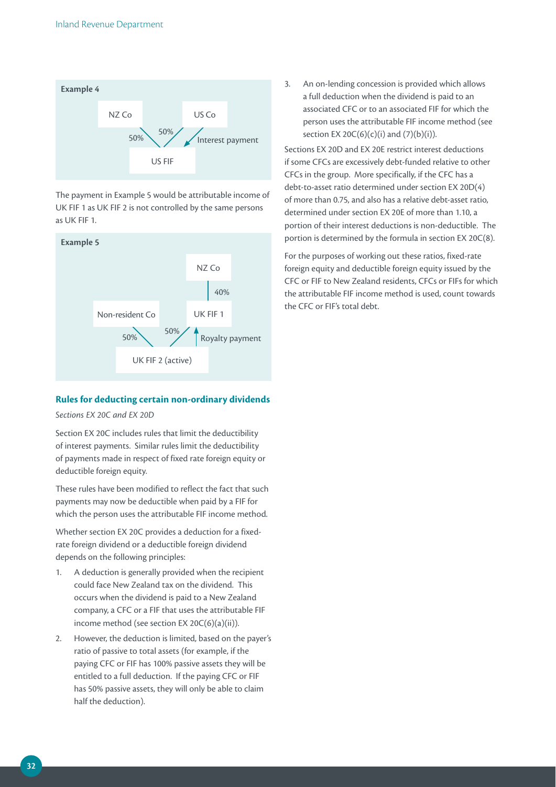

The payment in Example 5 would be attributable income of UK FIF 1 as UK FIF 2 is not controlled by the same persons as UK FIF 1.



#### **Rules for deducting certain non-ordinary dividends**

*Sections EX 20C and EX 20D*

Section EX 20C includes rules that limit the deductibility of interest payments. Similar rules limit the deductibility of payments made in respect of fixed rate foreign equity or deductible foreign equity.

These rules have been modified to reflect the fact that such payments may now be deductible when paid by a FIF for which the person uses the attributable FIF income method.

Whether section EX 20C provides a deduction for a fixedrate foreign dividend or a deductible foreign dividend depends on the following principles:

- 1. A deduction is generally provided when the recipient could face New Zealand tax on the dividend. This occurs when the dividend is paid to a New Zealand company, a CFC or a FIF that uses the attributable FIF income method (see section EX 20C(6)(a)(ii)).
- 2. However, the deduction is limited, based on the payer's ratio of passive to total assets (for example, if the paying CFC or FIF has 100% passive assets they will be entitled to a full deduction. If the paying CFC or FIF has 50% passive assets, they will only be able to claim half the deduction).

3. An on-lending concession is provided which allows a full deduction when the dividend is paid to an associated CFC or to an associated FIF for which the person uses the attributable FIF income method (see section EX 20C(6)(c)(i) and  $(7)(b)(i)$ ).

Sections EX 20D and EX 20E restrict interest deductions if some CFCs are excessively debt-funded relative to other CFCs in the group. More specifically, if the CFC has a debt-to-asset ratio determined under section EX 20D(4) of more than 0.75, and also has a relative debt-asset ratio, determined under section EX 20E of more than 1.10, a portion of their interest deductions is non-deductible. The portion is determined by the formula in section EX 20C(8).

For the purposes of working out these ratios, fixed-rate foreign equity and deductible foreign equity issued by the CFC or FIF to New Zealand residents, CFCs or FIFs for which the attributable FIF income method is used, count towards the CFC or FIF's total debt.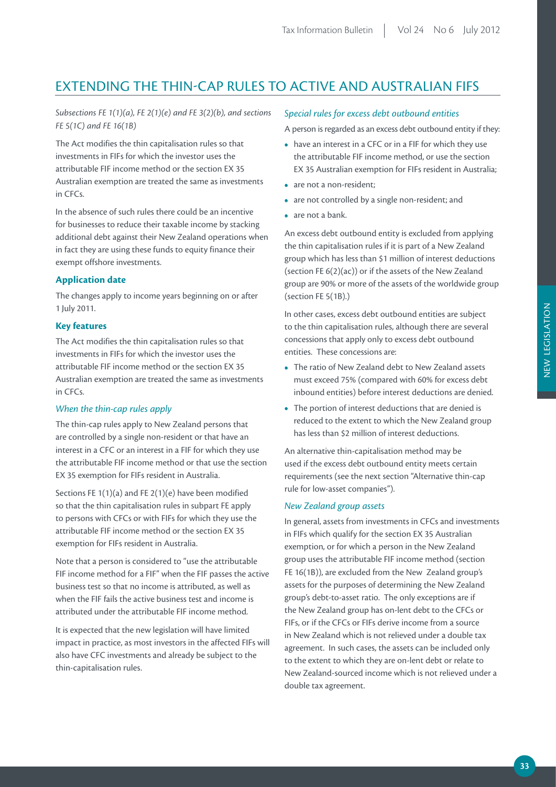# EXTENDING THE THIN-CAP RULES TO ACTIVE AND AUSTRALIAN FIFS

#### *Subsections FE 1(1)(a), FE 2(1)(e) and FE 3(2)(b), and sections FE 5(1C) and FE 16(1B)*

The Act modifies the thin capitalisation rules so that investments in FIFs for which the investor uses the attributable FIF income method or the section EX 35 Australian exemption are treated the same as investments in CFCs.

In the absence of such rules there could be an incentive for businesses to reduce their taxable income by stacking additional debt against their New Zealand operations when in fact they are using these funds to equity finance their exempt offshore investments.

#### **Application date**

The changes apply to income years beginning on or after 1 July 2011.

#### **Key features**

The Act modifies the thin capitalisation rules so that investments in FIFs for which the investor uses the attributable FIF income method or the section EX 35 Australian exemption are treated the same as investments in CFCs.

#### *When the thin-cap rules apply*

The thin-cap rules apply to New Zealand persons that are controlled by a single non-resident or that have an interest in a CFC or an interest in a FIF for which they use the attributable FIF income method or that use the section EX 35 exemption for FIFs resident in Australia.

Sections FE  $1(1)(a)$  and FE  $2(1)(e)$  have been modified so that the thin capitalisation rules in subpart FE apply to persons with CFCs or with FIFs for which they use the attributable FIF income method or the section EX 35 exemption for FIFs resident in Australia.

Note that a person is considered to "use the attributable FIF income method for a FIF" when the FIF passes the active business test so that no income is attributed, as well as when the FIF fails the active business test and income is attributed under the attributable FIF income method.

It is expected that the new legislation will have limited impact in practice, as most investors in the affected FIFs will also have CFC investments and already be subject to the thin-capitalisation rules.

#### *Special rules for excess debt outbound entities*

A person is regarded as an excess debt outbound entity if they:

- have an interest in a CFC or in a FIF for which they use the attributable FIF income method, or use the section EX 35 Australian exemption for FIFs resident in Australia;
- are not a non-resident;
- are not controlled by a single non-resident; and
- **•**  are not a bank.

An excess debt outbound entity is excluded from applying the thin capitalisation rules if it is part of a New Zealand group which has less than \$1 million of interest deductions (section FE 6(2)(ac)) or if the assets of the New Zealand group are 90% or more of the assets of the worldwide group (section FE 5(1B).)

In other cases, excess debt outbound entities are subject to the thin capitalisation rules, although there are several concessions that apply only to excess debt outbound entities. These concessions are:

- **•**  The ratio of New Zealand debt to New Zealand assets must exceed 75% (compared with 60% for excess debt inbound entities) before interest deductions are denied.
- The portion of interest deductions that are denied is reduced to the extent to which the New Zealand group has less than \$2 million of interest deductions.

An alternative thin-capitalisation method may be used if the excess debt outbound entity meets certain requirements (see the next section "Alternative thin-cap rule for low-asset companies").

#### *New Zealand group assets*

In general, assets from investments in CFCs and investments in FIFs which qualify for the section EX 35 Australian exemption, or for which a person in the New Zealand group uses the attributable FIF income method (section FE 16(1B)), are excluded from the New Zealand group's assets for the purposes of determining the New Zealand group's debt-to-asset ratio. The only exceptions are if the New Zealand group has on-lent debt to the CFCs or FIFs, or if the CFCs or FIFs derive income from a source in New Zealand which is not relieved under a double tax agreement. In such cases, the assets can be included only to the extent to which they are on-lent debt or relate to New Zealand-sourced income which is not relieved under a double tax agreement.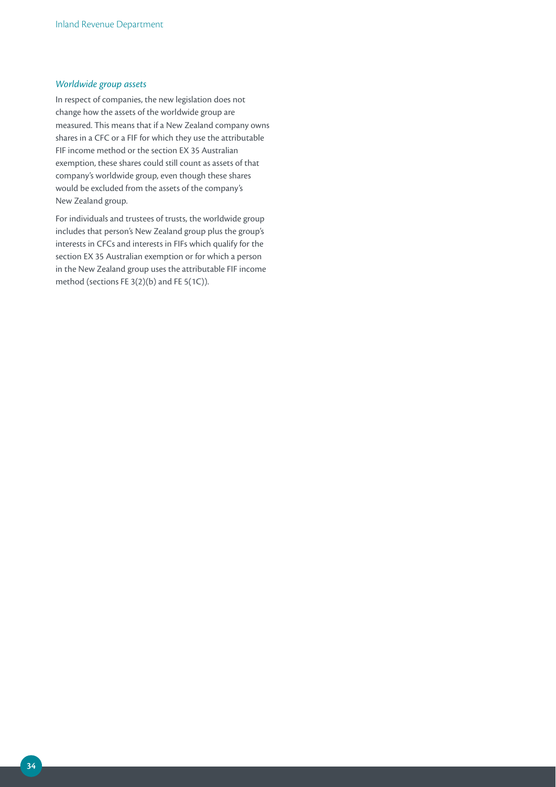#### *Worldwide group assets*

In respect of companies, the new legislation does not change how the assets of the worldwide group are measured. This means that if a New Zealand company owns shares in a CFC or a FIF for which they use the attributable FIF income method or the section EX 35 Australian exemption, these shares could still count as assets of that company's worldwide group, even though these shares would be excluded from the assets of the company's New Zealand group.

For individuals and trustees of trusts, the worldwide group includes that person's New Zealand group plus the group's interests in CFCs and interests in FIFs which qualify for the section EX 35 Australian exemption or for which a person in the New Zealand group uses the attributable FIF income method (sections FE 3(2)(b) and FE 5(1C)).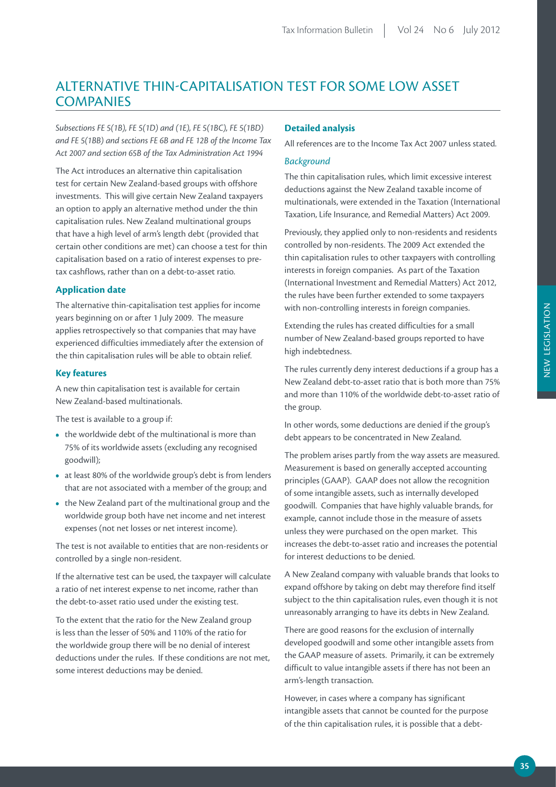## ALTERNATIVE THIN-CAPITALISATION TEST FOR SOME LOW ASSET **COMPANIES**

*Subsections FE 5(1B), FE 5(1D) and (1E), FE 5(1BC), FE 5(1BD) and FE 5(1BB) and sections FE 6B and FE 12B of the Income Tax Act 2007 and section 65B of the Tax Administration Act 1994*

The Act introduces an alternative thin capitalisation test for certain New Zealand-based groups with offshore investments. This will give certain New Zealand taxpayers an option to apply an alternative method under the thin capitalisation rules. New Zealand multinational groups that have a high level of arm's length debt (provided that certain other conditions are met) can choose a test for thin capitalisation based on a ratio of interest expenses to pretax cashflows, rather than on a debt-to-asset ratio.

#### **Application date**

The alternative thin-capitalisation test applies for income years beginning on or after 1 July 2009. The measure applies retrospectively so that companies that may have experienced difficulties immediately after the extension of the thin capitalisation rules will be able to obtain relief.

#### **Key features**

A new thin capitalisation test is available for certain New Zealand-based multinationals.

The test is available to a group if:

- the worldwide debt of the multinational is more than 75% of its worldwide assets (excluding any recognised goodwill);
- **•**  at least 80% of the worldwide group's debt is from lenders that are not associated with a member of the group; and
- **•**  the New Zealand part of the multinational group and the worldwide group both have net income and net interest expenses (not net losses or net interest income).

The test is not available to entities that are non-residents or controlled by a single non-resident.

If the alternative test can be used, the taxpayer will calculate a ratio of net interest expense to net income, rather than the debt-to-asset ratio used under the existing test.

To the extent that the ratio for the New Zealand group is less than the lesser of 50% and 110% of the ratio for the worldwide group there will be no denial of interest deductions under the rules. If these conditions are not met, some interest deductions may be denied.

#### **Detailed analysis**

All references are to the Income Tax Act 2007 unless stated.

#### *Background*

The thin capitalisation rules, which limit excessive interest deductions against the New Zealand taxable income of multinationals, were extended in the Taxation (International Taxation, Life Insurance, and Remedial Matters) Act 2009.

Previously, they applied only to non-residents and residents controlled by non-residents. The 2009 Act extended the thin capitalisation rules to other taxpayers with controlling interests in foreign companies. As part of the Taxation (International Investment and Remedial Matters) Act 2012, the rules have been further extended to some taxpayers with non-controlling interests in foreign companies.

Extending the rules has created difficulties for a small number of New Zealand-based groups reported to have high indebtedness.

The rules currently deny interest deductions if a group has a New Zealand debt-to-asset ratio that is both more than 75% and more than 110% of the worldwide debt-to-asset ratio of the group.

In other words, some deductions are denied if the group's debt appears to be concentrated in New Zealand.

The problem arises partly from the way assets are measured. Measurement is based on generally accepted accounting principles (GAAP). GAAP does not allow the recognition of some intangible assets, such as internally developed goodwill. Companies that have highly valuable brands, for example, cannot include those in the measure of assets unless they were purchased on the open market. This increases the debt-to-asset ratio and increases the potential for interest deductions to be denied.

A New Zealand company with valuable brands that looks to expand offshore by taking on debt may therefore find itself subject to the thin capitalisation rules, even though it is not unreasonably arranging to have its debts in New Zealand.

There are good reasons for the exclusion of internally developed goodwill and some other intangible assets from the GAAP measure of assets. Primarily, it can be extremely difficult to value intangible assets if there has not been an arm's-length transaction.

However, in cases where a company has significant intangible assets that cannot be counted for the purpose of the thin capitalisation rules, it is possible that a debt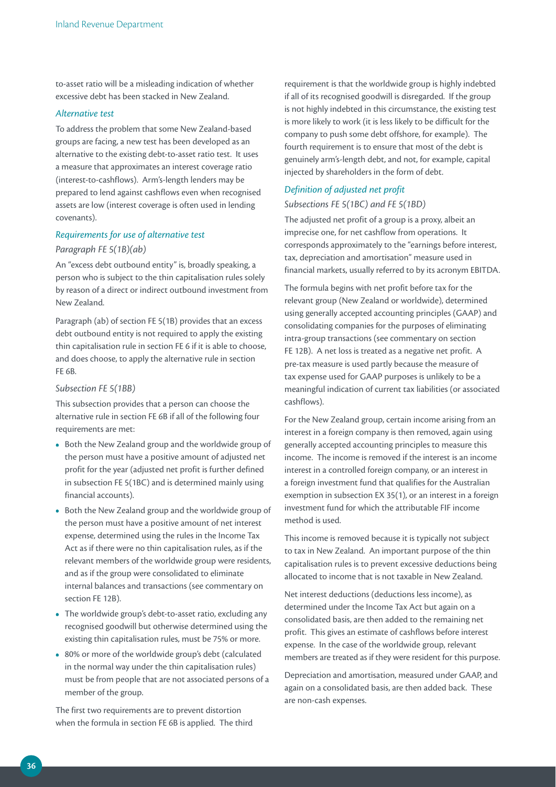to-asset ratio will be a misleading indication of whether excessive debt has been stacked in New Zealand.

#### *Alternative test*

To address the problem that some New Zealand-based groups are facing, a new test has been developed as an alternative to the existing debt-to-asset ratio test. It uses a measure that approximates an interest coverage ratio (interest-to-cashflows). Arm's-length lenders may be prepared to lend against cashflows even when recognised assets are low (interest coverage is often used in lending covenants).

#### *Requirements for use of alternative test*

#### *Paragraph FE 5(1B)(ab)*

An "excess debt outbound entity" is, broadly speaking, a person who is subject to the thin capitalisation rules solely by reason of a direct or indirect outbound investment from New Zealand.

Paragraph (ab) of section FE 5(1B) provides that an excess debt outbound entity is not required to apply the existing thin capitalisation rule in section FE 6 if it is able to choose, and does choose, to apply the alternative rule in section FE 6B.

#### *Subsection FE 5(1BB)*

This subsection provides that a person can choose the alternative rule in section FE 6B if all of the following four requirements are met:

- **•**  Both the New Zealand group and the worldwide group of the person must have a positive amount of adjusted net profit for the year (adjusted net profit is further defined in subsection FE 5(1BC) and is determined mainly using financial accounts).
- **•**  Both the New Zealand group and the worldwide group of the person must have a positive amount of net interest expense, determined using the rules in the Income Tax Act as if there were no thin capitalisation rules, as if the relevant members of the worldwide group were residents, and as if the group were consolidated to eliminate internal balances and transactions (see commentary on section FE 12B).
- The worldwide group's debt-to-asset ratio, excluding any recognised goodwill but otherwise determined using the existing thin capitalisation rules, must be 75% or more.
- **•**  80% or more of the worldwide group's debt (calculated in the normal way under the thin capitalisation rules) must be from people that are not associated persons of a member of the group.

The first two requirements are to prevent distortion when the formula in section FE 6B is applied. The third

requirement is that the worldwide group is highly indebted if all of its recognised goodwill is disregarded. If the group is not highly indebted in this circumstance, the existing test is more likely to work (it is less likely to be difficult for the company to push some debt offshore, for example). The fourth requirement is to ensure that most of the debt is genuinely arm's-length debt, and not, for example, capital injected by shareholders in the form of debt.

#### *Definition of adjusted net profit*

#### *Subsections FE 5(1BC) and FE 5(1BD)*

The adjusted net profit of a group is a proxy, albeit an imprecise one, for net cashflow from operations. It corresponds approximately to the "earnings before interest, tax, depreciation and amortisation" measure used in financial markets, usually referred to by its acronym EBITDA.

The formula begins with net profit before tax for the relevant group (New Zealand or worldwide), determined using generally accepted accounting principles (GAAP) and consolidating companies for the purposes of eliminating intra-group transactions (see commentary on section FE 12B). A net loss is treated as a negative net profit. A pre-tax measure is used partly because the measure of tax expense used for GAAP purposes is unlikely to be a meaningful indication of current tax liabilities (or associated cashflows).

For the New Zealand group, certain income arising from an interest in a foreign company is then removed, again using generally accepted accounting principles to measure this income. The income is removed if the interest is an income interest in a controlled foreign company, or an interest in a foreign investment fund that qualifies for the Australian exemption in subsection EX 35(1), or an interest in a foreign investment fund for which the attributable FIF income method is used.

This income is removed because it is typically not subject to tax in New Zealand. An important purpose of the thin capitalisation rules is to prevent excessive deductions being allocated to income that is not taxable in New Zealand.

Net interest deductions (deductions less income), as determined under the Income Tax Act but again on a consolidated basis, are then added to the remaining net profit. This gives an estimate of cashflows before interest expense. In the case of the worldwide group, relevant members are treated as if they were resident for this purpose.

Depreciation and amortisation, measured under GAAP, and again on a consolidated basis, are then added back. These are non-cash expenses.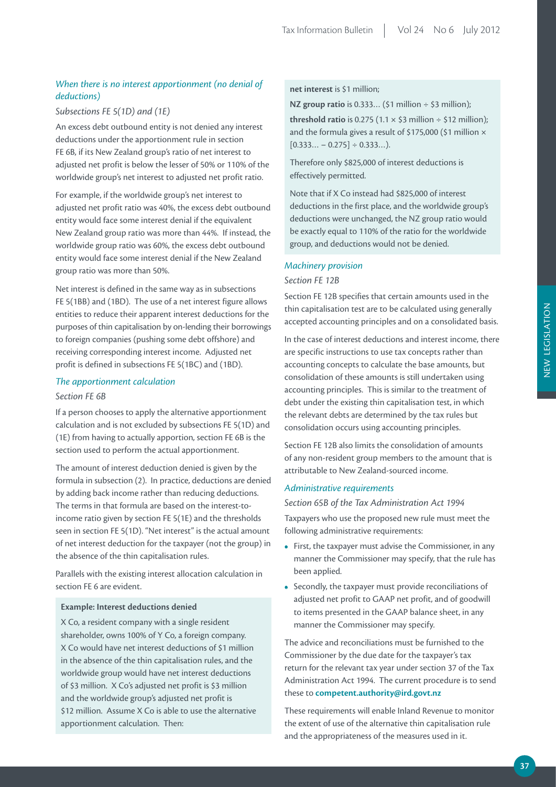#### *When there is no interest apportionment (no denial of deductions)*

#### *Subsections FE 5(1D) and (1E)*

An excess debt outbound entity is not denied any interest deductions under the apportionment rule in section FE 6B, if its New Zealand group's ratio of net interest to adjusted net profit is below the lesser of 50% or 110% of the worldwide group's net interest to adjusted net profit ratio.

For example, if the worldwide group's net interest to adjusted net profit ratio was 40%, the excess debt outbound entity would face some interest denial if the equivalent New Zealand group ratio was more than 44%. If instead, the worldwide group ratio was 60%, the excess debt outbound entity would face some interest denial if the New Zealand group ratio was more than 50%.

Net interest is defined in the same way as in subsections FE 5(1BB) and (1BD). The use of a net interest figure allows entities to reduce their apparent interest deductions for the purposes of thin capitalisation by on-lending their borrowings to foreign companies (pushing some debt offshore) and receiving corresponding interest income. Adjusted net profit is defined in subsections FE 5(1BC) and (1BD).

#### *The apportionment calculation*

#### *Section FE 6B*

If a person chooses to apply the alternative apportionment calculation and is not excluded by subsections FE 5(1D) and (1E) from having to actually apportion, section FE 6B is the section used to perform the actual apportionment.

The amount of interest deduction denied is given by the formula in subsection (2). In practice, deductions are denied by adding back income rather than reducing deductions. The terms in that formula are based on the interest-toincome ratio given by section FE 5(1E) and the thresholds seen in section FE 5(1D). "Net interest" is the actual amount of net interest deduction for the taxpayer (not the group) in the absence of the thin capitalisation rules.

Parallels with the existing interest allocation calculation in section FE 6 are evident.

#### **Example: Interest deductions denied**

X Co, a resident company with a single resident shareholder, owns 100% of Y Co, a foreign company. X Co would have net interest deductions of \$1 million in the absence of the thin capitalisation rules, and the worldwide group would have net interest deductions of \$3 million. X Co's adjusted net profit is \$3 million and the worldwide group's adjusted net profit is \$12 million. Assume X Co is able to use the alternative apportionment calculation. Then:

#### **net interest** is \$1 million;

**NZ group ratio** is 0.333... (\$1 million ÷ \$3 million); **threshold ratio** is 0.275 (1.1  $\times$  \$3 million  $\div$  \$12 million); and the formula gives a result of \$175,000 (\$1 million  $\times$  $[0.333... - 0.275] \div 0.333...$ .

Therefore only \$825,000 of interest deductions is effectively permitted.

Note that if X Co instead had \$825,000 of interest deductions in the first place, and the worldwide group's deductions were unchanged, the NZ group ratio would be exactly equal to 110% of the ratio for the worldwide group, and deductions would not be denied.

#### *Machinery provision*

#### *Section FE 12B*

Section FE 12B specifies that certain amounts used in the thin capitalisation test are to be calculated using generally accepted accounting principles and on a consolidated basis.

In the case of interest deductions and interest income, there are specific instructions to use tax concepts rather than accounting concepts to calculate the base amounts, but consolidation of these amounts is still undertaken using accounting principles. This is similar to the treatment of debt under the existing thin capitalisation test, in which the relevant debts are determined by the tax rules but consolidation occurs using accounting principles.

Section FE 12B also limits the consolidation of amounts of any non-resident group members to the amount that is attributable to New Zealand-sourced income.

#### *Administrative requirements*

#### *Section 65B of the Tax Administration Act 1994*

Taxpayers who use the proposed new rule must meet the following administrative requirements:

- **•**  First, the taxpayer must advise the Commissioner, in any manner the Commissioner may specify, that the rule has been applied.
- **•**  Secondly, the taxpayer must provide reconciliations of adjusted net profit to GAAP net profit, and of goodwill to items presented in the GAAP balance sheet, in any manner the Commissioner may specify.

The advice and reconciliations must be furnished to the Commissioner by the due date for the taxpayer's tax return for the relevant tax year under section 37 of the Tax Administration Act 1994. The current procedure is to send these to **competent.authority@ird.govt.nz**

These requirements will enable Inland Revenue to monitor the extent of use of the alternative thin capitalisation rule and the appropriateness of the measures used in it.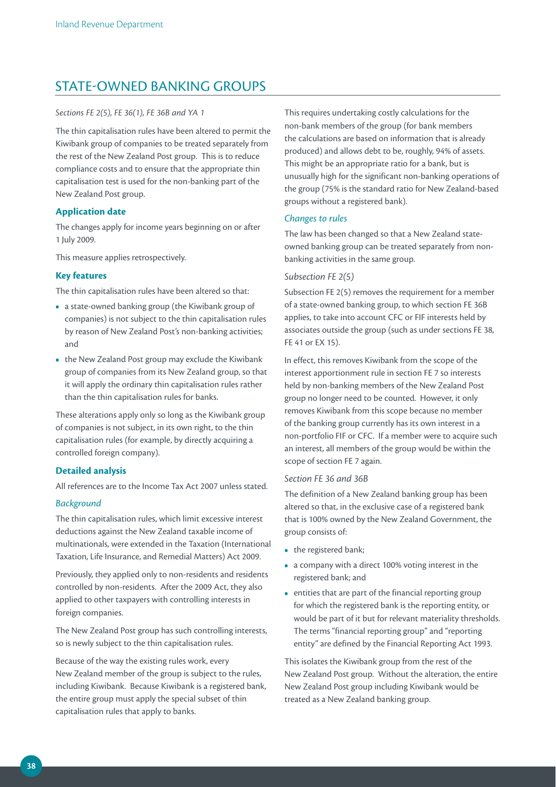## STATE-OWNED BANKING GROUPS

#### *Sections FE 2(5), FE 36(1), FE 36B and YA 1*

The thin capitalisation rules have been altered to permit the Kiwibank group of companies to be treated separately from the rest of the New Zealand Post group. This is to reduce compliance costs and to ensure that the appropriate thin capitalisation test is used for the non-banking part of the New Zealand Post group.

#### **Application date**

The changes apply for income years beginning on or after 1 July 2009.

This measure applies retrospectively.

#### **Key features**

The thin capitalisation rules have been altered so that:

- **•**  a state-owned banking group (the Kiwibank group of companies) is not subject to the thin capitalisation rules by reason of New Zealand Post's non-banking activities; and
- the New Zealand Post group may exclude the Kiwibank group of companies from its New Zealand group, so that it will apply the ordinary thin capitalisation rules rather than the thin capitalisation rules for banks.

These alterations apply only so long as the Kiwibank group of companies is not subject, in its own right, to the thin capitalisation rules (for example, by directly acquiring a controlled foreign company).

#### **Detailed analysis**

All references are to the Income Tax Act 2007 unless stated.

#### *Background*

The thin capitalisation rules, which limit excessive interest deductions against the New Zealand taxable income of multinationals, were extended in the Taxation (International Taxation, Life Insurance, and Remedial Matters) Act 2009.

Previously, they applied only to non-residents and residents controlled by non-residents. After the 2009 Act, they also applied to other taxpayers with controlling interests in foreign companies.

The New Zealand Post group has such controlling interests, so is newly subject to the thin capitalisation rules.

Because of the way the existing rules work, every New Zealand member of the group is subject to the rules, including Kiwibank. Because Kiwibank is a registered bank, the entire group must apply the special subset of thin capitalisation rules that apply to banks.

This requires undertaking costly calculations for the non-bank members of the group (for bank members the calculations are based on information that is already produced) and allows debt to be, roughly, 94% of assets. This might be an appropriate ratio for a bank, but is unusually high for the significant non-banking operations of the group (75% is the standard ratio for New Zealand-based groups without a registered bank).

#### *Changes to rules*

The law has been changed so that a New Zealand stateowned banking group can be treated separately from nonbanking activities in the same group.

#### *Subsection FE 2(5)*

Subsection FE 2(5) removes the requirement for a member of a state-owned banking group, to which section FE 36B applies, to take into account CFC or FIF interests held by associates outside the group (such as under sections FE 38, FE 41 or EX 15).

In effect, this removes Kiwibank from the scope of the interest apportionment rule in section FE 7 so interests held by non-banking members of the New Zealand Post group no longer need to be counted. However, it only removes Kiwibank from this scope because no member of the banking group currently has its own interest in a non-portfolio FIF or CFC. If a member were to acquire such an interest, all members of the group would be within the scope of section FE 7 again.

#### *Section FE 36 and 36B*

The definition of a New Zealand banking group has been altered so that, in the exclusive case of a registered bank that is 100% owned by the New Zealand Government, the group consists of:

- the registered bank;
- **•**  a company with a direct 100% voting interest in the registered bank; and
- entities that are part of the financial reporting group for which the registered bank is the reporting entity, or would be part of it but for relevant materiality thresholds. The terms "financial reporting group" and "reporting entity" are defined by the Financial Reporting Act 1993.

This isolates the Kiwibank group from the rest of the New Zealand Post group. Without the alteration, the entire New Zealand Post group including Kiwibank would be treated as a New Zealand banking group.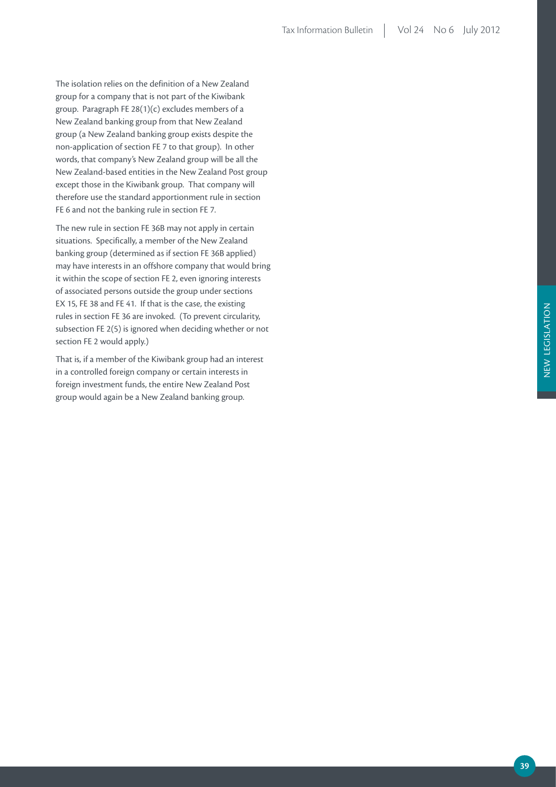The isolation relies on the definition of a New Zealand group for a company that is not part of the Kiwibank group. Paragraph FE 28(1)(c) excludes members of a New Zealand banking group from that New Zealand group (a New Zealand banking group exists despite the non-application of section FE 7 to that group). In other words, that company's New Zealand group will be all the New Zealand-based entities in the New Zealand Post group except those in the Kiwibank group. That company will therefore use the standard apportionment rule in section FE 6 and not the banking rule in section FE 7.

The new rule in section FE 36B may not apply in certain situations. Specifically, a member of the New Zealand banking group (determined as if section FE 36B applied) may have interests in an offshore company that would bring it within the scope of section FE 2, even ignoring interests of associated persons outside the group under sections EX 15, FE 38 and FE 41. If that is the case, the existing rules in section FE 36 are invoked. (To prevent circularity, subsection FE 2(5) is ignored when deciding whether or not section FE 2 would apply.)

That is, if a member of the Kiwibank group had an interest in a controlled foreign company or certain interests in foreign investment funds, the entire New Zealand Post group would again be a New Zealand banking group.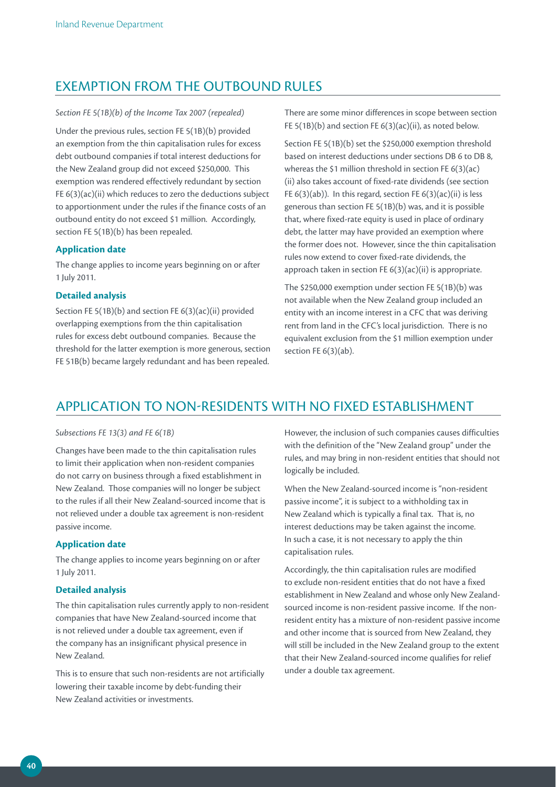### EXEMPTION FROM THE OUTBOUND RULES

#### *Section FE 5(1B)(b) of the Income Tax 2007 (repealed)*

Under the previous rules, section FE 5(1B)(b) provided an exemption from the thin capitalisation rules for excess debt outbound companies if total interest deductions for the New Zealand group did not exceed \$250,000. This exemption was rendered effectively redundant by section FE 6(3)(ac)(ii) which reduces to zero the deductions subject to apportionment under the rules if the finance costs of an outbound entity do not exceed \$1 million. Accordingly, section FE 5(1B)(b) has been repealed.

#### **Application date**

The change applies to income years beginning on or after 1 July 2011.

#### **Detailed analysis**

Section FE 5(1B)(b) and section FE 6(3)(ac)(ii) provided overlapping exemptions from the thin capitalisation rules for excess debt outbound companies. Because the threshold for the latter exemption is more generous, section FE 51B(b) became largely redundant and has been repealed.

There are some minor differences in scope between section FE 5(1B)(b) and section FE 6(3)(ac)(ii), as noted below.

Section FE 5(1B)(b) set the \$250,000 exemption threshold based on interest deductions under sections DB 6 to DB 8, whereas the \$1 million threshold in section FE 6(3)(ac) (ii) also takes account of fixed-rate dividends (see section FE  $6(3)(ab)$ ). In this regard, section FE  $6(3)(ac)(ii)$  is less generous than section FE 5(1B)(b) was, and it is possible that, where fixed-rate equity is used in place of ordinary debt, the latter may have provided an exemption where the former does not. However, since the thin capitalisation rules now extend to cover fixed-rate dividends, the approach taken in section FE 6(3)(ac)(ii) is appropriate.

The \$250,000 exemption under section FE 5(1B)(b) was not available when the New Zealand group included an entity with an income interest in a CFC that was deriving rent from land in the CFC's local jurisdiction. There is no equivalent exclusion from the \$1 million exemption under section FE 6(3)(ab).

### APPLICATION TO NON-RESIDENTS WITH NO FIXED ESTABLISHMENT

#### *Subsections FE 13(3) and FE 6(1B)*

Changes have been made to the thin capitalisation rules to limit their application when non-resident companies do not carry on business through a fixed establishment in New Zealand. Those companies will no longer be subject to the rules if all their New Zealand-sourced income that is not relieved under a double tax agreement is non-resident passive income.

#### **Application date**

The change applies to income years beginning on or after 1 July 2011.

#### **Detailed analysis**

The thin capitalisation rules currently apply to non-resident companies that have New Zealand-sourced income that is not relieved under a double tax agreement, even if the company has an insignificant physical presence in New Zealand.

This is to ensure that such non-residents are not artificially lowering their taxable income by debt-funding their New Zealand activities or investments.

However, the inclusion of such companies causes difficulties with the definition of the "New Zealand group" under the rules, and may bring in non-resident entities that should not logically be included.

When the New Zealand-sourced income is "non-resident passive income", it is subject to a withholding tax in New Zealand which is typically a final tax. That is, no interest deductions may be taken against the income. In such a case, it is not necessary to apply the thin capitalisation rules.

Accordingly, the thin capitalisation rules are modified to exclude non-resident entities that do not have a fixed establishment in New Zealand and whose only New Zealandsourced income is non-resident passive income. If the nonresident entity has a mixture of non-resident passive income and other income that is sourced from New Zealand, they will still be included in the New Zealand group to the extent that their New Zealand-sourced income qualifies for relief under a double tax agreement.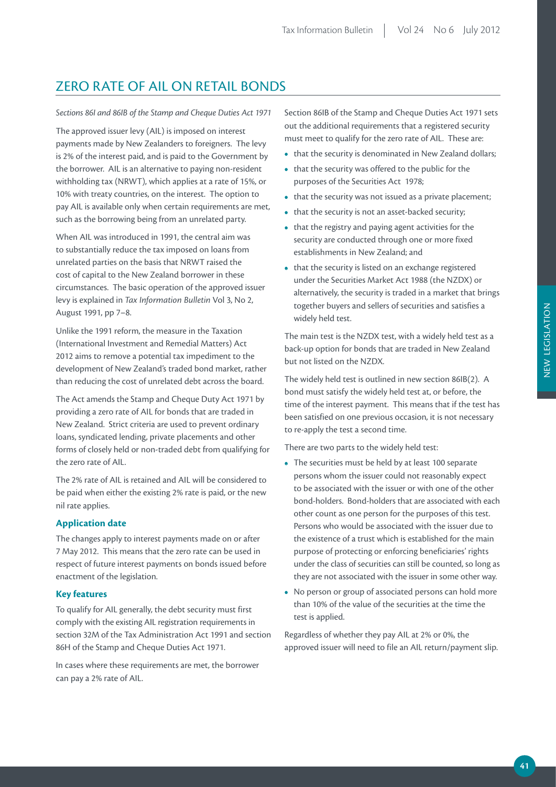## ZERO RATE OF AIL ON RETAIL BONDS

#### *Sections 86I and 86IB of the Stamp and Cheque Duties Act 1971*

The approved issuer levy (AIL) is imposed on interest payments made by New Zealanders to foreigners. The levy is 2% of the interest paid, and is paid to the Government by the borrower. AIL is an alternative to paying non-resident withholding tax (NRWT), which applies at a rate of 15%, or 10% with treaty countries, on the interest. The option to pay AIL is available only when certain requirements are met, such as the borrowing being from an unrelated party.

When AIL was introduced in 1991, the central aim was to substantially reduce the tax imposed on loans from unrelated parties on the basis that NRWT raised the cost of capital to the New Zealand borrower in these circumstances. The basic operation of the approved issuer levy is explained in *Tax Information Bulletin* Vol 3, No 2, August 1991, pp 7–8.

Unlike the 1991 reform, the measure in the Taxation (International Investment and Remedial Matters) Act 2012 aims to remove a potential tax impediment to the development of New Zealand's traded bond market, rather than reducing the cost of unrelated debt across the board.

The Act amends the Stamp and Cheque Duty Act 1971 by providing a zero rate of AIL for bonds that are traded in New Zealand. Strict criteria are used to prevent ordinary loans, syndicated lending, private placements and other forms of closely held or non-traded debt from qualifying for the zero rate of AIL.

The 2% rate of AIL is retained and AIL will be considered to be paid when either the existing 2% rate is paid, or the new nil rate applies.

#### **Application date**

The changes apply to interest payments made on or after 7 May 2012. This means that the zero rate can be used in respect of future interest payments on bonds issued before enactment of the legislation.

#### **Key features**

To qualify for AIL generally, the debt security must first comply with the existing AIL registration requirements in section 32M of the Tax Administration Act 1991 and section 86H of the Stamp and Cheque Duties Act 1971.

In cases where these requirements are met, the borrower can pay a 2% rate of AIL.

Section 86IB of the Stamp and Cheque Duties Act 1971 sets out the additional requirements that a registered security must meet to qualify for the zero rate of AIL. These are:

- that the security is denominated in New Zealand dollars;
- **•**  that the security was offered to the public for the purposes of the Securities Act 1978;
- that the security was not issued as a private placement;
- that the security is not an asset-backed security;
- **•**  that the registry and paying agent activities for the security are conducted through one or more fixed establishments in New Zealand; and
- that the security is listed on an exchange registered under the Securities Market Act 1988 (the NZDX) or alternatively, the security is traded in a market that brings together buyers and sellers of securities and satisfies a widely held test.

The main test is the NZDX test, with a widely held test as a back-up option for bonds that are traded in New Zealand but not listed on the NZDX.

The widely held test is outlined in new section 86IB(2). A bond must satisfy the widely held test at, or before, the time of the interest payment. This means that if the test has been satisfied on one previous occasion, it is not necessary to re-apply the test a second time.

There are two parts to the widely held test:

- **•**  The securities must be held by at least 100 separate persons whom the issuer could not reasonably expect to be associated with the issuer or with one of the other bond-holders. Bond-holders that are associated with each other count as one person for the purposes of this test. Persons who would be associated with the issuer due to the existence of a trust which is established for the main purpose of protecting or enforcing beneficiaries' rights under the class of securities can still be counted, so long as they are not associated with the issuer in some other way.
- **•**  No person or group of associated persons can hold more than 10% of the value of the securities at the time the test is applied.

Regardless of whether they pay AIL at 2% or 0%, the approved issuer will need to file an AIL return/payment slip.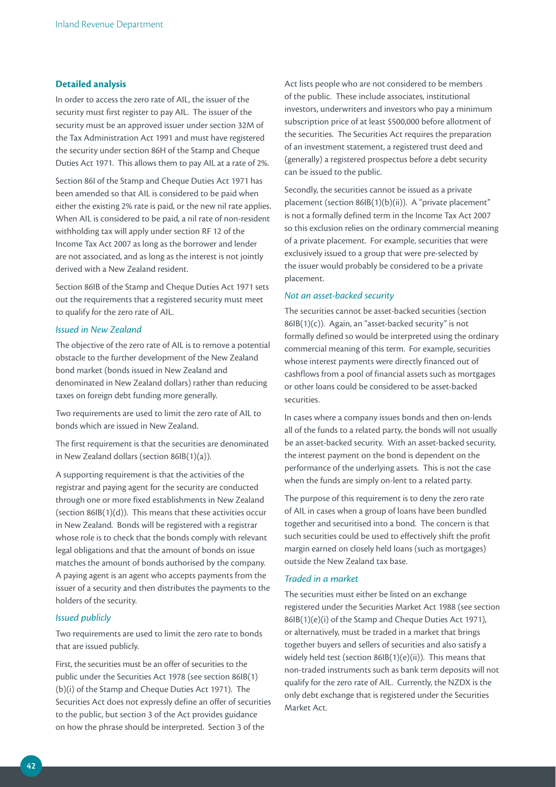#### **Detailed analysis**

In order to access the zero rate of AIL, the issuer of the security must first register to pay AIL. The issuer of the security must be an approved issuer under section 32M of the Tax Administration Act 1991 and must have registered the security under section 86H of the Stamp and Cheque Duties Act 1971. This allows them to pay AIL at a rate of 2%.

Section 86I of the Stamp and Cheque Duties Act 1971 has been amended so that AIL is considered to be paid when either the existing 2% rate is paid, or the new nil rate applies. When AIL is considered to be paid, a nil rate of non-resident withholding tax will apply under section RF 12 of the Income Tax Act 2007 as long as the borrower and lender are not associated, and as long as the interest is not jointly derived with a New Zealand resident.

Section 86IB of the Stamp and Cheque Duties Act 1971 sets out the requirements that a registered security must meet to qualify for the zero rate of AIL.

#### *Issued in New Zealand*

The objective of the zero rate of AIL is to remove a potential obstacle to the further development of the New Zealand bond market (bonds issued in New Zealand and denominated in New Zealand dollars) rather than reducing taxes on foreign debt funding more generally.

Two requirements are used to limit the zero rate of AIL to bonds which are issued in New Zealand.

The first requirement is that the securities are denominated in New Zealand dollars (section 86IB(1)(a)).

A supporting requirement is that the activities of the registrar and paying agent for the security are conducted through one or more fixed establishments in New Zealand (section 86IB(1)(d)). This means that these activities occur in New Zealand. Bonds will be registered with a registrar whose role is to check that the bonds comply with relevant legal obligations and that the amount of bonds on issue matches the amount of bonds authorised by the company. A paying agent is an agent who accepts payments from the issuer of a security and then distributes the payments to the holders of the security.

#### *Issued publicly*

Two requirements are used to limit the zero rate to bonds that are issued publicly.

First, the securities must be an offer of securities to the public under the Securities Act 1978 (see section 86IB(1) (b)(i) of the Stamp and Cheque Duties Act 1971). The Securities Act does not expressly define an offer of securities to the public, but section 3 of the Act provides guidance on how the phrase should be interpreted. Section 3 of the

Act lists people who are not considered to be members of the public. These include associates, institutional investors, underwriters and investors who pay a minimum subscription price of at least \$500,000 before allotment of the securities. The Securities Act requires the preparation of an investment statement, a registered trust deed and (generally) a registered prospectus before a debt security can be issued to the public.

Secondly, the securities cannot be issued as a private placement (section 86IB(1)(b)(ii)). A "private placement" is not a formally defined term in the Income Tax Act 2007 so this exclusion relies on the ordinary commercial meaning of a private placement. For example, securities that were exclusively issued to a group that were pre-selected by the issuer would probably be considered to be a private placement.

#### *Not an asset-backed security*

The securities cannot be asset-backed securities (section 86IB(1)(c)). Again, an "asset-backed security" is not formally defined so would be interpreted using the ordinary commercial meaning of this term. For example, securities whose interest payments were directly financed out of cashflows from a pool of financial assets such as mortgages or other loans could be considered to be asset-backed securities.

In cases where a company issues bonds and then on-lends all of the funds to a related party, the bonds will not usually be an asset-backed security. With an asset-backed security, the interest payment on the bond is dependent on the performance of the underlying assets. This is not the case when the funds are simply on-lent to a related party.

The purpose of this requirement is to deny the zero rate of AIL in cases when a group of loans have been bundled together and securitised into a bond. The concern is that such securities could be used to effectively shift the profit margin earned on closely held loans (such as mortgages) outside the New Zealand tax base.

#### *Traded in a market*

The securities must either be listed on an exchange registered under the Securities Market Act 1988 (see section 86IB(1)(e)(i) of the Stamp and Cheque Duties Act 1971), or alternatively, must be traded in a market that brings together buyers and sellers of securities and also satisfy a widely held test (section 86IB(1)(e)(ii)). This means that non-traded instruments such as bank term deposits will not qualify for the zero rate of AIL. Currently, the NZDX is the only debt exchange that is registered under the Securities Market Act.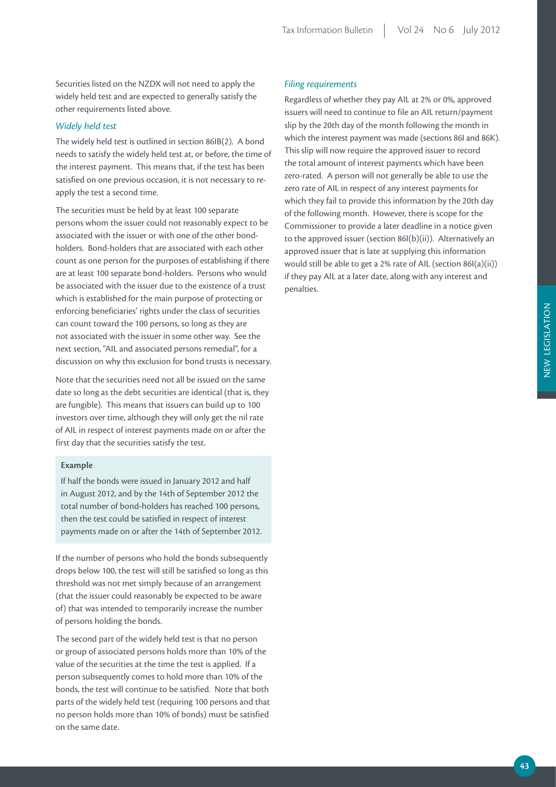Securities listed on the NZDX will not need to apply the widely held test and are expected to generally satisfy the other requirements listed above.

#### *Widely held test*

The widely held test is outlined in section 86IB(2). A bond needs to satisfy the widely held test at, or before, the time of the interest payment. This means that, if the test has been satisfied on one previous occasion, it is not necessary to reapply the test a second time.

The securities must be held by at least 100 separate persons whom the issuer could not reasonably expect to be associated with the issuer or with one of the other bondholders. Bond-holders that are associated with each other count as one person for the purposes of establishing if there are at least 100 separate bond-holders. Persons who would be associated with the issuer due to the existence of a trust which is established for the main purpose of protecting or enforcing beneficiaries' rights under the class of securities can count toward the 100 persons, so long as they are not associated with the issuer in some other way. See the next section, "AIL and associated persons remedial", for a discussion on why this exclusion for bond trusts is necessary.

Note that the securities need not all be issued on the same date so long as the debt securities are identical (that is, they are fungible). This means that issuers can build up to 100 investors over time, although they will only get the nil rate of AIL in respect of interest payments made on or after the first day that the securities satisfy the test.

#### **Example**

If half the bonds were issued in January 2012 and half in August 2012, and by the 14th of September 2012 the total number of bond-holders has reached 100 persons, then the test could be satisfied in respect of interest payments made on or after the 14th of September 2012.

If the number of persons who hold the bonds subsequently drops below 100, the test will still be satisfied so long as this threshold was not met simply because of an arrangement (that the issuer could reasonably be expected to be aware of) that was intended to temporarily increase the number of persons holding the bonds.

The second part of the widely held test is that no person or group of associated persons holds more than 10% of the value of the securities at the time the test is applied. If a person subsequently comes to hold more than 10% of the bonds, the test will continue to be satisfied. Note that both parts of the widely held test (requiring 100 persons and that no person holds more than 10% of bonds) must be satisfied on the same date.

#### *Filing requirements*

Regardless of whether they pay AIL at 2% or 0%, approved issuers will need to continue to file an AIL return/payment slip by the 20th day of the month following the month in which the interest payment was made (sections 86I and 86K). This slip will now require the approved issuer to record the total amount of interest payments which have been zero-rated. A person will not generally be able to use the zero rate of AIL in respect of any interest payments for which they fail to provide this information by the 20th day of the following month. However, there is scope for the Commissioner to provide a later deadline in a notice given to the approved issuer (section 86I(b)(ii)). Alternatively an approved issuer that is late at supplying this information would still be able to get a 2% rate of AIL (section 86I(a)(ii)) if they pay AIL at a later date, along with any interest and penalties.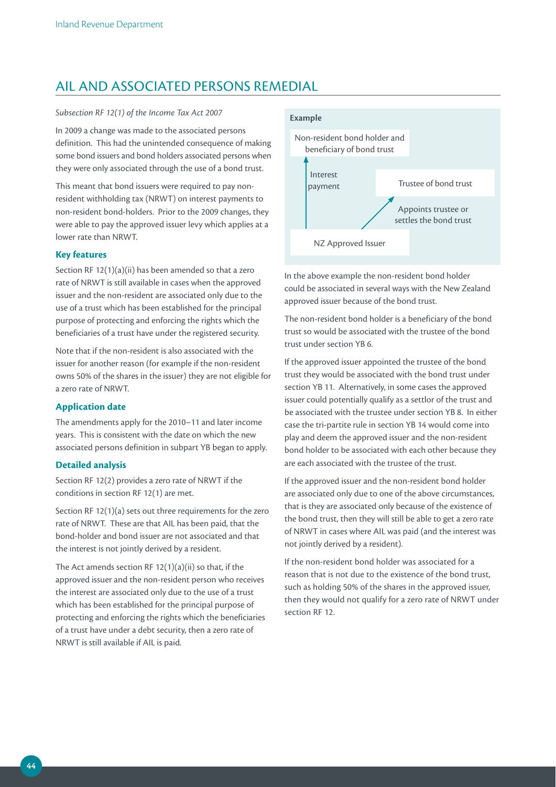## AIL AND ASSOCIATED PERSONS REMEDIAL

#### *Subsection RF 12(1) of the Income Tax Act 2007*

In 2009 a change was made to the associated persons definition. This had the unintended consequence of making some bond issuers and bond holders associated persons when they were only associated through the use of a bond trust.

This meant that bond issuers were required to pay nonresident withholding tax (NRWT) on interest payments to non-resident bond-holders. Prior to the 2009 changes, they were able to pay the approved issuer levy which applies at a lower rate than NRWT.

#### **Key features**

Section RF 12(1)(a)(ii) has been amended so that a zero rate of NRWT is still available in cases when the approved issuer and the non-resident are associated only due to the use of a trust which has been established for the principal purpose of protecting and enforcing the rights which the beneficiaries of a trust have under the registered security.

Note that if the non-resident is also associated with the issuer for another reason (for example if the non-resident owns 50% of the shares in the issuer) they are not eligible for a zero rate of NRWT.

#### **Application date**

The amendments apply for the 2010–11 and later income years. This is consistent with the date on which the new associated persons definition in subpart YB began to apply.

#### **Detailed analysis**

Section RF 12(2) provides a zero rate of NRWT if the conditions in section RF 12(1) are met.

Section RF 12(1)(a) sets out three requirements for the zero rate of NRWT. These are that AIL has been paid, that the bond-holder and bond issuer are not associated and that the interest is not jointly derived by a resident.

The Act amends section RF  $12(1)(a)(ii)$  so that, if the approved issuer and the non-resident person who receives the interest are associated only due to the use of a trust which has been established for the principal purpose of protecting and enforcing the rights which the beneficiaries of a trust have under a debt security, then a zero rate of NRWT is still available if AIL is paid.



In the above example the non-resident bond holder could be associated in several ways with the New Zealand approved issuer because of the bond trust.

The non-resident bond holder is a beneficiary of the bond trust so would be associated with the trustee of the bond trust under section YB 6.

If the approved issuer appointed the trustee of the bond trust they would be associated with the bond trust under section YB 11. Alternatively, in some cases the approved issuer could potentially qualify as a settlor of the trust and be associated with the trustee under section YB 8. In either case the tri-partite rule in section YB 14 would come into play and deem the approved issuer and the non-resident bond holder to be associated with each other because they are each associated with the trustee of the trust.

If the approved issuer and the non-resident bond holder are associated only due to one of the above circumstances, that is they are associated only because of the existence of the bond trust, then they will still be able to get a zero rate of NRWT in cases where AIL was paid (and the interest was not jointly derived by a resident).

If the non-resident bond holder was associated for a reason that is not due to the existence of the bond trust, such as holding 50% of the shares in the approved issuer, then they would not qualify for a zero rate of NRWT under section RF 12.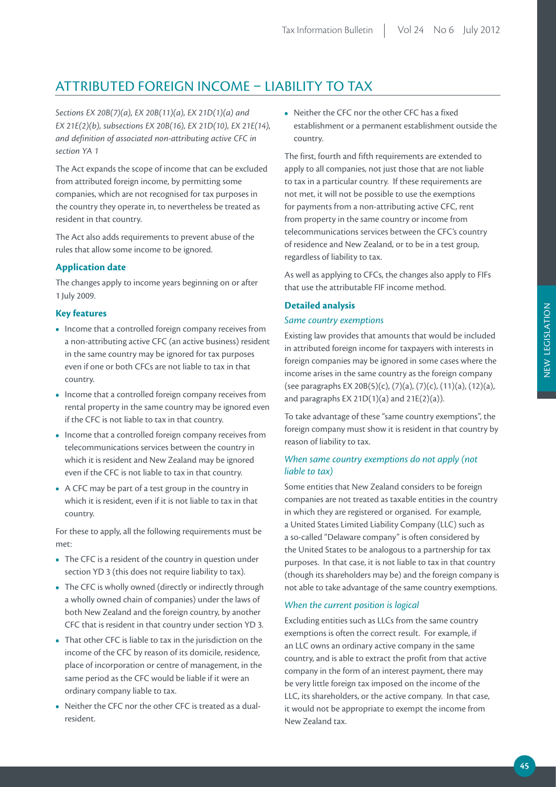## ATTRIBUTED FOREIGN INCOME – LIABILITY TO TAX

*Sections EX 20B(7)(a), EX 20B(11)(a), EX 21D(1)(a) and EX 21E(2)(b), subsections EX 20B(16), EX 21D(10), EX 21E(14), and definition of associated non-attributing active CFC in section YA 1*

The Act expands the scope of income that can be excluded from attributed foreign income, by permitting some companies, which are not recognised for tax purposes in the country they operate in, to nevertheless be treated as resident in that country.

The Act also adds requirements to prevent abuse of the rules that allow some income to be ignored.

#### **Application date**

The changes apply to income years beginning on or after 1 July 2009.

#### **Key features**

- **•**  Income that a controlled foreign company receives from a non-attributing active CFC (an active business) resident in the same country may be ignored for tax purposes even if one or both CFCs are not liable to tax in that country.
- **•**  Income that a controlled foreign company receives from rental property in the same country may be ignored even if the CFC is not liable to tax in that country.
- **•**  Income that a controlled foreign company receives from telecommunications services between the country in which it is resident and New Zealand may be ignored even if the CFC is not liable to tax in that country.
- **•**  A CFC may be part of a test group in the country in which it is resident, even if it is not liable to tax in that country.

For these to apply, all the following requirements must be met:

- **•**  The CFC is a resident of the country in question under section YD 3 (this does not require liability to tax).
- The CFC is wholly owned (directly or indirectly through a wholly owned chain of companies) under the laws of both New Zealand and the foreign country, by another CFC that is resident in that country under section YD 3.
- That other CFC is liable to tax in the jurisdiction on the income of the CFC by reason of its domicile, residence, place of incorporation or centre of management, in the same period as the CFC would be liable if it were an ordinary company liable to tax.
- Neither the CFC nor the other CFC is treated as a dualresident.

• Neither the CFC nor the other CFC has a fixed establishment or a permanent establishment outside the country.

The first, fourth and fifth requirements are extended to apply to all companies, not just those that are not liable to tax in a particular country. If these requirements are not met, it will not be possible to use the exemptions for payments from a non-attributing active CFC, rent from property in the same country or income from telecommunications services between the CFC's country of residence and New Zealand, or to be in a test group, regardless of liability to tax.

As well as applying to CFCs, the changes also apply to FIFs that use the attributable FIF income method.

#### **Detailed analysis**

#### *Same country exemptions*

Existing law provides that amounts that would be included in attributed foreign income for taxpayers with interests in foreign companies may be ignored in some cases where the income arises in the same country as the foreign company (see paragraphs EX 20B(5)(c), (7)(a), (7)(c), (11)(a), (12)(a), and paragraphs  $EX 21D(1)(a)$  and  $21E(2)(a)$ ).

To take advantage of these "same country exemptions", the foreign company must show it is resident in that country by reason of liability to tax.

#### *When same country exemptions do not apply (not liable to tax)*

Some entities that New Zealand considers to be foreign companies are not treated as taxable entities in the country in which they are registered or organised. For example, a United States Limited Liability Company (LLC) such as a so-called "Delaware company" is often considered by the United States to be analogous to a partnership for tax purposes. In that case, it is not liable to tax in that country (though its shareholders may be) and the foreign company is not able to take advantage of the same country exemptions.

#### *When the current position is logical*

Excluding entities such as LLCs from the same country exemptions is often the correct result. For example, if an LLC owns an ordinary active company in the same country, and is able to extract the profit from that active company in the form of an interest payment, there may be very little foreign tax imposed on the income of the LLC, its shareholders, or the active company. In that case, it would not be appropriate to exempt the income from New Zealand tax.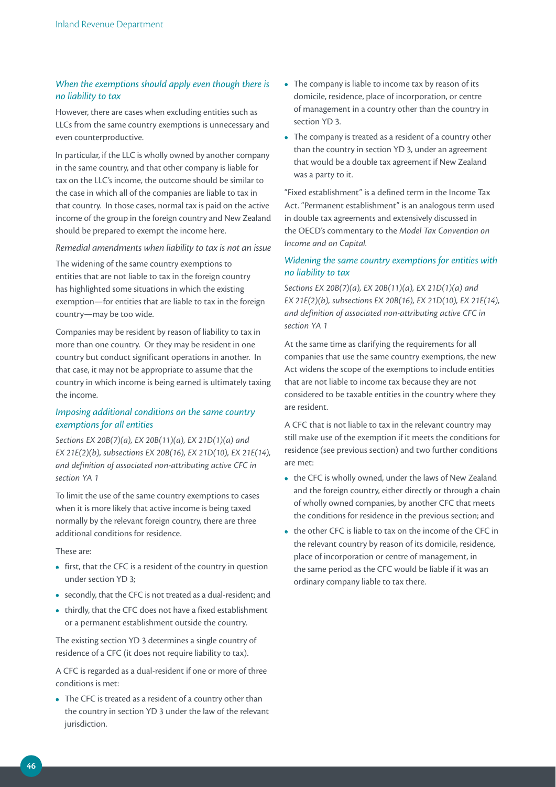#### *When the exemptions should apply even though there is no liability to tax*

However, there are cases when excluding entities such as LLCs from the same country exemptions is unnecessary and even counterproductive.

In particular, if the LLC is wholly owned by another company in the same country, and that other company is liable for tax on the LLC's income, the outcome should be similar to the case in which all of the companies are liable to tax in that country. In those cases, normal tax is paid on the active income of the group in the foreign country and New Zealand should be prepared to exempt the income here.

*Remedial amendments when liability to tax is not an issue*

The widening of the same country exemptions to entities that are not liable to tax in the foreign country has highlighted some situations in which the existing exemption—for entities that are liable to tax in the foreign country—may be too wide.

Companies may be resident by reason of liability to tax in more than one country. Or they may be resident in one country but conduct significant operations in another. In that case, it may not be appropriate to assume that the country in which income is being earned is ultimately taxing the income.

#### *Imposing additional conditions on the same country exemptions for all entities*

*Sections EX 20B(7)(a), EX 20B(11)(a), EX 21D(1)(a) and EX 21E(2)(b), subsections EX 20B(16), EX 21D(10), EX 21E(14), and definition of associated non-attributing active CFC in section YA 1*

To limit the use of the same country exemptions to cases when it is more likely that active income is being taxed normally by the relevant foreign country, there are three additional conditions for residence.

These are:

- **•** first, that the CFC is a resident of the country in question under section YD 3;
- **•**  secondly, that the CFC is not treated as a dual-resident; and
- **•**  thirdly, that the CFC does not have a fixed establishment or a permanent establishment outside the country.

The existing section YD 3 determines a single country of residence of a CFC (it does not require liability to tax).

A CFC is regarded as a dual-resident if one or more of three conditions is met:

**•**  The CFC is treated as a resident of a country other than the country in section YD 3 under the law of the relevant jurisdiction.

- The company is liable to income tax by reason of its domicile, residence, place of incorporation, or centre of management in a country other than the country in section YD 3.
- **•**  The company is treated as a resident of a country other than the country in section YD 3, under an agreement that would be a double tax agreement if New Zealand was a party to it.

"Fixed establishment" is a defined term in the Income Tax Act. "Permanent establishment" is an analogous term used in double tax agreements and extensively discussed in the OECD's commentary to the *Model Tax Convention on Income and on Capital.*

#### *Widening the same country exemptions for entities with no liability to tax*

*Sections EX 20B(7)(a), EX 20B(11)(a), EX 21D(1)(a) and EX 21E(2)(b), subsections EX 20B(16), EX 21D(10), EX 21E(14), and definition of associated non-attributing active CFC in section YA 1*

At the same time as clarifying the requirements for all companies that use the same country exemptions, the new Act widens the scope of the exemptions to include entities that are not liable to income tax because they are not considered to be taxable entities in the country where they are resident.

A CFC that is not liable to tax in the relevant country may still make use of the exemption if it meets the conditions for residence (see previous section) and two further conditions are met:

- **•**  the CFC is wholly owned, under the laws of New Zealand and the foreign country, either directly or through a chain of wholly owned companies, by another CFC that meets the conditions for residence in the previous section; and
- the other CFC is liable to tax on the income of the CFC in the relevant country by reason of its domicile, residence, place of incorporation or centre of management, in the same period as the CFC would be liable if it was an ordinary company liable to tax there.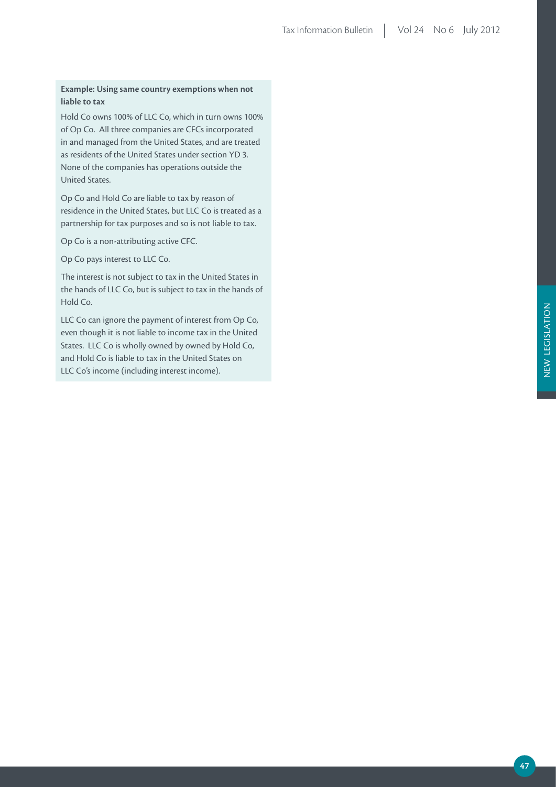#### **Example: Using same country exemptions when not liable to tax**

Hold Co owns 100% of LLC Co, which in turn owns 100% of Op Co. All three companies are CFCs incorporated in and managed from the United States, and are treated as residents of the United States under section YD 3. None of the companies has operations outside the United States.

Op Co and Hold Co are liable to tax by reason of residence in the United States, but LLC Co is treated as a partnership for tax purposes and so is not liable to tax.

Op Co is a non-attributing active CFC.

Op Co pays interest to LLC Co.

The interest is not subject to tax in the United States in the hands of LLC Co, but is subject to tax in the hands of Hold Co.

LLC Co can ignore the payment of interest from Op Co, even though it is not liable to income tax in the United States. LLC Co is wholly owned by owned by Hold Co, and Hold Co is liable to tax in the United States on LLC Co's income (including interest income).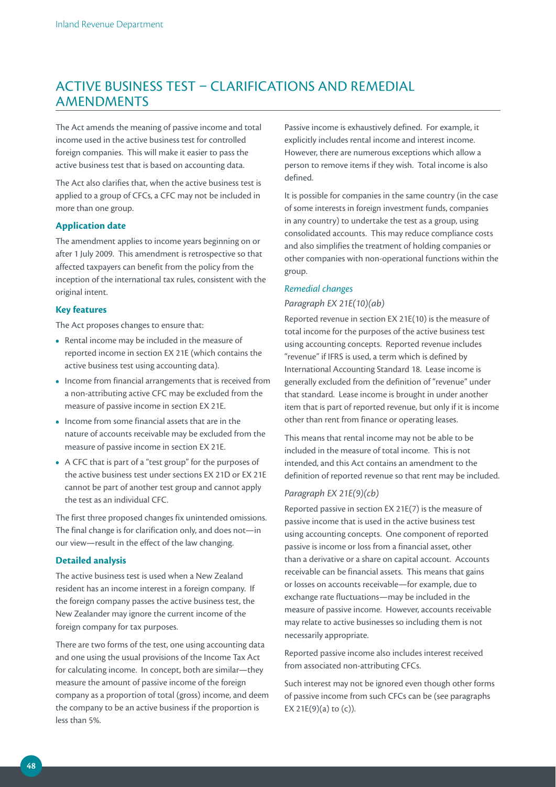## ACTIVE BUSINESS TEST – CLARIFICATIONS AND REMEDIAL AMENDMENTS

The Act amends the meaning of passive income and total income used in the active business test for controlled foreign companies. This will make it easier to pass the active business test that is based on accounting data.

The Act also clarifies that, when the active business test is applied to a group of CFCs, a CFC may not be included in more than one group.

#### **Application date**

The amendment applies to income years beginning on or after 1 July 2009. This amendment is retrospective so that affected taxpayers can benefit from the policy from the inception of the international tax rules, consistent with the original intent.

#### **Key features**

The Act proposes changes to ensure that:

- **•**  Rental income may be included in the measure of reported income in section EX 21E (which contains the active business test using accounting data).
- Income from financial arrangements that is received from a non-attributing active CFC may be excluded from the measure of passive income in section EX 21E.
- **•**  Income from some financial assets that are in the nature of accounts receivable may be excluded from the measure of passive income in section EX 21E.
- **•**  A CFC that is part of a "test group" for the purposes of the active business test under sections EX 21D or EX 21E cannot be part of another test group and cannot apply the test as an individual CFC.

The first three proposed changes fix unintended omissions. The final change is for clarification only, and does not—in our view—result in the effect of the law changing.

#### **Detailed analysis**

The active business test is used when a New Zealand resident has an income interest in a foreign company. If the foreign company passes the active business test, the New Zealander may ignore the current income of the foreign company for tax purposes.

There are two forms of the test, one using accounting data and one using the usual provisions of the Income Tax Act for calculating income. In concept, both are similar—they measure the amount of passive income of the foreign company as a proportion of total (gross) income, and deem the company to be an active business if the proportion is less than 5%.

Passive income is exhaustively defined. For example, it explicitly includes rental income and interest income. However, there are numerous exceptions which allow a person to remove items if they wish. Total income is also defined.

It is possible for companies in the same country (in the case of some interests in foreign investment funds, companies in any country) to undertake the test as a group, using consolidated accounts. This may reduce compliance costs and also simplifies the treatment of holding companies or other companies with non-operational functions within the group.

#### *Remedial changes*

#### *Paragraph EX 21E(10)(ab)*

Reported revenue in section EX 21E(10) is the measure of total income for the purposes of the active business test using accounting concepts. Reported revenue includes "revenue" if IFRS is used, a term which is defined by International Accounting Standard 18. Lease income is generally excluded from the definition of "revenue" under that standard. Lease income is brought in under another item that is part of reported revenue, but only if it is income other than rent from finance or operating leases.

This means that rental income may not be able to be included in the measure of total income. This is not intended, and this Act contains an amendment to the definition of reported revenue so that rent may be included.

#### *Paragraph EX 21E(9)(cb)*

Reported passive in section EX 21E(7) is the measure of passive income that is used in the active business test using accounting concepts. One component of reported passive is income or loss from a financial asset, other than a derivative or a share on capital account. Accounts receivable can be financial assets. This means that gains or losses on accounts receivable—for example, due to exchange rate fluctuations—may be included in the measure of passive income. However, accounts receivable may relate to active businesses so including them is not necessarily appropriate.

Reported passive income also includes interest received from associated non-attributing CFCs.

Such interest may not be ignored even though other forms of passive income from such CFCs can be (see paragraphs EX 21E(9)(a) to  $(c)$ ).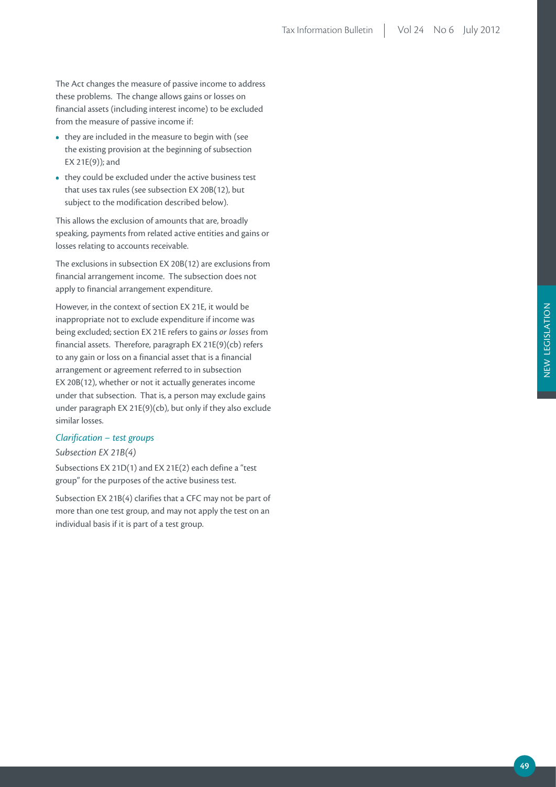The Act changes the measure of passive income to address these problems. The change allows gains or losses on financial assets (including interest income) to be excluded from the measure of passive income if:

- they are included in the measure to begin with (see the existing provision at the beginning of subsection EX 21E(9)); and
- **•**  they could be excluded under the active business test that uses tax rules (see subsection EX 20B(12), but subject to the modification described below).

This allows the exclusion of amounts that are, broadly speaking, payments from related active entities and gains or losses relating to accounts receivable.

The exclusions in subsection EX 20B(12) are exclusions from financial arrangement income. The subsection does not apply to financial arrangement expenditure.

However, in the context of section EX 21E, it would be inappropriate not to exclude expenditure if income was being excluded; section EX 21E refers to gains *or losses* from financial assets. Therefore, paragraph EX 21E(9)(cb) refers to any gain or loss on a financial asset that is a financial arrangement or agreement referred to in subsection EX 20B(12), whether or not it actually generates income under that subsection. That is, a person may exclude gains under paragraph EX 21E(9)(cb), but only if they also exclude similar losses.

#### *Clarification – test groups*

#### *Subsection EX 21B(4)*

Subsections EX 21D(1) and EX 21E(2) each define a "test group" for the purposes of the active business test.

Subsection EX 21B(4) clarifies that a CFC may not be part of more than one test group, and may not apply the test on an individual basis if it is part of a test group.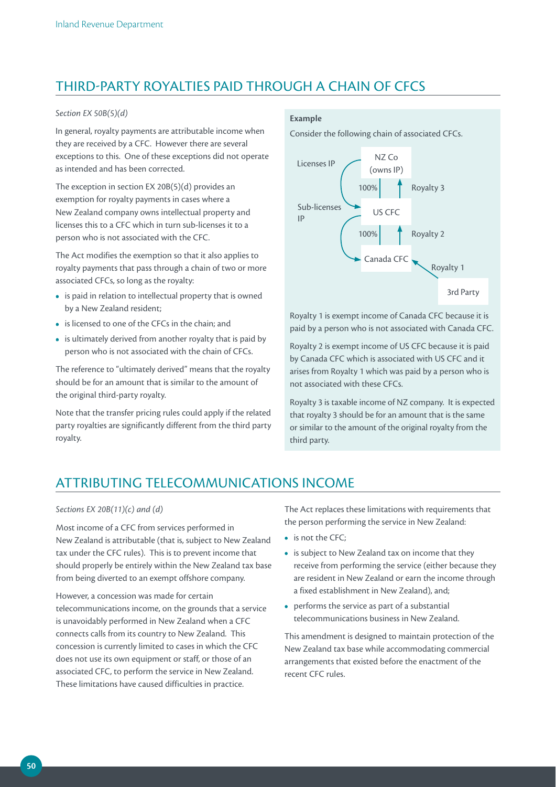## THIRD-PARTY ROYALTIES PAID THROUGH A CHAIN OF CFCS

#### *Section EX 50B(5)(d)*

In general, royalty payments are attributable income when they are received by a CFC. However there are several exceptions to this. One of these exceptions did not operate as intended and has been corrected.

The exception in section EX 20B(5)(d) provides an exemption for royalty payments in cases where a New Zealand company owns intellectual property and licenses this to a CFC which in turn sub-licenses it to a person who is not associated with the CFC.

The Act modifies the exemption so that it also applies to royalty payments that pass through a chain of two or more associated CFCs, so long as the royalty:

- **•**  is paid in relation to intellectual property that is owned by a New Zealand resident;
- **•**  is licensed to one of the CFCs in the chain; and
- is ultimately derived from another royalty that is paid by person who is not associated with the chain of CFCs.

The reference to "ultimately derived" means that the royalty should be for an amount that is similar to the amount of the original third-party royalty.

Note that the transfer pricing rules could apply if the related party royalties are significantly different from the third party royalty.

#### **Example**

Consider the following chain of associated CFCs.



Royalty 1 is exempt income of Canada CFC because it is paid by a person who is not associated with Canada CFC.

Royalty 2 is exempt income of US CFC because it is paid by Canada CFC which is associated with US CFC and it arises from Royalty 1 which was paid by a person who is not associated with these CFCs.

Royalty 3 is taxable income of NZ company. It is expected that royalty 3 should be for an amount that is the same or similar to the amount of the original royalty from the third party.

## ATTRIBUTING TELECOMMUNICATIONS INCOME

#### *Sections EX 20B(11)(c) and (d)*

Most income of a CFC from services performed in New Zealand is attributable (that is, subject to New Zealand tax under the CFC rules). This is to prevent income that should properly be entirely within the New Zealand tax base from being diverted to an exempt offshore company.

However, a concession was made for certain telecommunications income, on the grounds that a service is unavoidably performed in New Zealand when a CFC connects calls from its country to New Zealand. This concession is currently limited to cases in which the CFC does not use its own equipment or staff, or those of an associated CFC, to perform the service in New Zealand. These limitations have caused difficulties in practice.

The Act replaces these limitations with requirements that the person performing the service in New Zealand:

- **•**  is not the CFC;
- **•**  is subject to New Zealand tax on income that they receive from performing the service (either because they are resident in New Zealand or earn the income through a fixed establishment in New Zealand), and;
- performs the service as part of a substantial telecommunications business in New Zealand.

This amendment is designed to maintain protection of the New Zealand tax base while accommodating commercial arrangements that existed before the enactment of the recent CFC rules.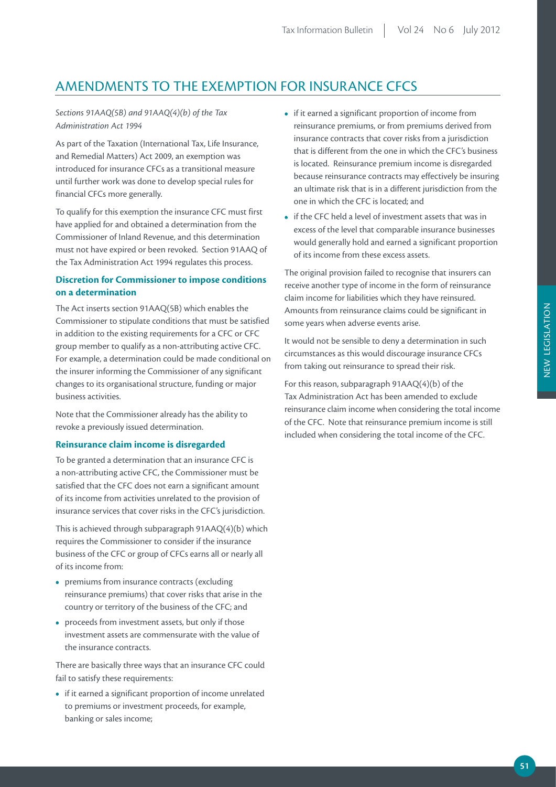## AMENDMENTS TO THE EXEMPTION FOR INSURANCE CFCS

#### *Sections 91AAQ(5B) and 91AAQ(4)(b) of the Tax Administration Act 1994*

As part of the Taxation (International Tax, Life Insurance, and Remedial Matters) Act 2009, an exemption was introduced for insurance CFCs as a transitional measure until further work was done to develop special rules for financial CFCs more generally.

To qualify for this exemption the insurance CFC must first have applied for and obtained a determination from the Commissioner of Inland Revenue, and this determination must not have expired or been revoked. Section 91AAQ of the Tax Administration Act 1994 regulates this process.

#### **Discretion for Commissioner to impose conditions on a determination**

The Act inserts section 91AAQ(5B) which enables the Commissioner to stipulate conditions that must be satisfied in addition to the existing requirements for a CFC or CFC group member to qualify as a non-attributing active CFC. For example, a determination could be made conditional on the insurer informing the Commissioner of any significant changes to its organisational structure, funding or major business activities.

Note that the Commissioner already has the ability to revoke a previously issued determination.

#### **Reinsurance claim income is disregarded**

To be granted a determination that an insurance CFC is a non-attributing active CFC, the Commissioner must be satisfied that the CFC does not earn a significant amount of its income from activities unrelated to the provision of insurance services that cover risks in the CFC's jurisdiction.

This is achieved through subparagraph 91AAQ(4)(b) which requires the Commissioner to consider if the insurance business of the CFC or group of CFCs earns all or nearly all of its income from:

- premiums from insurance contracts (excluding reinsurance premiums) that cover risks that arise in the country or territory of the business of the CFC; and
- proceeds from investment assets, but only if those investment assets are commensurate with the value of the insurance contracts.

There are basically three ways that an insurance CFC could fail to satisfy these requirements:

**•**  if it earned a significant proportion of income unrelated to premiums or investment proceeds, for example, banking or sales income;

- **•**  if it earned a significant proportion of income from reinsurance premiums, or from premiums derived from insurance contracts that cover risks from a jurisdiction that is different from the one in which the CFC's business is located. Reinsurance premium income is disregarded because reinsurance contracts may effectively be insuring an ultimate risk that is in a different jurisdiction from the one in which the CFC is located; and
- **•**  if the CFC held a level of investment assets that was in excess of the level that comparable insurance businesses would generally hold and earned a significant proportion of its income from these excess assets.

The original provision failed to recognise that insurers can receive another type of income in the form of reinsurance claim income for liabilities which they have reinsured. Amounts from reinsurance claims could be significant in some years when adverse events arise.

It would not be sensible to deny a determination in such circumstances as this would discourage insurance CFCs from taking out reinsurance to spread their risk.

For this reason, subparagraph 91AAQ(4)(b) of the Tax Administration Act has been amended to exclude reinsurance claim income when considering the total income of the CFC. Note that reinsurance premium income is still included when considering the total income of the CFC.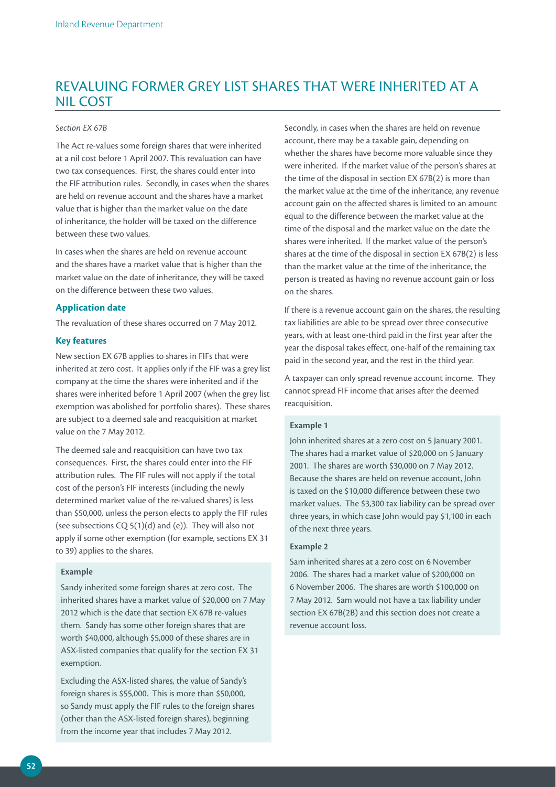## REVALUING FORMER GREY LIST SHARES THAT WERE INHERITED AT A NIL COST

#### *Section EX 67B*

The Act re-values some foreign shares that were inherited at a nil cost before 1 April 2007. This revaluation can have two tax consequences. First, the shares could enter into the FIF attribution rules. Secondly, in cases when the shares are held on revenue account and the shares have a market value that is higher than the market value on the date of inheritance, the holder will be taxed on the difference between these two values.

In cases when the shares are held on revenue account and the shares have a market value that is higher than the market value on the date of inheritance, they will be taxed on the difference between these two values.

#### **Application date**

The revaluation of these shares occurred on 7 May 2012.

#### **Key features**

New section EX 67B applies to shares in FIFs that were inherited at zero cost. It applies only if the FIF was a grey list company at the time the shares were inherited and if the shares were inherited before 1 April 2007 (when the grey list exemption was abolished for portfolio shares). These shares are subject to a deemed sale and reacquisition at market value on the 7 May 2012.

The deemed sale and reacquisition can have two tax consequences. First, the shares could enter into the FIF attribution rules. The FIF rules will not apply if the total cost of the person's FIF interests (including the newly determined market value of the re-valued shares) is less than \$50,000, unless the person elects to apply the FIF rules (see subsections CQ 5(1)(d) and (e)). They will also not apply if some other exemption (for example, sections EX 31 to 39) applies to the shares.

#### **Example**

Sandy inherited some foreign shares at zero cost. The inherited shares have a market value of \$20,000 on 7 May 2012 which is the date that section EX 67B re-values them. Sandy has some other foreign shares that are worth \$40,000, although \$5,000 of these shares are in ASX-listed companies that qualify for the section EX 31 exemption.

Excluding the ASX-listed shares, the value of Sandy's foreign shares is \$55,000. This is more than \$50,000, so Sandy must apply the FIF rules to the foreign shares (other than the ASX-listed foreign shares), beginning from the income year that includes 7 May 2012.

Secondly, in cases when the shares are held on revenue account, there may be a taxable gain, depending on whether the shares have become more valuable since they were inherited. If the market value of the person's shares at the time of the disposal in section EX 67B(2) is more than the market value at the time of the inheritance, any revenue account gain on the affected shares is limited to an amount equal to the difference between the market value at the time of the disposal and the market value on the date the shares were inherited. If the market value of the person's shares at the time of the disposal in section EX 67B(2) is less than the market value at the time of the inheritance, the person is treated as having no revenue account gain or loss on the shares.

If there is a revenue account gain on the shares, the resulting tax liabilities are able to be spread over three consecutive years, with at least one-third paid in the first year after the year the disposal takes effect, one-half of the remaining tax paid in the second year, and the rest in the third year.

A taxpayer can only spread revenue account income. They cannot spread FIF income that arises after the deemed reacquisition.

#### **Example 1**

John inherited shares at a zero cost on 5 January 2001. The shares had a market value of \$20,000 on 5 January 2001. The shares are worth \$30,000 on 7 May 2012. Because the shares are held on revenue account, John is taxed on the \$10,000 difference between these two market values. The \$3,300 tax liability can be spread over three years, in which case John would pay \$1,100 in each of the next three years.

#### **Example 2**

Sam inherited shares at a zero cost on 6 November 2006. The shares had a market value of \$200,000 on 6 November 2006. The shares are worth \$100,000 on 7 May 2012. Sam would not have a tax liability under section EX 67B(2B) and this section does not create a revenue account loss.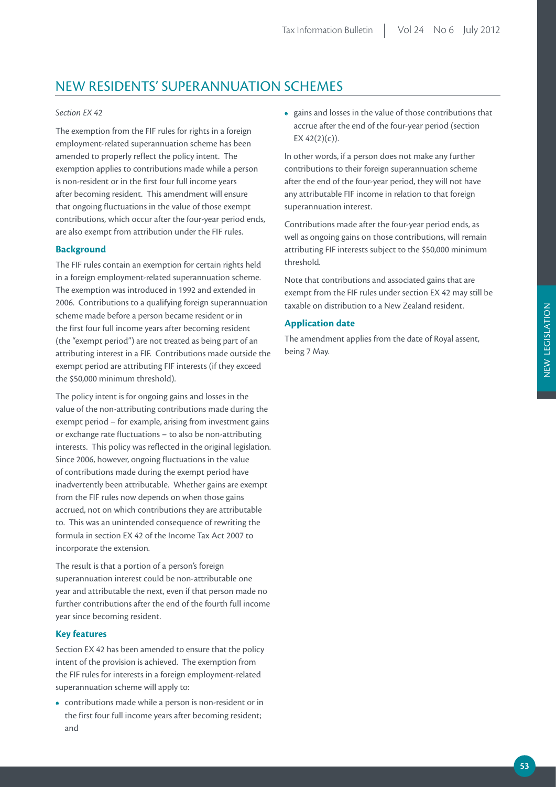## NEW RESIDENTS' SUPERANNUATION SCHEMES

#### *Section EX 42*

The exemption from the FIF rules for rights in a foreign employment-related superannuation scheme has been amended to properly reflect the policy intent. The exemption applies to contributions made while a person is non-resident or in the first four full income years after becoming resident. This amendment will ensure that ongoing fluctuations in the value of those exempt contributions, which occur after the four-year period ends, are also exempt from attribution under the FIF rules.

#### **Background**

The FIF rules contain an exemption for certain rights held in a foreign employment-related superannuation scheme. The exemption was introduced in 1992 and extended in 2006. Contributions to a qualifying foreign superannuation scheme made before a person became resident or in the first four full income years after becoming resident (the "exempt period") are not treated as being part of an attributing interest in a FIF. Contributions made outside the exempt period are attributing FIF interests (if they exceed the \$50,000 minimum threshold).

The policy intent is for ongoing gains and losses in the value of the non-attributing contributions made during the exempt period – for example, arising from investment gains or exchange rate fluctuations – to also be non-attributing interests. This policy was reflected in the original legislation. Since 2006, however, ongoing fluctuations in the value of contributions made during the exempt period have inadvertently been attributable. Whether gains are exempt from the FIF rules now depends on when those gains accrued, not on which contributions they are attributable to. This was an unintended consequence of rewriting the formula in section EX 42 of the Income Tax Act 2007 to incorporate the extension.

The result is that a portion of a person's foreign superannuation interest could be non-attributable one year and attributable the next, even if that person made no further contributions after the end of the fourth full income year since becoming resident.

#### **Key features**

Section EX 42 has been amended to ensure that the policy intent of the provision is achieved. The exemption from the FIF rules for interests in a foreign employment-related superannuation scheme will apply to:

**•**  contributions made while a person is non-resident or in the first four full income years after becoming resident; and

**•**  gains and losses in the value of those contributions that accrue after the end of the four-year period (section EX  $42(2)(c)$ ).

In other words, if a person does not make any further contributions to their foreign superannuation scheme after the end of the four-year period, they will not have any attributable FIF income in relation to that foreign superannuation interest.

Contributions made after the four-year period ends, as well as ongoing gains on those contributions, will remain attributing FIF interests subject to the \$50,000 minimum threshold.

Note that contributions and associated gains that are exempt from the FIF rules under section EX 42 may still be taxable on distribution to a New Zealand resident.

#### **Application date**

The amendment applies from the date of Royal assent, being 7 May.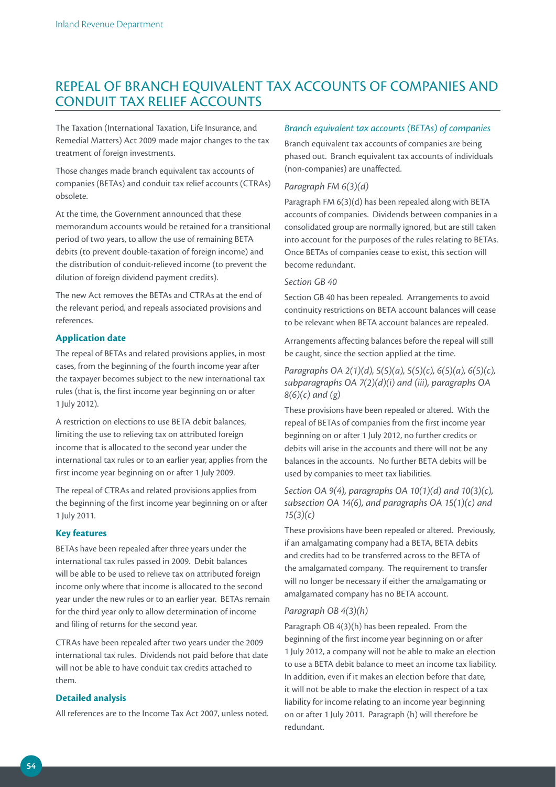## REPEAL OF BRANCH EQUIVALENT TAX ACCOUNTS OF COMPANIES AND CONDUIT TAX RELIEF ACCOUNTS

The Taxation (International Taxation, Life Insurance, and Remedial Matters) Act 2009 made major changes to the tax treatment of foreign investments.

Those changes made branch equivalent tax accounts of companies (BETAs) and conduit tax relief accounts (CTRAs) obsolete.

At the time, the Government announced that these memorandum accounts would be retained for a transitional period of two years, to allow the use of remaining BETA debits (to prevent double-taxation of foreign income) and the distribution of conduit-relieved income (to prevent the dilution of foreign dividend payment credits).

The new Act removes the BETAs and CTRAs at the end of the relevant period, and repeals associated provisions and references.

#### **Application date**

The repeal of BETAs and related provisions applies, in most cases, from the beginning of the fourth income year after the taxpayer becomes subject to the new international tax rules (that is, the first income year beginning on or after 1 July 2012).

A restriction on elections to use BETA debit balances, limiting the use to relieving tax on attributed foreign income that is allocated to the second year under the international tax rules or to an earlier year, applies from the first income year beginning on or after 1 July 2009.

The repeal of CTRAs and related provisions applies from the beginning of the first income year beginning on or after 1 July 2011.

#### **Key features**

BETAs have been repealed after three years under the international tax rules passed in 2009. Debit balances will be able to be used to relieve tax on attributed foreign income only where that income is allocated to the second year under the new rules or to an earlier year. BETAs remain for the third year only to allow determination of income and filing of returns for the second year.

CTRAs have been repealed after two years under the 2009 international tax rules. Dividends not paid before that date will not be able to have conduit tax credits attached to them.

#### **Detailed analysis**

All references are to the Income Tax Act 2007, unless noted.

#### *Branch equivalent tax accounts (BETAs) of companies*

Branch equivalent tax accounts of companies are being phased out. Branch equivalent tax accounts of individuals (non-companies) are unaffected.

#### *Paragraph FM 6(3)(d)*

Paragraph FM 6(3)(d) has been repealed along with BETA accounts of companies. Dividends between companies in a consolidated group are normally ignored, but are still taken into account for the purposes of the rules relating to BETAs. Once BETAs of companies cease to exist, this section will become redundant.

#### *Section GB 40*

Section GB 40 has been repealed. Arrangements to avoid continuity restrictions on BETA account balances will cease to be relevant when BETA account balances are repealed.

Arrangements affecting balances before the repeal will still be caught, since the section applied at the time.

#### *Paragraphs OA 2(1)(d), 5(5)(a), 5(5)(c), 6(5)(a), 6(5)(c), subparagraphs OA 7(2)(d)(i) and (iii), paragraphs OA 8(6)(c) and (g)*

These provisions have been repealed or altered. With the repeal of BETAs of companies from the first income year beginning on or after 1 July 2012, no further credits or debits will arise in the accounts and there will not be any balances in the accounts. No further BETA debits will be used by companies to meet tax liabilities.

#### *Section OA 9(4), paragraphs OA 10(1)(d) and 10(3)(c), subsection OA 14(6), and paragraphs OA 15(1)(c) and 15(3)(c)*

These provisions have been repealed or altered. Previously, if an amalgamating company had a BETA, BETA debits and credits had to be transferred across to the BETA of the amalgamated company. The requirement to transfer will no longer be necessary if either the amalgamating or amalgamated company has no BETA account.

#### *Paragraph OB 4(3)(h)*

Paragraph OB 4(3)(h) has been repealed. From the beginning of the first income year beginning on or after 1 July 2012, a company will not be able to make an election to use a BETA debit balance to meet an income tax liability. In addition, even if it makes an election before that date, it will not be able to make the election in respect of a tax liability for income relating to an income year beginning on or after 1 July 2011. Paragraph (h) will therefore be redundant.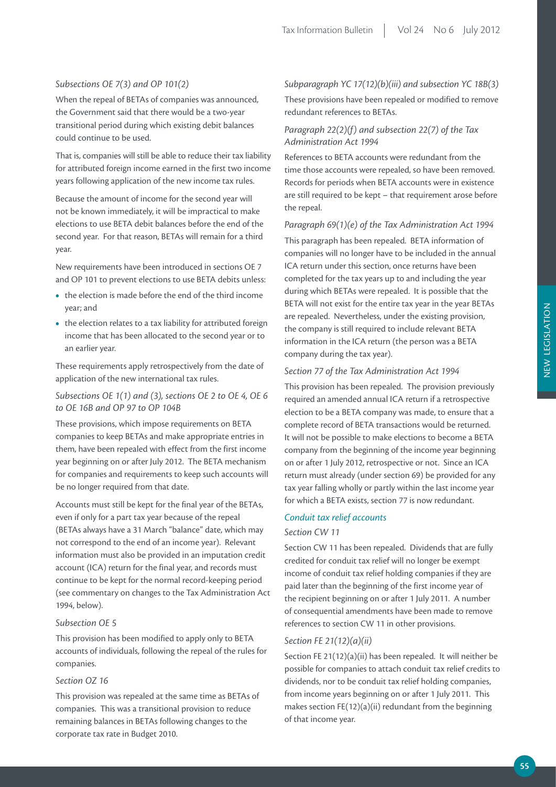#### *Subsections OE 7(3) and OP 101(2)*

When the repeal of BETAs of companies was announced, the Government said that there would be a two-year transitional period during which existing debit balances could continue to be used.

That is, companies will still be able to reduce their tax liability for attributed foreign income earned in the first two income years following application of the new income tax rules.

Because the amount of income for the second year will not be known immediately, it will be impractical to make elections to use BETA debit balances before the end of the second year. For that reason, BETAs will remain for a third year.

New requirements have been introduced in sections OE 7 and OP 101 to prevent elections to use BETA debits unless:

- the election is made before the end of the third income year; and
- the election relates to a tax liability for attributed foreign income that has been allocated to the second year or to an earlier year.

These requirements apply retrospectively from the date of application of the new international tax rules.

#### *Subsections OE 1(1) and (3), sections OE 2 to OE 4, OE 6 to OE 16B and OP 97 to OP 104B*

These provisions, which impose requirements on BETA companies to keep BETAs and make appropriate entries in them, have been repealed with effect from the first income year beginning on or after July 2012. The BETA mechanism for companies and requirements to keep such accounts will be no longer required from that date.

Accounts must still be kept for the final year of the BETAs, even if only for a part tax year because of the repeal (BETAs always have a 31 March "balance" date, which may not correspond to the end of an income year). Relevant information must also be provided in an imputation credit account (ICA) return for the final year, and records must continue to be kept for the normal record-keeping period (see commentary on changes to the Tax Administration Act 1994, below).

#### *Subsection OE 5*

This provision has been modified to apply only to BETA accounts of individuals, following the repeal of the rules for companies.

#### *Section OZ 16*

This provision was repealed at the same time as BETAs of companies. This was a transitional provision to reduce remaining balances in BETAs following changes to the corporate tax rate in Budget 2010.

#### *Subparagraph YC 17(12)(b)(iii) and subsection YC 18B(3)*

These provisions have been repealed or modified to remove redundant references to BETAs.

#### *Paragraph 22(2)(f) and subsection 22(7) of the Tax Administration Act 1994*

References to BETA accounts were redundant from the time those accounts were repealed, so have been removed. Records for periods when BETA accounts were in existence are still required to be kept – that requirement arose before the repeal.

#### *Paragraph 69(1)(e) of the Tax Administration Act 1994*

This paragraph has been repealed. BETA information of companies will no longer have to be included in the annual ICA return under this section, once returns have been completed for the tax years up to and including the year during which BETAs were repealed. It is possible that the BETA will not exist for the entire tax year in the year BETAs are repealed. Nevertheless, under the existing provision, the company is still required to include relevant BETA information in the ICA return (the person was a BETA company during the tax year).

#### *Section 77 of the Tax Administration Act 1994*

This provision has been repealed. The provision previously required an amended annual ICA return if a retrospective election to be a BETA company was made, to ensure that a complete record of BETA transactions would be returned. It will not be possible to make elections to become a BETA company from the beginning of the income year beginning on or after 1 July 2012, retrospective or not. Since an ICA return must already (under section 69) be provided for any tax year falling wholly or partly within the last income year for which a BETA exists, section 77 is now redundant.

#### *Conduit tax relief accounts*

#### *Section CW 11*

Section CW 11 has been repealed. Dividends that are fully credited for conduit tax relief will no longer be exempt income of conduit tax relief holding companies if they are paid later than the beginning of the first income year of the recipient beginning on or after 1 July 2011. A number of consequential amendments have been made to remove references to section CW 11 in other provisions.

#### *Section FE 21(12)(a)(ii)*

Section FE 21(12)(a)(ii) has been repealed. It will neither be possible for companies to attach conduit tax relief credits to dividends, nor to be conduit tax relief holding companies, from income years beginning on or after 1 July 2011. This makes section FE(12)(a)(ii) redundant from the beginning of that income year.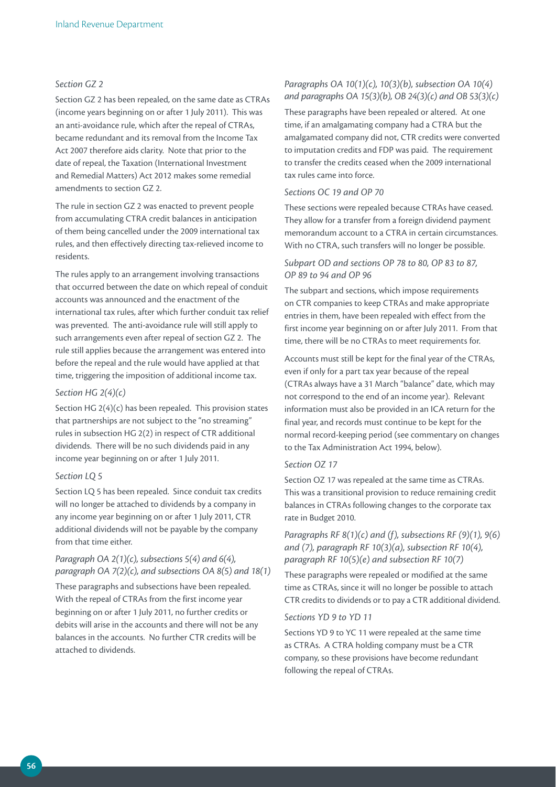#### *Section GZ 2*

Section GZ 2 has been repealed, on the same date as CTRAs (income years beginning on or after 1 July 2011). This was an anti-avoidance rule, which after the repeal of CTRAs, became redundant and its removal from the Income Tax Act 2007 therefore aids clarity. Note that prior to the date of repeal, the Taxation (International Investment and Remedial Matters) Act 2012 makes some remedial amendments to section GZ 2.

The rule in section GZ 2 was enacted to prevent people from accumulating CTRA credit balances in anticipation of them being cancelled under the 2009 international tax rules, and then effectively directing tax-relieved income to residents.

The rules apply to an arrangement involving transactions that occurred between the date on which repeal of conduit accounts was announced and the enactment of the international tax rules, after which further conduit tax relief was prevented. The anti-avoidance rule will still apply to such arrangements even after repeal of section GZ 2. The rule still applies because the arrangement was entered into before the repeal and the rule would have applied at that time, triggering the imposition of additional income tax.

#### *Section HG 2(4)(c)*

Section HG 2(4)(c) has been repealed. This provision states that partnerships are not subject to the "no streaming" rules in subsection HG 2(2) in respect of CTR additional dividends. There will be no such dividends paid in any income year beginning on or after 1 July 2011.

#### *Section LQ 5*

Section LQ 5 has been repealed. Since conduit tax credits will no longer be attached to dividends by a company in any income year beginning on or after 1 July 2011, CTR additional dividends will not be payable by the company from that time either.

#### *Paragraph OA 2(1)(c), subsections 5(4) and 6(4), paragraph OA 7(2)(c), and subsections OA 8(5) and 18(1)*

These paragraphs and subsections have been repealed. With the repeal of CTRAs from the first income year beginning on or after 1 July 2011, no further credits or debits will arise in the accounts and there will not be any balances in the accounts. No further CTR credits will be attached to dividends.

#### *Paragraphs OA 10(1)(c), 10(3)(b), subsection OA 10(4) and paragraphs OA 15(3)(b), OB 24(3)(c) and OB 53(3)(c)*

These paragraphs have been repealed or altered. At one time, if an amalgamating company had a CTRA but the amalgamated company did not, CTR credits were converted to imputation credits and FDP was paid. The requirement to transfer the credits ceased when the 2009 international tax rules came into force.

#### *Sections OC 19 and OP 70*

These sections were repealed because CTRAs have ceased. They allow for a transfer from a foreign dividend payment memorandum account to a CTRA in certain circumstances. With no CTRA, such transfers will no longer be possible.

#### *Subpart OD and sections OP 78 to 80, OP 83 to 87, OP 89 to 94 and OP 96*

The subpart and sections, which impose requirements on CTR companies to keep CTRAs and make appropriate entries in them, have been repealed with effect from the first income year beginning on or after July 2011. From that time, there will be no CTRAs to meet requirements for.

Accounts must still be kept for the final year of the CTRAs, even if only for a part tax year because of the repeal (CTRAs always have a 31 March "balance" date, which may not correspond to the end of an income year). Relevant information must also be provided in an ICA return for the final year, and records must continue to be kept for the normal record-keeping period (see commentary on changes to the Tax Administration Act 1994, below).

#### *Section OZ 17*

Section OZ 17 was repealed at the same time as CTRAs. This was a transitional provision to reduce remaining credit balances in CTRAs following changes to the corporate tax rate in Budget 2010.

*Paragraphs RF 8(1)(c) and (f), subsections RF (9)(1), 9(6) and (7), paragraph RF 10(3)(a), subsection RF 10(4), paragraph RF 10(5)(e) and subsection RF 10(7)*

These paragraphs were repealed or modified at the same time as CTRAs, since it will no longer be possible to attach CTR credits to dividends or to pay a CTR additional dividend.

#### *Sections YD 9 to YD 11*

Sections YD 9 to YC 11 were repealed at the same time as CTRAs. A CTRA holding company must be a CTR company, so these provisions have become redundant following the repeal of CTRAs.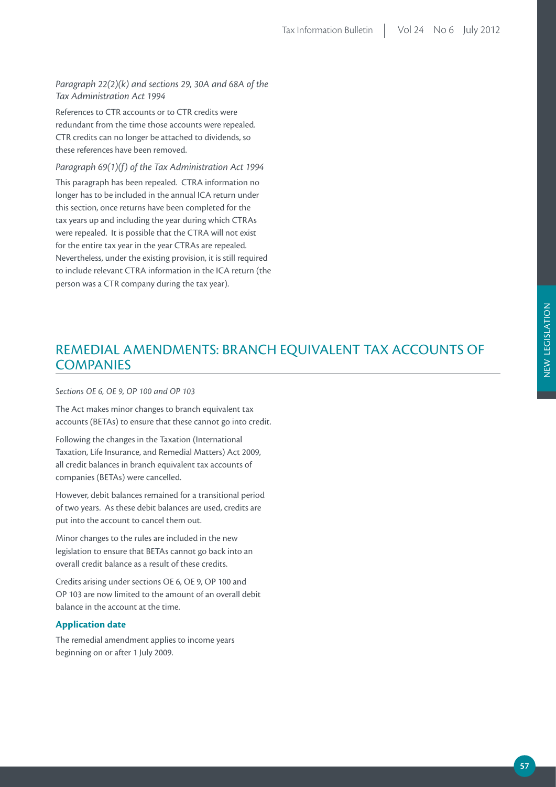*Paragraph 22(2)(k) and sections 29, 30A and 68A of the Tax Administration Act 1994*

References to CTR accounts or to CTR credits were redundant from the time those accounts were repealed. CTR credits can no longer be attached to dividends, so these references have been removed.

*Paragraph 69(1)(f) of the Tax Administration Act 1994* This paragraph has been repealed. CTRA information no longer has to be included in the annual ICA return under this section, once returns have been completed for the tax years up and including the year during which CTRAs were repealed. It is possible that the CTRA will not exist for the entire tax year in the year CTRAs are repealed. Nevertheless, under the existing provision, it is still required to include relevant CTRA information in the ICA return (the person was a CTR company during the tax year).

## REMEDIAL AMENDMENTS: BRANCH EQUIVALENT TAX ACCOUNTS OF **COMPANIES**

#### *Sections OE 6, OE 9, OP 100 and OP 103*

The Act makes minor changes to branch equivalent tax accounts (BETAs) to ensure that these cannot go into credit.

Following the changes in the Taxation (International Taxation, Life Insurance, and Remedial Matters) Act 2009, all credit balances in branch equivalent tax accounts of companies (BETAs) were cancelled.

However, debit balances remained for a transitional period of two years. As these debit balances are used, credits are put into the account to cancel them out.

Minor changes to the rules are included in the new legislation to ensure that BETAs cannot go back into an overall credit balance as a result of these credits.

Credits arising under sections OE 6, OE 9, OP 100 and OP 103 are now limited to the amount of an overall debit balance in the account at the time.

#### **Application date**

The remedial amendment applies to income years beginning on or after 1 July 2009.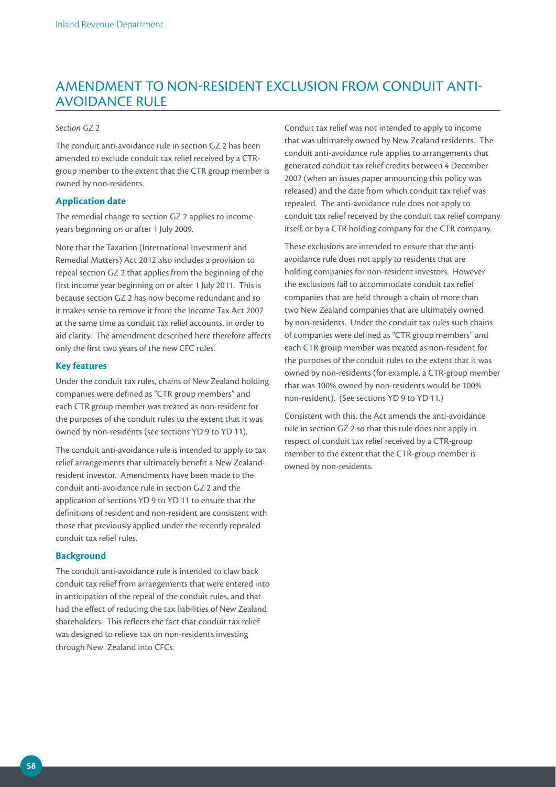### AMENDMENT TO NON-RESIDENT EXCLUSION FROM CONDUIT ANTI-AVOIDANCE RULE

#### *Section GZ 2*

The conduit anti-avoidance rule in section GZ 2 has been amended to exclude conduit tax relief received by a CTRgroup member to the extent that the CTR group member is owned by non-residents.

#### **Application date**

The remedial change to section GZ 2 applies to income years beginning on or after 1 July 2009.

Note that the Taxation (International Investment and Remedial Matters) Act 2012 also includes a provision to repeal section GZ 2 that applies from the beginning of the first income year beginning on or after 1 July 2011. This is because section GZ 2 has now become redundant and so it makes sense to remove it from the Income Tax Act 2007 at the same time as conduit tax relief accounts, in order to aid clarity. The amendment described here therefore affects only the first two years of the new CFC rules.

#### **Key features**

Under the conduit tax rules, chains of New Zealand holding companies were defined as "CTR group members" and each CTR group member was treated as non-resident for the purposes of the conduit rules to the extent that it was owned by non-residents (see sections YD 9 to YD 11).

The conduit anti-avoidance rule is intended to apply to tax relief arrangements that ultimately benefit a New Zealandresident investor. Amendments have been made to the conduit anti-avoidance rule in section GZ 2 and the application of sections YD 9 to YD 11 to ensure that the definitions of resident and non-resident are consistent with those that previously applied under the recently repealed conduit tax relief rules.

#### **Background**

The conduit anti-avoidance rule is intended to claw back conduit tax relief from arrangements that were entered into in anticipation of the repeal of the conduit rules, and that had the effect of reducing the tax liabilities of New Zealand shareholders. This reflects the fact that conduit tax relief was designed to relieve tax on non-residents investing through New Zealand into CFCs.

Conduit tax relief was not intended to apply to income that was ultimately owned by New Zealand residents. The conduit anti-avoidance rule applies to arrangements that generated conduit tax relief credits between 4 December 2007 (when an issues paper announcing this policy was released) and the date from which conduit tax relief was repealed. The anti-avoidance rule does not apply to conduit tax relief received by the conduit tax relief company itself, or by a CTR holding company for the CTR company.

These exclusions are intended to ensure that the antiavoidance rule does not apply to residents that are holding companies for non-resident investors. However the exclusions fail to accommodate conduit tax relief companies that are held through a chain of more than two New Zealand companies that are ultimately owned by non-residents. Under the conduit tax rules such chains of companies were defined as "CTR group members" and each CTR group member was treated as non-resident for the purposes of the conduit rules to the extent that it was owned by non-residents (for example, a CTR-group member that was 100% owned by non-residents would be 100% non-resident). (See sections YD 9 to YD 11.)

Consistent with this, the Act amends the anti-avoidance rule in section GZ 2 so that this rule does not apply in respect of conduit tax relief received by a CTR-group member to the extent that the CTR-group member is owned by non-residents.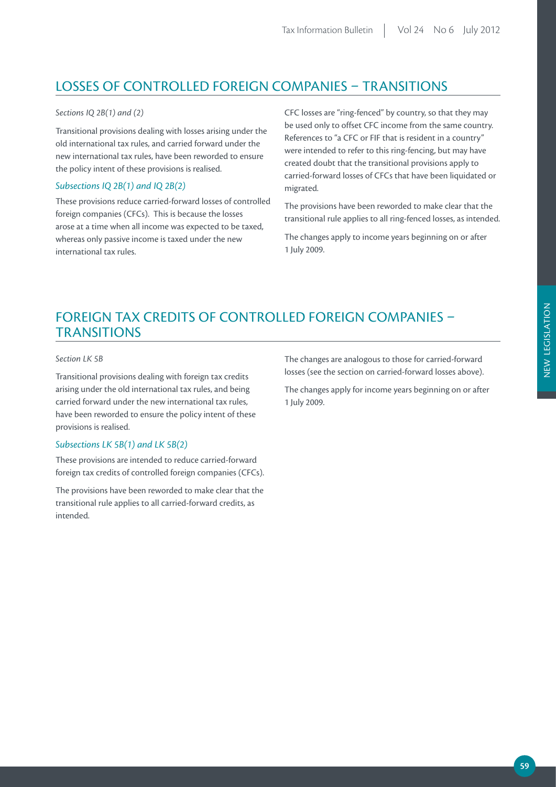## LOSSES OF CONTROLLED FOREIGN COMPANIES – TRANSITIONS

#### *Sections IQ 2B(1) and (2)*

Transitional provisions dealing with losses arising under the old international tax rules, and carried forward under the new international tax rules, have been reworded to ensure the policy intent of these provisions is realised.

#### *Subsections IQ 2B(1) and IQ 2B(2)*

These provisions reduce carried-forward losses of controlled foreign companies (CFCs). This is because the losses arose at a time when all income was expected to be taxed, whereas only passive income is taxed under the new international tax rules.

CFC losses are "ring-fenced" by country, so that they may be used only to offset CFC income from the same country. References to "a CFC or FIF that is resident in a country" were intended to refer to this ring-fencing, but may have created doubt that the transitional provisions apply to carried-forward losses of CFCs that have been liquidated or migrated.

The provisions have been reworded to make clear that the transitional rule applies to all ring-fenced losses, as intended.

The changes apply to income years beginning on or after 1 July 2009.

## FOREIGN TAX CREDITS OF CONTROLLED FOREIGN COMPANIES – **TRANSITIONS**

#### *Section LK 5B*

Transitional provisions dealing with foreign tax credits arising under the old international tax rules, and being carried forward under the new international tax rules, have been reworded to ensure the policy intent of these provisions is realised.

#### *Subsections LK 5B(1) and LK 5B(2)*

These provisions are intended to reduce carried-forward foreign tax credits of controlled foreign companies (CFCs).

The provisions have been reworded to make clear that the transitional rule applies to all carried-forward credits, as intended.

The changes are analogous to those for carried-forward losses (see the section on carried-forward losses above).

The changes apply for income years beginning on or after 1 July 2009.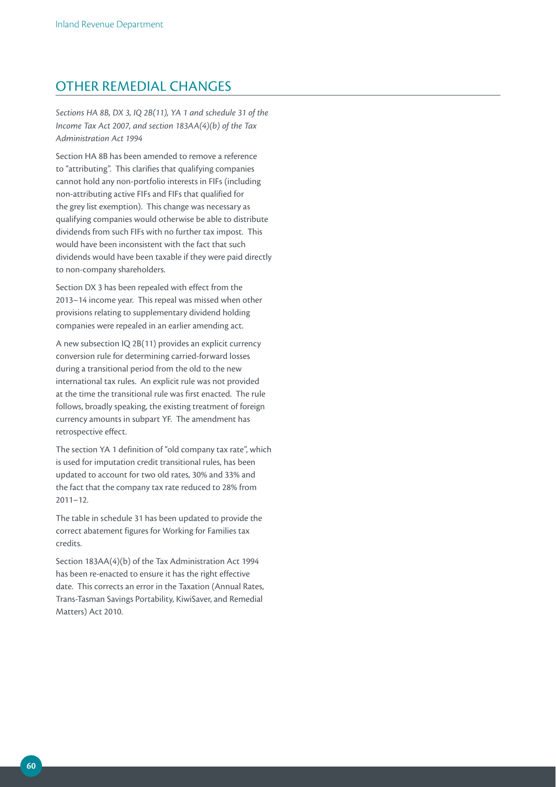### OTHER REMEDIAL CHANGES

*Sections HA 8B, DX 3, IQ 2B(11), YA 1 and schedule 31 of the Income Tax Act 2007, and section 183AA(4)(b) of the Tax Administration Act 1994*

Section HA 8B has been amended to remove a reference to "attributing". This clarifies that qualifying companies cannot hold any non-portfolio interests in FIFs (including non-attributing active FIFs and FIFs that qualified for the grey list exemption). This change was necessary as qualifying companies would otherwise be able to distribute dividends from such FIFs with no further tax impost. This would have been inconsistent with the fact that such dividends would have been taxable if they were paid directly to non-company shareholders.

Section DX 3 has been repealed with effect from the 2013–14 income year. This repeal was missed when other provisions relating to supplementary dividend holding companies were repealed in an earlier amending act.

A new subsection IQ 2B(11) provides an explicit currency conversion rule for determining carried-forward losses during a transitional period from the old to the new international tax rules. An explicit rule was not provided at the time the transitional rule was first enacted. The rule follows, broadly speaking, the existing treatment of foreign currency amounts in subpart YF. The amendment has retrospective effect.

The section YA 1 definition of "old company tax rate", which is used for imputation credit transitional rules, has been updated to account for two old rates, 30% and 33% and the fact that the company tax rate reduced to 28% from 2011–12.

The table in schedule 31 has been updated to provide the correct abatement figures for Working for Families tax credits.

Section 183AA(4)(b) of the Tax Administration Act 1994 has been re-enacted to ensure it has the right effective date. This corrects an error in the Taxation (Annual Rates, Trans-Tasman Savings Portability, KiwiSaver, and Remedial Matters) Act 2010.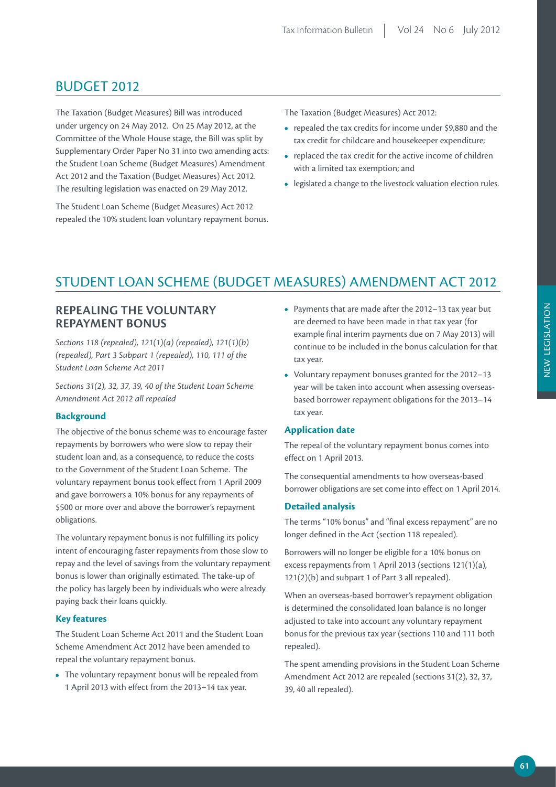### BUDGET 2012

The Taxation (Budget Measures) Bill was introduced under urgency on 24 May 2012. On 25 May 2012, at the Committee of the Whole House stage, the Bill was split by Supplementary Order Paper No 31 into two amending acts: the Student Loan Scheme (Budget Measures) Amendment Act 2012 and the Taxation (Budget Measures) Act 2012. The resulting legislation was enacted on 29 May 2012.

The Student Loan Scheme (Budget Measures) Act 2012 repealed the 10% student loan voluntary repayment bonus. The Taxation (Budget Measures) Act 2012:

- **•**  repealed the tax credits for income under \$9,880 and the tax credit for childcare and housekeeper expenditure;
- replaced the tax credit for the active income of children with a limited tax exemption; and
- legislated a change to the livestock valuation election rules.

## STUDENT LOAN SCHEME (BUDGET MEASURES) AMENDMENT ACT 2012

#### **REPEALING THE VOLUNTARY REPAYMENT BONUS**

*Sections 118 (repealed), 121(1)(a) (repealed), 121(1)(b) (repealed), Part 3 Subpart 1 (repealed), 110, 111 of the Student Loan Scheme Act 2011*

*Sections 31(2), 32, 37, 39, 40 of the Student Loan Scheme Amendment Act 2012 all repealed*

#### **Background**

The objective of the bonus scheme was to encourage faster repayments by borrowers who were slow to repay their student loan and, as a consequence, to reduce the costs to the Government of the Student Loan Scheme. The voluntary repayment bonus took effect from 1 April 2009 and gave borrowers a 10% bonus for any repayments of \$500 or more over and above the borrower's repayment obligations.

The voluntary repayment bonus is not fulfilling its policy intent of encouraging faster repayments from those slow to repay and the level of savings from the voluntary repayment bonus is lower than originally estimated. The take-up of the policy has largely been by individuals who were already paying back their loans quickly.

#### **Key features**

The Student Loan Scheme Act 2011 and the Student Loan Scheme Amendment Act 2012 have been amended to repeal the voluntary repayment bonus.

**•**  The voluntary repayment bonus will be repealed from 1 April 2013 with effect from the 2013–14 tax year.

- **•**  Payments that are made after the 2012–13 tax year but are deemed to have been made in that tax year (for example final interim payments due on 7 May 2013) will continue to be included in the bonus calculation for that tax year.
- **•**  Voluntary repayment bonuses granted for the 2012–13 year will be taken into account when assessing overseasbased borrower repayment obligations for the 2013–14 tax year.

#### **Application date**

The repeal of the voluntary repayment bonus comes into effect on 1 April 2013.

The consequential amendments to how overseas-based borrower obligations are set come into effect on 1 April 2014.

#### **Detailed analysis**

The terms "10% bonus" and "final excess repayment" are no longer defined in the Act (section 118 repealed).

Borrowers will no longer be eligible for a 10% bonus on excess repayments from 1 April 2013 (sections 121(1)(a), 121(2)(b) and subpart 1 of Part 3 all repealed).

When an overseas-based borrower's repayment obligation is determined the consolidated loan balance is no longer adjusted to take into account any voluntary repayment bonus for the previous tax year (sections 110 and 111 both repealed).

The spent amending provisions in the Student Loan Scheme Amendment Act 2012 are repealed (sections 31(2), 32, 37, 39, 40 all repealed).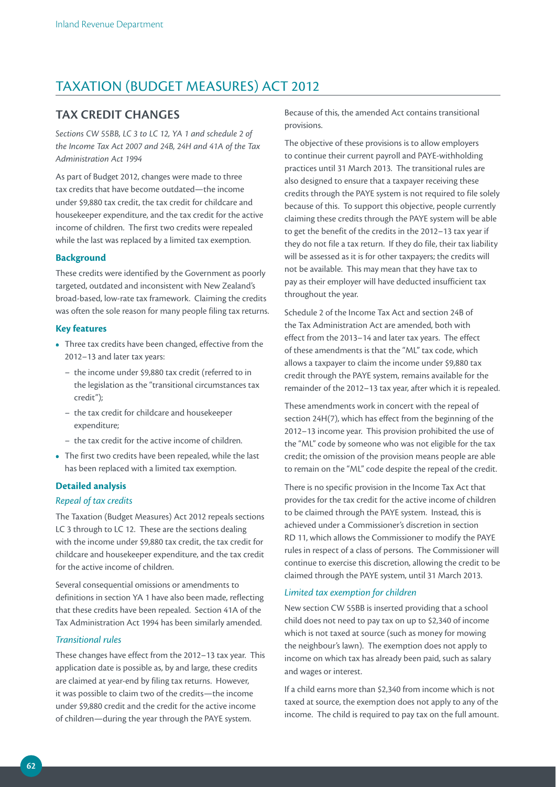## TAXATION (BUDGET MEASURES) ACT 2012

#### **TAX CREDIT CHANGES**

*Sections CW 55BB, LC 3 to LC 12, YA 1 and schedule 2 of the Income Tax Act 2007 and 24B, 24H and 41A of the Tax Administration Act 1994*

As part of Budget 2012, changes were made to three tax credits that have become outdated—the income under \$9,880 tax credit, the tax credit for childcare and housekeeper expenditure, and the tax credit for the active income of children. The first two credits were repealed while the last was replaced by a limited tax exemption.

#### **Background**

These credits were identified by the Government as poorly targeted, outdated and inconsistent with New Zealand's broad-based, low-rate tax framework. Claiming the credits was often the sole reason for many people filing tax returns.

#### **Key features**

- **•**  Three tax credits have been changed, effective from the 2012–13 and later tax years:
	- the income under \$9,880 tax credit (referred to in the legislation as the "transitional circumstances tax credit");
	- the tax credit for childcare and housekeeper expenditure;
	- the tax credit for the active income of children.
- The first two credits have been repealed, while the last has been replaced with a limited tax exemption.

#### **Detailed analysis**

#### *Repeal of tax credits*

The Taxation (Budget Measures) Act 2012 repeals sections LC 3 through to LC 12. These are the sections dealing with the income under \$9,880 tax credit, the tax credit for childcare and housekeeper expenditure, and the tax credit for the active income of children.

Several consequential omissions or amendments to definitions in section YA 1 have also been made, reflecting that these credits have been repealed. Section 41A of the Tax Administration Act 1994 has been similarly amended.

#### *Transitional rules*

These changes have effect from the 2012–13 tax year. This application date is possible as, by and large, these credits are claimed at year-end by filing tax returns. However, it was possible to claim two of the credits—the income under \$9,880 credit and the credit for the active income of children—during the year through the PAYE system.

Because of this, the amended Act contains transitional provisions.

The objective of these provisions is to allow employers to continue their current payroll and PAYE-withholding practices until 31 March 2013. The transitional rules are also designed to ensure that a taxpayer receiving these credits through the PAYE system is not required to file solely because of this. To support this objective, people currently claiming these credits through the PAYE system will be able to get the benefit of the credits in the 2012–13 tax year if they do not file a tax return. If they do file, their tax liability will be assessed as it is for other taxpayers; the credits will not be available. This may mean that they have tax to pay as their employer will have deducted insufficient tax throughout the year.

Schedule 2 of the Income Tax Act and section 24B of the Tax Administration Act are amended, both with effect from the 2013–14 and later tax years. The effect of these amendments is that the "ML" tax code, which allows a taxpayer to claim the income under \$9,880 tax credit through the PAYE system, remains available for the remainder of the 2012–13 tax year, after which it is repealed.

These amendments work in concert with the repeal of section 24H(7), which has effect from the beginning of the 2012–13 income year. This provision prohibited the use of the "ML" code by someone who was not eligible for the tax credit; the omission of the provision means people are able to remain on the "ML" code despite the repeal of the credit.

There is no specific provision in the Income Tax Act that provides for the tax credit for the active income of children to be claimed through the PAYE system. Instead, this is achieved under a Commissioner's discretion in section RD 11, which allows the Commissioner to modify the PAYE rules in respect of a class of persons. The Commissioner will continue to exercise this discretion, allowing the credit to be claimed through the PAYE system, until 31 March 2013.

#### *Limited tax exemption for children*

New section CW 55BB is inserted providing that a school child does not need to pay tax on up to \$2,340 of income which is not taxed at source (such as money for mowing the neighbour's lawn). The exemption does not apply to income on which tax has already been paid, such as salary and wages or interest.

If a child earns more than \$2,340 from income which is not taxed at source, the exemption does not apply to any of the income. The child is required to pay tax on the full amount.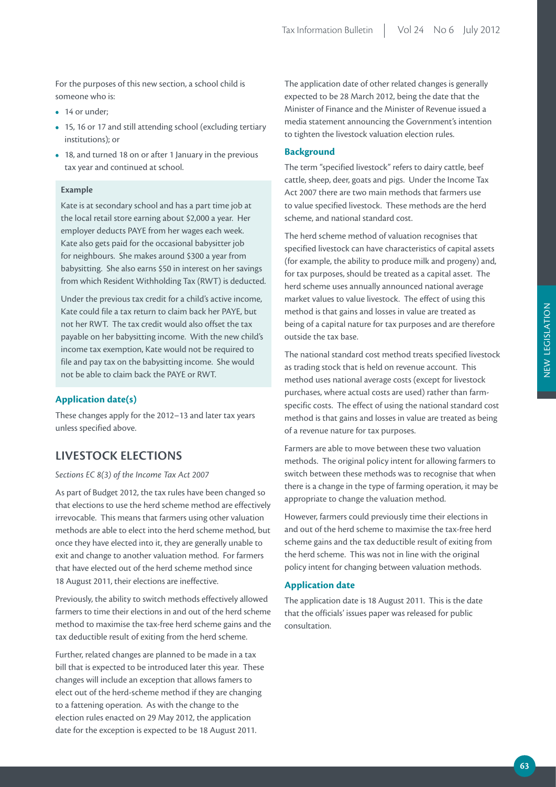For the purposes of this new section, a school child is someone who is:

- 14 or under:
- **•**  15, 16 or 17 and still attending school (excluding tertiary institutions); or
- **•**  18, and turned 18 on or after 1 January in the previous tax year and continued at school.

#### **Example**

Kate is at secondary school and has a part time job at the local retail store earning about \$2,000 a year. Her employer deducts PAYE from her wages each week. Kate also gets paid for the occasional babysitter job for neighbours. She makes around \$300 a year from babysitting. She also earns \$50 in interest on her savings from which Resident Withholding Tax (RWT) is deducted.

Under the previous tax credit for a child's active income, Kate could file a tax return to claim back her PAYE, but not her RWT. The tax credit would also offset the tax payable on her babysitting income. With the new child's income tax exemption, Kate would not be required to file and pay tax on the babysitting income. She would not be able to claim back the PAYE or RWT.

#### **Application date(s)**

These changes apply for the 2012–13 and later tax years unless specified above.

### **LIVESTOCK ELECTIONS**

#### *Sections EC 8(3) of the Income Tax Act 2007*

As part of Budget 2012, the tax rules have been changed so that elections to use the herd scheme method are effectively irrevocable. This means that farmers using other valuation methods are able to elect into the herd scheme method, but once they have elected into it, they are generally unable to exit and change to another valuation method. For farmers that have elected out of the herd scheme method since 18 August 2011, their elections are ineffective.

Previously, the ability to switch methods effectively allowed farmers to time their elections in and out of the herd scheme method to maximise the tax-free herd scheme gains and the tax deductible result of exiting from the herd scheme.

Further, related changes are planned to be made in a tax bill that is expected to be introduced later this year. These changes will include an exception that allows famers to elect out of the herd-scheme method if they are changing to a fattening operation. As with the change to the election rules enacted on 29 May 2012, the application date for the exception is expected to be 18 August 2011.

The application date of other related changes is generally expected to be 28 March 2012, being the date that the Minister of Finance and the Minister of Revenue issued a media statement announcing the Government's intention to tighten the livestock valuation election rules.

#### **Background**

The term "specified livestock" refers to dairy cattle, beef cattle, sheep, deer, goats and pigs. Under the Income Tax Act 2007 there are two main methods that farmers use to value specified livestock. These methods are the herd scheme, and national standard cost.

The herd scheme method of valuation recognises that specified livestock can have characteristics of capital assets (for example, the ability to produce milk and progeny) and, for tax purposes, should be treated as a capital asset. The herd scheme uses annually announced national average market values to value livestock. The effect of using this method is that gains and losses in value are treated as being of a capital nature for tax purposes and are therefore outside the tax base.

The national standard cost method treats specified livestock as trading stock that is held on revenue account. This method uses national average costs (except for livestock purchases, where actual costs are used) rather than farmspecific costs. The effect of using the national standard cost method is that gains and losses in value are treated as being of a revenue nature for tax purposes.

Farmers are able to move between these two valuation methods. The original policy intent for allowing farmers to switch between these methods was to recognise that when there is a change in the type of farming operation, it may be appropriate to change the valuation method.

However, farmers could previously time their elections in and out of the herd scheme to maximise the tax-free herd scheme gains and the tax deductible result of exiting from the herd scheme. This was not in line with the original policy intent for changing between valuation methods.

#### **Application date**

The application date is 18 August 2011. This is the date that the officials' issues paper was released for public consultation.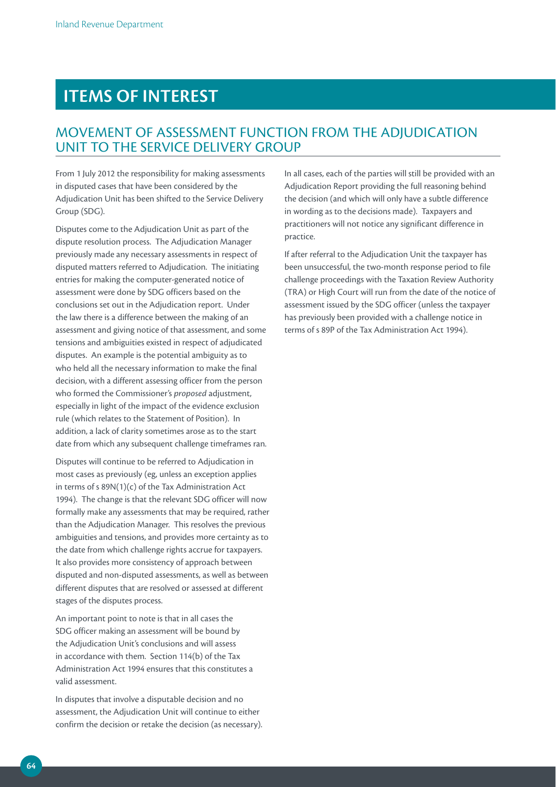# **ITEMS OF INTEREST**

## MOVEMENT OF ASSESSMENT FUNCTION FROM THE ADJUDICATION UNIT TO THE SERVICE DELIVERY GROUP

From 1 July 2012 the responsibility for making assessments in disputed cases that have been considered by the Adjudication Unit has been shifted to the Service Delivery Group (SDG).

Disputes come to the Adjudication Unit as part of the dispute resolution process. The Adjudication Manager previously made any necessary assessments in respect of disputed matters referred to Adjudication. The initiating entries for making the computer-generated notice of assessment were done by SDG officers based on the conclusions set out in the Adjudication report. Under the law there is a difference between the making of an assessment and giving notice of that assessment, and some tensions and ambiguities existed in respect of adjudicated disputes. An example is the potential ambiguity as to who held all the necessary information to make the final decision, with a different assessing officer from the person who formed the Commissioner's *proposed* adjustment, especially in light of the impact of the evidence exclusion rule (which relates to the Statement of Position). In addition, a lack of clarity sometimes arose as to the start date from which any subsequent challenge timeframes ran.

Disputes will continue to be referred to Adjudication in most cases as previously (eg, unless an exception applies in terms of s 89N(1)(c) of the Tax Administration Act 1994). The change is that the relevant SDG officer will now formally make any assessments that may be required, rather than the Adjudication Manager. This resolves the previous ambiguities and tensions, and provides more certainty as to the date from which challenge rights accrue for taxpayers. It also provides more consistency of approach between disputed and non-disputed assessments, as well as between different disputes that are resolved or assessed at different stages of the disputes process.

An important point to note is that in all cases the SDG officer making an assessment will be bound by the Adjudication Unit's conclusions and will assess in accordance with them. Section 114(b) of the Tax Administration Act 1994 ensures that this constitutes a valid assessment.

In disputes that involve a disputable decision and no assessment, the Adjudication Unit will continue to either confirm the decision or retake the decision (as necessary). In all cases, each of the parties will still be provided with an Adjudication Report providing the full reasoning behind the decision (and which will only have a subtle difference in wording as to the decisions made). Taxpayers and practitioners will not notice any significant difference in practice.

If after referral to the Adjudication Unit the taxpayer has been unsuccessful, the two-month response period to file challenge proceedings with the Taxation Review Authority (TRA) or High Court will run from the date of the notice of assessment issued by the SDG officer (unless the taxpayer has previously been provided with a challenge notice in terms of s 89P of the Tax Administration Act 1994).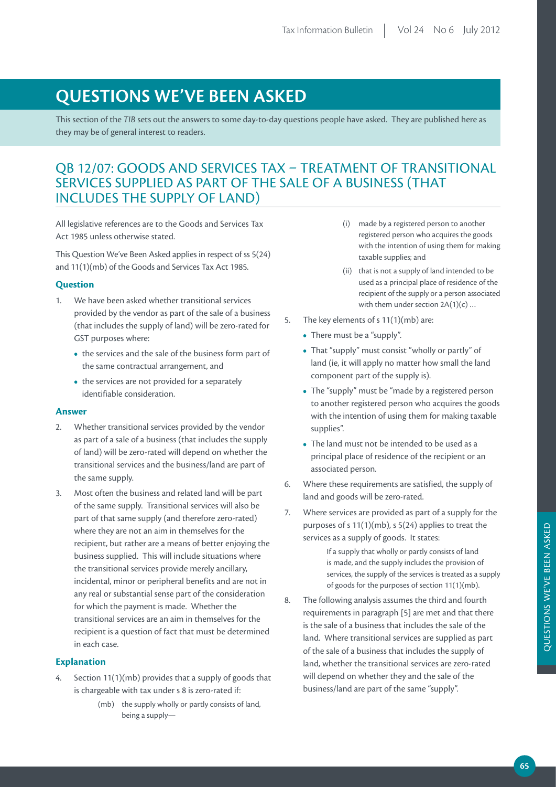# **QUESTIONS WE'VE BEEN ASKED**

This section of the *TIB* sets out the answers to some day-to-day questions people have asked. They are published here as they may be of general interest to readers.

## QB 12/07: GOODS AND SERVICES TAX – TREATMENT OF TRANSITIONAL SERVICES SUPPLIED AS PART OF THE SALE OF A BUSINESS (THAT INCLUDES THE SUPPLY OF LAND)

All legislative references are to the Goods and Services Tax Act 1985 unless otherwise stated.

This Question We've Been Asked applies in respect of ss 5(24) and 11(1)(mb) of the Goods and Services Tax Act 1985.

#### **Question**

- 1. We have been asked whether transitional services provided by the vendor as part of the sale of a business (that includes the supply of land) will be zero-rated for GST purposes where:
	- the services and the sale of the business form part of the same contractual arrangement, and
	- the services are not provided for a separately identifiable consideration.

#### **Answer**

- 2. Whether transitional services provided by the vendor as part of a sale of a business (that includes the supply of land) will be zero-rated will depend on whether the transitional services and the business/land are part of the same supply.
- 3. Most often the business and related land will be part of the same supply. Transitional services will also be part of that same supply (and therefore zero-rated) where they are not an aim in themselves for the recipient, but rather are a means of better enjoying the business supplied. This will include situations where the transitional services provide merely ancillary, incidental, minor or peripheral benefits and are not in any real or substantial sense part of the consideration for which the payment is made. Whether the transitional services are an aim in themselves for the recipient is a question of fact that must be determined in each case.

#### **Explanation**

- 4. Section 11(1)(mb) provides that a supply of goods that is chargeable with tax under s 8 is zero-rated if:
	- (mb) the supply wholly or partly consists of land, being a supply—
- (i) made by a registered person to another registered person who acquires the goods with the intention of using them for making taxable supplies; and
- (ii) that is not a supply of land intended to be used as a principal place of residence of the recipient of the supply or a person associated with them under section  $2A(1)(c)$  ...
- 5. The key elements of s 11(1)(mb) are:
	- There must be a "supply".
	- **•**  That "supply" must consist "wholly or partly" of land (ie, it will apply no matter how small the land component part of the supply is).
	- The "supply" must be "made by a registered person to another registered person who acquires the goods with the intention of using them for making taxable supplies".
	- The land must not be intended to be used as a principal place of residence of the recipient or an associated person.
- 6. Where these requirements are satisfied, the supply of land and goods will be zero-rated.
- 7. Where services are provided as part of a supply for the purposes of s 11(1)(mb), s 5(24) applies to treat the services as a supply of goods. It states:

If a supply that wholly or partly consists of land is made, and the supply includes the provision of services, the supply of the services is treated as a supply of goods for the purposes of section 11(1)(mb).

8. The following analysis assumes the third and fourth requirements in paragraph [5] are met and that there is the sale of a business that includes the sale of the land. Where transitional services are supplied as part of the sale of a business that includes the supply of land, whether the transitional services are zero-rated will depend on whether they and the sale of the business/land are part of the same "supply".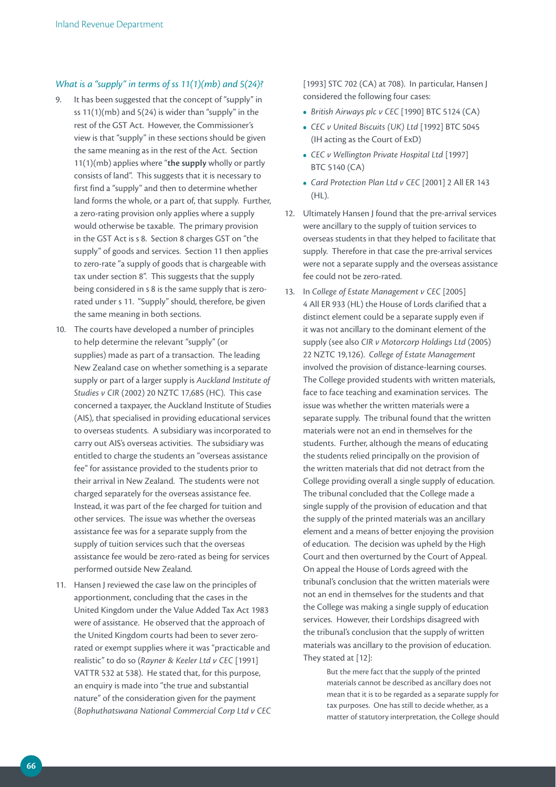#### *What is a "supply" in terms of ss 11(1)(mb) and 5(24)?*

- 9. It has been suggested that the concept of "supply" in ss  $11(1)(mb)$  and  $5(24)$  is wider than "supply" in the rest of the GST Act. However, the Commissioner's view is that "supply" in these sections should be given the same meaning as in the rest of the Act. Section 11(1)(mb) applies where "**the supply** wholly or partly consists of land". This suggests that it is necessary to first find a "supply" and then to determine whether land forms the whole, or a part of, that supply. Further, a zero-rating provision only applies where a supply would otherwise be taxable. The primary provision in the GST Act is s 8. Section 8 charges GST on "the supply" of goods and services. Section 11 then applies to zero-rate "a supply of goods that is chargeable with tax under section 8". This suggests that the supply being considered in s 8 is the same supply that is zerorated under s 11. "Supply" should, therefore, be given the same meaning in both sections.
- 10. The courts have developed a number of principles to help determine the relevant "supply" (or supplies) made as part of a transaction. The leading New Zealand case on whether something is a separate supply or part of a larger supply is *Auckland Institute of Studies v CIR* (2002) 20 NZTC 17,685 (HC). This case concerned a taxpayer, the Auckland Institute of Studies (AIS), that specialised in providing educational services to overseas students. A subsidiary was incorporated to carry out AIS's overseas activities. The subsidiary was entitled to charge the students an "overseas assistance fee" for assistance provided to the students prior to their arrival in New Zealand. The students were not charged separately for the overseas assistance fee. Instead, it was part of the fee charged for tuition and other services. The issue was whether the overseas assistance fee was for a separate supply from the supply of tuition services such that the overseas assistance fee would be zero-rated as being for services performed outside New Zealand.
- 11. Hansen J reviewed the case law on the principles of apportionment, concluding that the cases in the United Kingdom under the Value Added Tax Act 1983 were of assistance. He observed that the approach of the United Kingdom courts had been to sever zerorated or exempt supplies where it was "practicable and realistic" to do so (*Rayner & Keeler Ltd v CEC* [1991] VATTR 532 at 538). He stated that, for this purpose, an enquiry is made into "the true and substantial nature" of the consideration given for the payment (*Bophuthatswana National Commercial Corp Ltd v CEC*

[1993] STC 702 (CA) at 708). In particular, Hansen J considered the following four cases:

- **•**  *British Airways plc v CEC* [1990] BTC 5124 (CA)
- **•**  *CEC v United Biscuits (UK) Ltd* [1992] BTC 5045 (IH acting as the Court of ExD)
- **•**  *CEC v Wellington Private Hospital Ltd* [1997] BTC 5140 (CA)
- **•**  *Card Protection Plan Ltd v CEC* [2001] 2 All ER 143 (HL).
- 12. Ultimately Hansen J found that the pre-arrival services were ancillary to the supply of tuition services to overseas students in that they helped to facilitate that supply. Therefore in that case the pre-arrival services were not a separate supply and the overseas assistance fee could not be zero-rated.
- 13. In *College of Estate Management v CEC* [2005] 4 All ER 933 (HL) the House of Lords clarified that a distinct element could be a separate supply even if it was not ancillary to the dominant element of the supply (see also *CIR v Motorcorp Holdings Ltd* (2005) 22 NZTC 19,126). *College of Estate Management*  involved the provision of distance-learning courses. The College provided students with written materials, face to face teaching and examination services. The issue was whether the written materials were a separate supply. The tribunal found that the written materials were not an end in themselves for the students. Further, although the means of educating the students relied principally on the provision of the written materials that did not detract from the College providing overall a single supply of education. The tribunal concluded that the College made a single supply of the provision of education and that the supply of the printed materials was an ancillary element and a means of better enjoying the provision of education. The decision was upheld by the High Court and then overturned by the Court of Appeal. On appeal the House of Lords agreed with the tribunal's conclusion that the written materials were not an end in themselves for the students and that the College was making a single supply of education services. However, their Lordships disagreed with the tribunal's conclusion that the supply of written materials was ancillary to the provision of education. They stated at [12]:

But the mere fact that the supply of the printed materials cannot be described as ancillary does not mean that it is to be regarded as a separate supply for tax purposes. One has still to decide whether, as a matter of statutory interpretation, the College should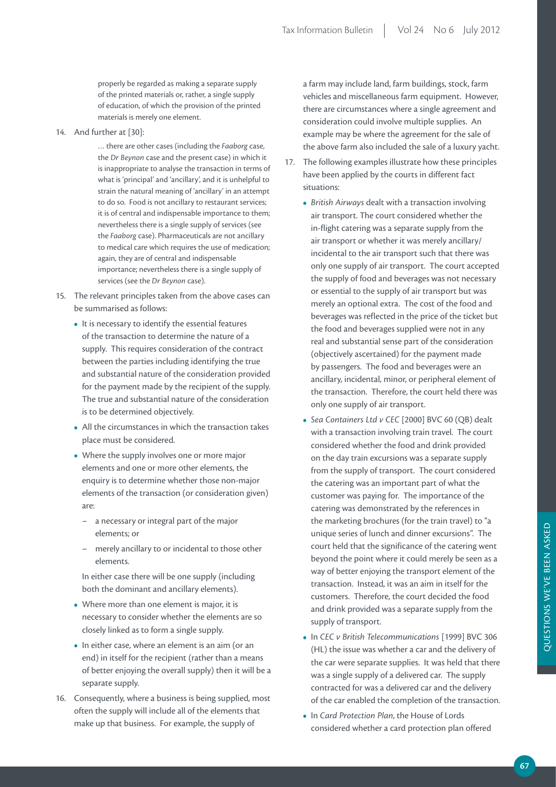properly be regarded as making a separate supply of the printed materials or, rather, a single supply of education, of which the provision of the printed materials is merely one element.

14. And further at [30]:

… there are other cases (including the *Faaborg* case, the *Dr Beynon* case and the present case) in which it is inappropriate to analyse the transaction in terms of what is 'principal' and 'ancillary', and it is unhelpful to strain the natural meaning of 'ancillary' in an attempt to do so. Food is not ancillary to restaurant services; it is of central and indispensable importance to them; nevertheless there is a single supply of services (see the *Faaborg* case). Pharmaceuticals are not ancillary to medical care which requires the use of medication; again, they are of central and indispensable importance; nevertheless there is a single supply of services (see the *Dr Beynon* case).

- 15. The relevant principles taken from the above cases can be summarised as follows:
	- It is necessary to identify the essential features of the transaction to determine the nature of a supply. This requires consideration of the contract between the parties including identifying the true and substantial nature of the consideration provided for the payment made by the recipient of the supply. The true and substantial nature of the consideration is to be determined objectively.
	- **•**  All the circumstances in which the transaction takes place must be considered.
	- Where the supply involves one or more major elements and one or more other elements, the enquiry is to determine whether those non-major elements of the transaction (or consideration given) are:
		- a necessary or integral part of the major elements; or
		- merely ancillary to or incidental to those other elements.

In either case there will be one supply (including both the dominant and ancillary elements).

- Where more than one element is major, it is necessary to consider whether the elements are so closely linked as to form a single supply.
- **•**  In either case, where an element is an aim (or an end) in itself for the recipient (rather than a means of better enjoying the overall supply) then it will be a separate supply.
- 16. Consequently, where a business is being supplied, most often the supply will include all of the elements that make up that business. For example, the supply of

a farm may include land, farm buildings, stock, farm vehicles and miscellaneous farm equipment. However, there are circumstances where a single agreement and consideration could involve multiple supplies. An example may be where the agreement for the sale of the above farm also included the sale of a luxury yacht.

- 17. The following examples illustrate how these principles have been applied by the courts in different fact situations:
	- **•**  *British Airways* dealt with a transaction involving air transport. The court considered whether the in-flight catering was a separate supply from the air transport or whether it was merely ancillary/ incidental to the air transport such that there was only one supply of air transport. The court accepted the supply of food and beverages was not necessary or essential to the supply of air transport but was merely an optional extra. The cost of the food and beverages was reflected in the price of the ticket but the food and beverages supplied were not in any real and substantial sense part of the consideration (objectively ascertained) for the payment made by passengers. The food and beverages were an ancillary, incidental, minor, or peripheral element of the transaction. Therefore, the court held there was only one supply of air transport.
	- **•**  *Sea Containers Ltd v CEC* [2000] BVC 60 (QB) dealt with a transaction involving train travel. The court considered whether the food and drink provided on the day train excursions was a separate supply from the supply of transport. The court considered the catering was an important part of what the customer was paying for. The importance of the catering was demonstrated by the references in the marketing brochures (for the train travel) to "a unique series of lunch and dinner excursions". The court held that the significance of the catering went beyond the point where it could merely be seen as a way of better enjoying the transport element of the transaction. Instead, it was an aim in itself for the customers. Therefore, the court decided the food and drink provided was a separate supply from the supply of transport.
	- **•**  In *CEC v British Telecommunications* [1999] BVC 306 (HL) the issue was whether a car and the delivery of the car were separate supplies. It was held that there was a single supply of a delivered car. The supply contracted for was a delivered car and the delivery of the car enabled the completion of the transaction.
	- **•**  In *Card Protection Plan*, the House of Lords considered whether a card protection plan offered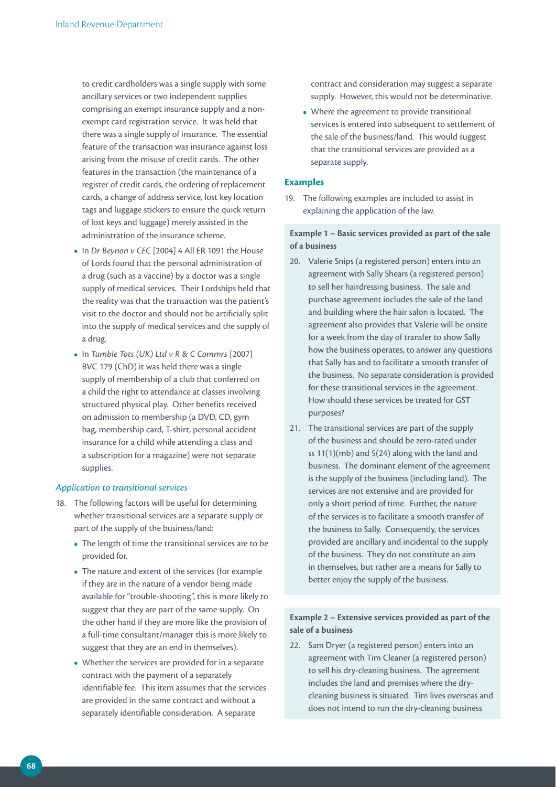to credit cardholders was a single supply with some ancillary services or two independent supplies comprising an exempt insurance supply and a nonexempt card registration service. It was held that there was a single supply of insurance. The essential feature of the transaction was insurance against loss arising from the misuse of credit cards. The other features in the transaction (the maintenance of a register of credit cards, the ordering of replacement cards, a change of address service, lost key location tags and luggage stickers to ensure the quick return of lost keys and luggage) merely assisted in the administration of the insurance scheme.

- **•**  In *Dr Beynon v CEC* [2004] 4 All ER 1091 the House of Lords found that the personal administration of a drug (such as a vaccine) by a doctor was a single supply of medical services. Their Lordships held that the reality was that the transaction was the patient's visit to the doctor and should not be artificially split into the supply of medical services and the supply of a drug.
- **•**  In *Tumble Tots (UK) Ltd v R & C Commrs* [2007] BVC 179 (ChD) it was held there was a single supply of membership of a club that conferred on a child the right to attendance at classes involving structured physical play. Other benefits received on admission to membership (a DVD, CD, gym bag, membership card, T-shirt, personal accident insurance for a child while attending a class and a subscription for a magazine) were not separate supplies.

#### *Application to transitional services*

- 18. The following factors will be useful for determining whether transitional services are a separate supply or part of the supply of the business/land:
	- **•**  The length of time the transitional services are to be provided for.
	- The nature and extent of the services (for example if they are in the nature of a vendor being made available for "trouble-shooting", this is more likely to suggest that they are part of the same supply. On the other hand if they are more like the provision of a full-time consultant/manager this is more likely to suggest that they are an end in themselves).
	- Whether the services are provided for in a separate contract with the payment of a separately identifiable fee. This item assumes that the services are provided in the same contract and without a separately identifiable consideration. A separate

contract and consideration may suggest a separate supply. However, this would not be determinative.

• Where the agreement to provide transitional services is entered into subsequent to settlement of the sale of the business/land. This would suggest that the transitional services are provided as a separate supply.

#### **Examples**

19. The following examples are included to assist in explaining the application of the law.

**Example 1 – Basic services provided as part of the sale of a business**

- 20. Valerie Snips (a registered person) enters into an agreement with Sally Shears (a registered person) to sell her hairdressing business. The sale and purchase agreement includes the sale of the land and building where the hair salon is located. The agreement also provides that Valerie will be onsite for a week from the day of transfer to show Sally how the business operates, to answer any questions that Sally has and to facilitate a smooth transfer of the business. No separate consideration is provided for these transitional services in the agreement. How should these services be treated for GST purposes?
- 21. The transitional services are part of the supply of the business and should be zero-rated under ss 11(1)(mb) and 5(24) along with the land and business. The dominant element of the agreement is the supply of the business (including land). The services are not extensive and are provided for only a short period of time. Further, the nature of the services is to facilitate a smooth transfer of the business to Sally. Consequently, the services provided are ancillary and incidental to the supply of the business. They do not constitute an aim in themselves, but rather are a means for Sally to better enjoy the supply of the business.

#### **Example 2 – Extensive services provided as part of the sale of a business**

22. Sam Dryer (a registered person) enters into an agreement with Tim Cleaner (a registered person) to sell his dry-cleaning business. The agreement includes the land and premises where the drycleaning business is situated. Tim lives overseas and does not intend to run the dry-cleaning business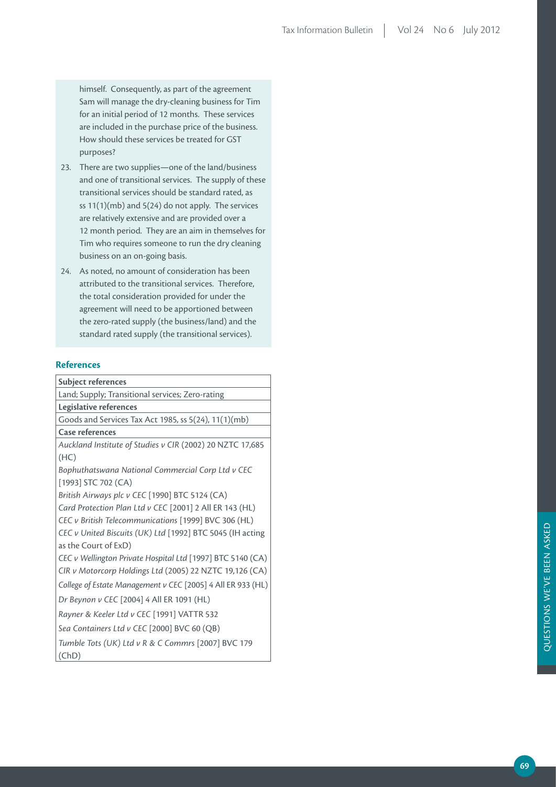himself. Consequently, as part of the agreement Sam will manage the dry-cleaning business for Tim for an initial period of 12 months. These services are included in the purchase price of the business. How should these services be treated for GST purposes?

- 23. There are two supplies—one of the land/business and one of transitional services. The supply of these transitional services should be standard rated, as ss 11(1)(mb) and 5(24) do not apply. The services are relatively extensive and are provided over a 12 month period. They are an aim in themselves for Tim who requires someone to run the dry cleaning business on an on-going basis.
- 24. As noted, no amount of consideration has been attributed to the transitional services. Therefore, the total consideration provided for under the agreement will need to be apportioned between the zero-rated supply (the business/land) and the standard rated supply (the transitional services).

#### **References**

| <b>Subject references</b>                                   |
|-------------------------------------------------------------|
| Land; Supply; Transitional services; Zero-rating            |
| Legislative references                                      |
| Goods and Services Tax Act 1985, ss 5(24), 11(1)(mb)        |
| Case references                                             |
| Auckland Institute of Studies v CIR (2002) 20 NZTC 17,685   |
| (HC)                                                        |
| Bophuthatswana National Commercial Corp Ltd v CEC           |
| $[1993]$ STC 702 (CA)                                       |
| British Airways plc v CEC [1990] BTC 5124 (CA)              |
| Card Protection Plan Ltd v CEC [2001] 2 All ER 143 (HL)     |
| CEC v British Telecommunications [1999] BVC 306 (HL)        |
| CEC v United Biscuits (UK) Ltd [1992] BTC 5045 (IH acting   |
| as the Court of ExD)                                        |
| CEC v Wellington Private Hospital Ltd [1997] BTC 5140 (CA)  |
| CIR v Motorcorp Holdings Ltd (2005) 22 NZTC 19,126 (CA)     |
| College of Estate Management v CEC [2005] 4 All ER 933 (HL) |
| Dr Beynon v CEC [2004] 4 All ER 1091 (HL)                   |
| Rayner & Keeler Ltd v CEC [1991] VATTR 532                  |
| Sea Containers Ltd v CEC [2000] BVC 60 (QB)                 |
| Tumble Tots (UK) Ltd v R & C Commrs [2007] BVC 179          |
| (ChD)                                                       |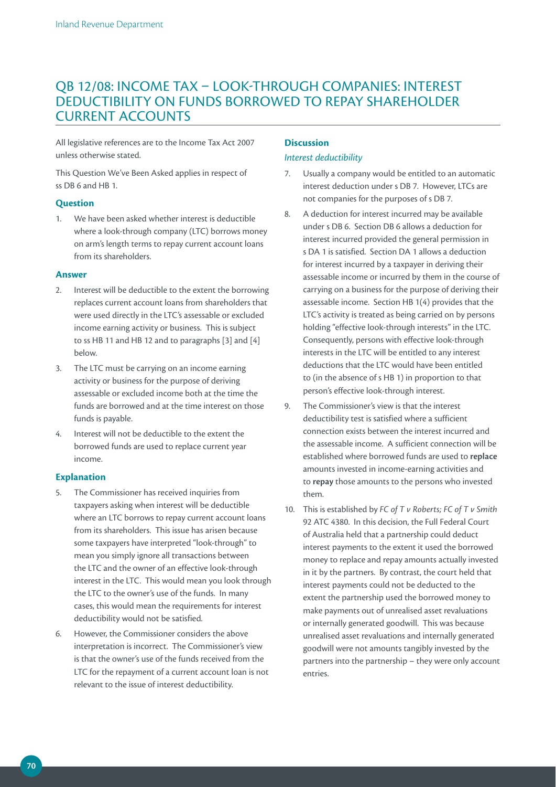## QB 12/08: INCOME TAX – LOOK-THROUGH COMPANIES: INTEREST DEDUCTIBILITY ON FUNDS BORROWED TO REPAY SHAREHOLDER CURRENT ACCOUNTS

All legislative references are to the Income Tax Act 2007 unless otherwise stated.

This Question We've Been Asked applies in respect of ss DB 6 and HB 1.

#### **Question**

1. We have been asked whether interest is deductible where a look-through company (LTC) borrows money on arm's length terms to repay current account loans from its shareholders.

#### **Answer**

- 2. Interest will be deductible to the extent the borrowing replaces current account loans from shareholders that were used directly in the LTC's assessable or excluded income earning activity or business. This is subject to ss HB 11 and HB 12 and to paragraphs [3] and [4] below.
- 3. The LTC must be carrying on an income earning activity or business for the purpose of deriving assessable or excluded income both at the time the funds are borrowed and at the time interest on those funds is payable.
- 4. Interest will not be deductible to the extent the borrowed funds are used to replace current year income.

#### **Explanation**

- 5. The Commissioner has received inquiries from taxpayers asking when interest will be deductible where an LTC borrows to repay current account loans from its shareholders. This issue has arisen because some taxpayers have interpreted "look-through" to mean you simply ignore all transactions between the LTC and the owner of an effective look-through interest in the LTC. This would mean you look through the LTC to the owner's use of the funds. In many cases, this would mean the requirements for interest deductibility would not be satisfied.
- 6. However, the Commissioner considers the above interpretation is incorrect. The Commissioner's view is that the owner's use of the funds received from the LTC for the repayment of a current account loan is not relevant to the issue of interest deductibility.

#### **Discussion**

#### *Interest deductibility*

- 7. Usually a company would be entitled to an automatic interest deduction under s DB 7. However, LTCs are not companies for the purposes of s DB 7.
- 8. A deduction for interest incurred may be available under s DB 6. Section DB 6 allows a deduction for interest incurred provided the general permission in s DA 1 is satisfied. Section DA 1 allows a deduction for interest incurred by a taxpayer in deriving their assessable income or incurred by them in the course of carrying on a business for the purpose of deriving their assessable income. Section HB 1(4) provides that the LTC's activity is treated as being carried on by persons holding "effective look-through interests" in the LTC. Consequently, persons with effective look-through interests in the LTC will be entitled to any interest deductions that the LTC would have been entitled to (in the absence of s HB 1) in proportion to that person's effective look-through interest.
- 9. The Commissioner's view is that the interest deductibility test is satisfied where a sufficient connection exists between the interest incurred and the assessable income. A sufficient connection will be established where borrowed funds are used to **replace** amounts invested in income-earning activities and to **repay** those amounts to the persons who invested them.
- 10. This is established by *FC of T v Roberts; FC of T v Smith*  92 ATC 4380. In this decision, the Full Federal Court of Australia held that a partnership could deduct interest payments to the extent it used the borrowed money to replace and repay amounts actually invested in it by the partners. By contrast, the court held that interest payments could not be deducted to the extent the partnership used the borrowed money to make payments out of unrealised asset revaluations or internally generated goodwill. This was because unrealised asset revaluations and internally generated goodwill were not amounts tangibly invested by the partners into the partnership – they were only account entries.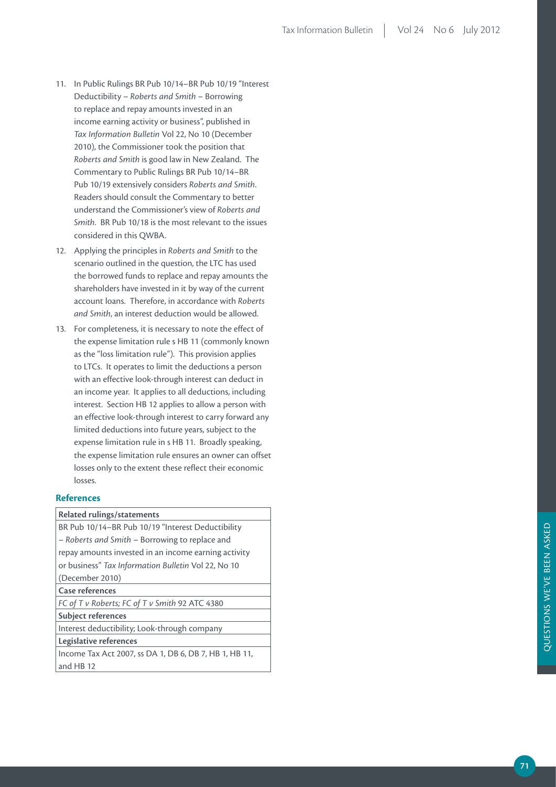- 11. In Public Rulings BR Pub 10/14–BR Pub 10/19 "Interest Deductibility – *Roberts and Smith* – Borrowing to replace and repay amounts invested in an income earning activity or business", published in *Tax Information Bulletin* Vol 22, No 10 (December 2010), the Commissioner took the position that *Roberts and Smith* is good law in New Zealand. The Commentary to Public Rulings BR Pub 10/14–BR Pub 10/19 extensively considers *Roberts and Smith*. Readers should consult the Commentary to better understand the Commissioner's view of *Roberts and Smith*. BR Pub 10/18 is the most relevant to the issues considered in this QWBA.
- 12. Applying the principles in *Roberts and Smith* to the scenario outlined in the question, the LTC has used the borrowed funds to replace and repay amounts the shareholders have invested in it by way of the current account loans. Therefore, in accordance with *Roberts and Smith*, an interest deduction would be allowed.
- 13. For completeness, it is necessary to note the effect of the expense limitation rule s HB 11 (commonly known as the "loss limitation rule"). This provision applies to LTCs. It operates to limit the deductions a person with an effective look-through interest can deduct in an income year. It applies to all deductions, including interest. Section HB 12 applies to allow a person with an effective look-through interest to carry forward any limited deductions into future years, subject to the expense limitation rule in s HB 11. Broadly speaking, the expense limitation rule ensures an owner can offset losses only to the extent these reflect their economic losses.

#### **References**

**Related rulings/statements**

BR Pub 10/14–BR Pub 10/19 "Interest Deductibility – *Roberts and Smith* – Borrowing to replace and repay amounts invested in an income earning activity or business" *Tax Information Bulletin* Vol 22, No 10 (December 2010)

**Case references**

*FC of T v Roberts; FC of T v Smith* 92 ATC 4380

**Subject references**

Interest deductibility; Look-through company

**Legislative references**

Income Tax Act 2007, ss DA 1, DB 6, DB 7, HB 1, HB 11, and HB 12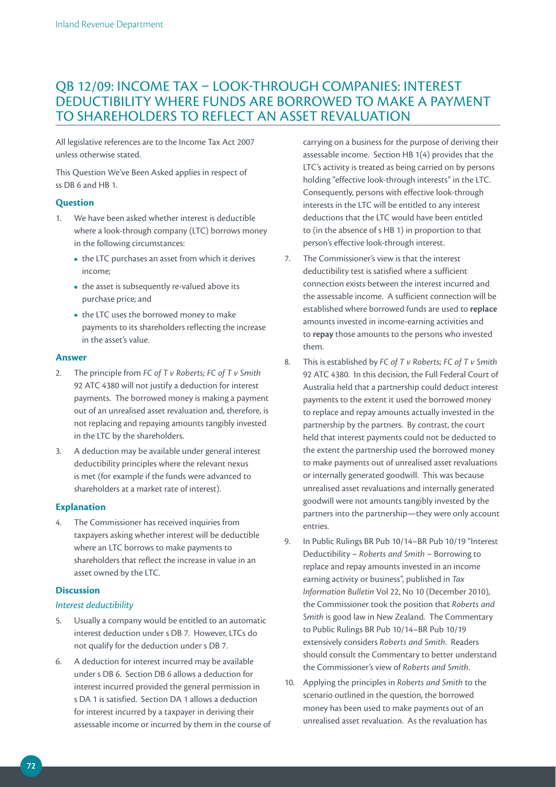# QB 12/09: INCOME TAX – LOOK-THROUGH COMPANIES: INTEREST DEDUCTIBILITY WHERE FUNDS ARE BORROWED TO MAKE A PAYMENT TO SHAREHOLDERS TO REFLECT AN ASSET REVALUATION

All legislative references are to the Income Tax Act 2007 unless otherwise stated.

This Question We've Been Asked applies in respect of ss DB 6 and HB 1.

# **Question**

- 1. We have been asked whether interest is deductible where a look-through company (LTC) borrows money in the following circumstances:
	- the LTC purchases an asset from which it derives income;
	- the asset is subsequently re-valued above its purchase price; and
	- the LTC uses the borrowed money to make payments to its shareholders reflecting the increase in the asset's value.

# **Answer**

- 2. The principle from *FC of T v Roberts; FC of T v Smith*  92 ATC 4380 will not justify a deduction for interest payments. The borrowed money is making a payment out of an unrealised asset revaluation and, therefore, is not replacing and repaying amounts tangibly invested in the LTC by the shareholders.
- 3. A deduction may be available under general interest deductibility principles where the relevant nexus is met (for example if the funds were advanced to shareholders at a market rate of interest).

# **Explanation**

4. The Commissioner has received inquiries from taxpayers asking whether interest will be deductible where an LTC borrows to make payments to shareholders that reflect the increase in value in an asset owned by the LTC.

# **Discussion**

# *Interest deductibility*

- 5. Usually a company would be entitled to an automatic interest deduction under s DB 7. However, LTCs do not qualify for the deduction under s DB 7.
- 6. A deduction for interest incurred may be available under s DB 6. Section DB 6 allows a deduction for interest incurred provided the general permission in s DA 1 is satisfied. Section DA 1 allows a deduction for interest incurred by a taxpayer in deriving their assessable income or incurred by them in the course of

carrying on a business for the purpose of deriving their assessable income. Section HB 1(4) provides that the LTC's activity is treated as being carried on by persons holding "effective look-through interests" in the LTC. Consequently, persons with effective look-through interests in the LTC will be entitled to any interest deductions that the LTC would have been entitled to (in the absence of s HB 1) in proportion to that person's effective look-through interest.

- 7. The Commissioner's view is that the interest deductibility test is satisfied where a sufficient connection exists between the interest incurred and the assessable income. A sufficient connection will be established where borrowed funds are used to **replace** amounts invested in income-earning activities and to **repay** those amounts to the persons who invested them.
- 8. This is established by *FC of T v Roberts; FC of T v Smith*  92 ATC 4380. In this decision, the Full Federal Court of Australia held that a partnership could deduct interest payments to the extent it used the borrowed money to replace and repay amounts actually invested in the partnership by the partners. By contrast, the court held that interest payments could not be deducted to the extent the partnership used the borrowed money to make payments out of unrealised asset revaluations or internally generated goodwill. This was because unrealised asset revaluations and internally generated goodwill were not amounts tangibly invested by the partners into the partnership—they were only account entries.
- 9. In Public Rulings BR Pub 10/14–BR Pub 10/19 "Interest Deductibility – *Roberts and Smith* – Borrowing to replace and repay amounts invested in an income earning activity or business", published in *Tax Information Bulletin* Vol 22, No 10 (December 2010), the Commissioner took the position that *Roberts and Smith* is good law in New Zealand. The Commentary to Public Rulings BR Pub 10/14–BR Pub 10/19 extensively considers *Roberts and Smith*. Readers should consult the Commentary to better understand the Commissioner's view of *Roberts and Smith*.
- 10. Applying the principles in *Roberts and Smith* to the scenario outlined in the question, the borrowed money has been used to make payments out of an unrealised asset revaluation. As the revaluation has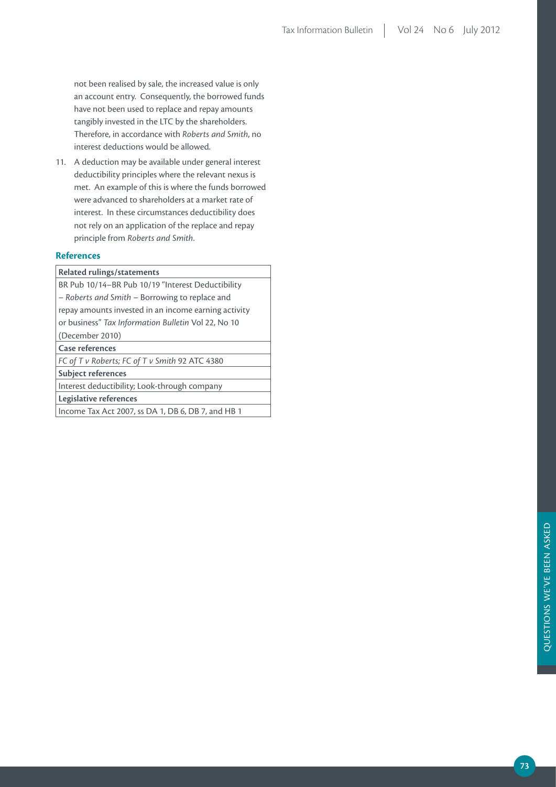not been realised by sale, the increased value is only an account entry. Consequently, the borrowed funds have not been used to replace and repay amounts tangibly invested in the LTC by the shareholders. Therefore, in accordance with *Roberts and Smith*, no interest deductions would be allowed.

11. A deduction may be available under general interest deductibility principles where the relevant nexus is met. An example of this is where the funds borrowed were advanced to shareholders at a market rate of interest. In these circumstances deductibility does not rely on an application of the replace and repay principle from *Roberts and Smith*.

# **References**

| <b>Related rulings/statements</b>                    |
|------------------------------------------------------|
| BR Pub 10/14-BR Pub 10/19 "Interest Deductibility    |
| - Roberts and Smith - Borrowing to replace and       |
| repay amounts invested in an income earning activity |
| or business" Tax Information Bulletin Vol 22, No 10  |
| (December 2010)                                      |
| Case references                                      |
| FC of T v Roberts; FC of T v Smith 92 ATC 4380       |
| <b>Subject references</b>                            |
| Interest deductibility; Look-through company         |
| Legislative references                               |

Income Tax Act 2007, ss DA 1, DB 6, DB 7, and HB 1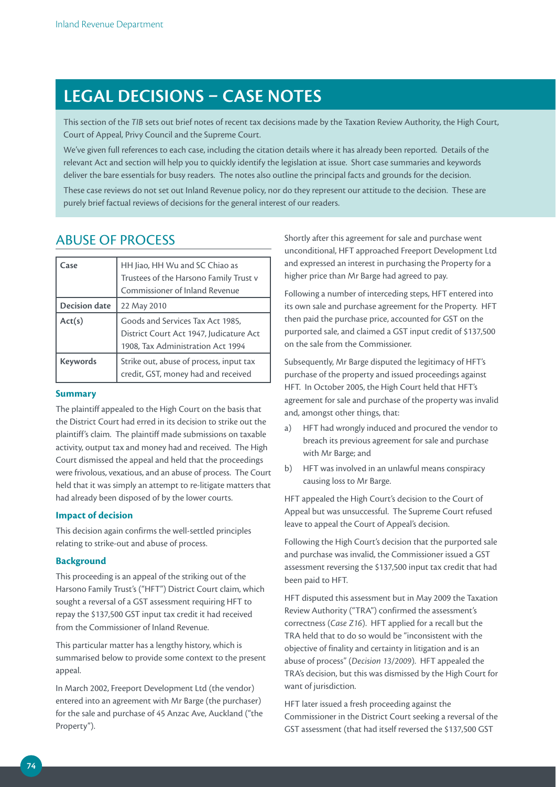# **LEGAL DECISIONS – CASE NOTES**

This section of the *TIB* sets out brief notes of recent tax decisions made by the Taxation Review Authority, the High Court, Court of Appeal, Privy Council and the Supreme Court.

We've given full references to each case, including the citation details where it has already been reported. Details of the relevant Act and section will help you to quickly identify the legislation at issue. Short case summaries and keywords deliver the bare essentials for busy readers. The notes also outline the principal facts and grounds for the decision.

These case reviews do not set out Inland Revenue policy, nor do they represent our attitude to the decision. These are purely brief factual reviews of decisions for the general interest of our readers.

# Abuse of process

| Case                 | HH Jiao, HH Wu and SC Chiao as<br>Trustees of the Harsono Family Trust v<br>Commissioner of Inland Revenue       |
|----------------------|------------------------------------------------------------------------------------------------------------------|
| <b>Decision date</b> | 22 May 2010                                                                                                      |
| Act(s)               | Goods and Services Tax Act 1985,<br>District Court Act 1947, Judicature Act<br>1908, Tax Administration Act 1994 |
| <b>Keywords</b>      | Strike out, abuse of process, input tax<br>credit, GST, money had and received                                   |

# **Summary**

The plaintiff appealed to the High Court on the basis that the District Court had erred in its decision to strike out the plaintiff's claim. The plaintiff made submissions on taxable activity, output tax and money had and received. The High Court dismissed the appeal and held that the proceedings were frivolous, vexatious, and an abuse of process. The Court held that it was simply an attempt to re-litigate matters that had already been disposed of by the lower courts.

# **Impact of decision**

This decision again confirms the well-settled principles relating to strike-out and abuse of process.

# **Background**

This proceeding is an appeal of the striking out of the Harsono Family Trust's ("HFT") District Court claim, which sought a reversal of a GST assessment requiring HFT to repay the \$137,500 GST input tax credit it had received from the Commissioner of Inland Revenue.

This particular matter has a lengthy history, which is summarised below to provide some context to the present appeal.

In March 2002, Freeport Development Ltd (the vendor) entered into an agreement with Mr Barge (the purchaser) for the sale and purchase of 45 Anzac Ave, Auckland ("the Property").

Shortly after this agreement for sale and purchase went unconditional, HFT approached Freeport Development Ltd and expressed an interest in purchasing the Property for a higher price than Mr Barge had agreed to pay.

Following a number of interceding steps, HFT entered into its own sale and purchase agreement for the Property. HFT then paid the purchase price, accounted for GST on the purported sale, and claimed a GST input credit of \$137,500 on the sale from the Commissioner.

Subsequently, Mr Barge disputed the legitimacy of HFT's purchase of the property and issued proceedings against HFT. In October 2005, the High Court held that HFT's agreement for sale and purchase of the property was invalid and, amongst other things, that:

- a) HFT had wrongly induced and procured the vendor to breach its previous agreement for sale and purchase with Mr Barge; and
- b) HFT was involved in an unlawful means conspiracy causing loss to Mr Barge.

HFT appealed the High Court's decision to the Court of Appeal but was unsuccessful. The Supreme Court refused leave to appeal the Court of Appeal's decision.

Following the High Court's decision that the purported sale and purchase was invalid, the Commissioner issued a GST assessment reversing the \$137,500 input tax credit that had been paid to HFT.

HFT disputed this assessment but in May 2009 the Taxation Review Authority ("TRA") confirmed the assessment's correctness (*Case Z16*). HFT applied for a recall but the TRA held that to do so would be "inconsistent with the objective of finality and certainty in litigation and is an abuse of process" (*Decision 13/2009*). HFT appealed the TRA's decision, but this was dismissed by the High Court for want of jurisdiction.

HFT later issued a fresh proceeding against the Commissioner in the District Court seeking a reversal of the GST assessment (that had itself reversed the \$137,500 GST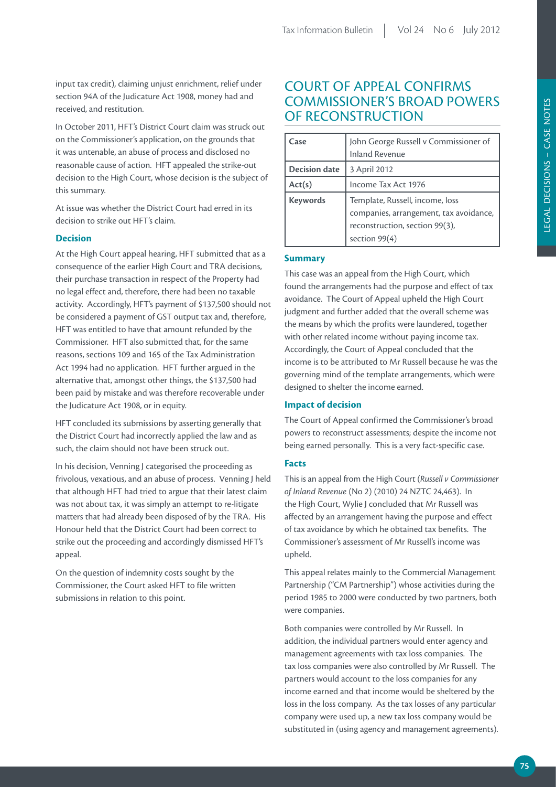input tax credit), claiming unjust enrichment, relief under section 94A of the Judicature Act 1908, money had and received, and restitution.

In October 2011, HFT's District Court claim was struck out on the Commissioner's application, on the grounds that it was untenable, an abuse of process and disclosed no reasonable cause of action. HFT appealed the strike-out decision to the High Court, whose decision is the subject of this summary.

At issue was whether the District Court had erred in its decision to strike out HFT's claim.

# **Decision**

At the High Court appeal hearing, HFT submitted that as a consequence of the earlier High Court and TRA decisions, their purchase transaction in respect of the Property had no legal effect and, therefore, there had been no taxable activity. Accordingly, HFT's payment of \$137,500 should not be considered a payment of GST output tax and, therefore, HFT was entitled to have that amount refunded by the Commissioner. HFT also submitted that, for the same reasons, sections 109 and 165 of the Tax Administration Act 1994 had no application. HFT further argued in the alternative that, amongst other things, the \$137,500 had been paid by mistake and was therefore recoverable under the Judicature Act 1908, or in equity.

HFT concluded its submissions by asserting generally that the District Court had incorrectly applied the law and as such, the claim should not have been struck out.

In his decision, Venning J categorised the proceeding as frivolous, vexatious, and an abuse of process. Venning J held that although HFT had tried to argue that their latest claim was not about tax, it was simply an attempt to re-litigate matters that had already been disposed of by the TRA. His Honour held that the District Court had been correct to strike out the proceeding and accordingly dismissed HFT's appeal.

On the question of indemnity costs sought by the Commissioner, the Court asked HFT to file written submissions in relation to this point.

# COURT OF APPEAL CONFIRMS COMMISSIONER'S BROAD POWERS OF RECONSTRUCTION

| Case                 | John George Russell v Commissioner of<br><b>Inland Revenue</b>                                                                 |
|----------------------|--------------------------------------------------------------------------------------------------------------------------------|
| <b>Decision date</b> | 3 April 2012                                                                                                                   |
| Act(s)               | Income Tax Act 1976                                                                                                            |
| <b>Keywords</b>      | Template, Russell, income, loss<br>companies, arrangement, tax avoidance,<br>reconstruction, section 99(3),<br>section $99(4)$ |

# **Summary**

This case was an appeal from the High Court, which found the arrangements had the purpose and effect of tax avoidance. The Court of Appeal upheld the High Court judgment and further added that the overall scheme was the means by which the profits were laundered, together with other related income without paying income tax. Accordingly, the Court of Appeal concluded that the income is to be attributed to Mr Russell because he was the governing mind of the template arrangements, which were designed to shelter the income earned.

# **Impact of decision**

The Court of Appeal confirmed the Commissioner's broad powers to reconstruct assessments; despite the income not being earned personally. This is a very fact-specific case.

# **Facts**

This is an appeal from the High Court (*Russell v Commissioner of Inland Revenue* (No 2) (2010) 24 NZTC 24,463). In the High Court, Wylie J concluded that Mr Russell was affected by an arrangement having the purpose and effect of tax avoidance by which he obtained tax benefits. The Commissioner's assessment of Mr Russell's income was upheld.

This appeal relates mainly to the Commercial Management Partnership ("CM Partnership") whose activities during the period 1985 to 2000 were conducted by two partners, both were companies.

Both companies were controlled by Mr Russell. In addition, the individual partners would enter agency and management agreements with tax loss companies. The tax loss companies were also controlled by Mr Russell. The partners would account to the loss companies for any income earned and that income would be sheltered by the loss in the loss company. As the tax losses of any particular company were used up, a new tax loss company would be substituted in (using agency and management agreements).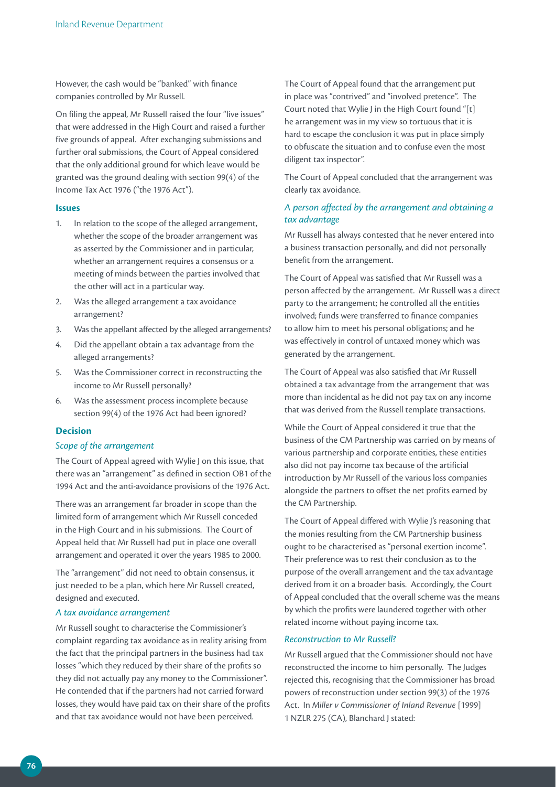However, the cash would be "banked" with finance companies controlled by Mr Russell.

On filing the appeal, Mr Russell raised the four "live issues" that were addressed in the High Court and raised a further five grounds of appeal. After exchanging submissions and further oral submissions, the Court of Appeal considered that the only additional ground for which leave would be granted was the ground dealing with section 99(4) of the Income Tax Act 1976 ("the 1976 Act").

#### **Issues**

- 1. In relation to the scope of the alleged arrangement, whether the scope of the broader arrangement was as asserted by the Commissioner and in particular, whether an arrangement requires a consensus or a meeting of minds between the parties involved that the other will act in a particular way.
- 2. Was the alleged arrangement a tax avoidance arrangement?
- 3. Was the appellant affected by the alleged arrangements?
- 4. Did the appellant obtain a tax advantage from the alleged arrangements?
- 5. Was the Commissioner correct in reconstructing the income to Mr Russell personally?
- 6. Was the assessment process incomplete because section 99(4) of the 1976 Act had been ignored?

# **Decision**

# *Scope of the arrangement*

The Court of Appeal agreed with Wylie J on this issue, that there was an "arrangement" as defined in section OB1 of the 1994 Act and the anti-avoidance provisions of the 1976 Act.

There was an arrangement far broader in scope than the limited form of arrangement which Mr Russell conceded in the High Court and in his submissions. The Court of Appeal held that Mr Russell had put in place one overall arrangement and operated it over the years 1985 to 2000.

The "arrangement" did not need to obtain consensus, it just needed to be a plan, which here Mr Russell created, designed and executed.

#### *A tax avoidance arrangement*

Mr Russell sought to characterise the Commissioner's complaint regarding tax avoidance as in reality arising from the fact that the principal partners in the business had tax losses "which they reduced by their share of the profits so they did not actually pay any money to the Commissioner". He contended that if the partners had not carried forward losses, they would have paid tax on their share of the profits and that tax avoidance would not have been perceived.

The Court of Appeal found that the arrangement put in place was "contrived" and "involved pretence". The Court noted that Wylie J in the High Court found "[t] he arrangement was in my view so tortuous that it is hard to escape the conclusion it was put in place simply to obfuscate the situation and to confuse even the most diligent tax inspector".

The Court of Appeal concluded that the arrangement was clearly tax avoidance.

# *A person affected by the arrangement and obtaining a tax advantage*

Mr Russell has always contested that he never entered into a business transaction personally, and did not personally benefit from the arrangement.

The Court of Appeal was satisfied that Mr Russell was a person affected by the arrangement. Mr Russell was a direct party to the arrangement; he controlled all the entities involved; funds were transferred to finance companies to allow him to meet his personal obligations; and he was effectively in control of untaxed money which was generated by the arrangement.

The Court of Appeal was also satisfied that Mr Russell obtained a tax advantage from the arrangement that was more than incidental as he did not pay tax on any income that was derived from the Russell template transactions.

While the Court of Appeal considered it true that the business of the CM Partnership was carried on by means of various partnership and corporate entities, these entities also did not pay income tax because of the artificial introduction by Mr Russell of the various loss companies alongside the partners to offset the net profits earned by the CM Partnership.

The Court of Appeal differed with Wylie J's reasoning that the monies resulting from the CM Partnership business ought to be characterised as "personal exertion income". Their preference was to rest their conclusion as to the purpose of the overall arrangement and the tax advantage derived from it on a broader basis. Accordingly, the Court of Appeal concluded that the overall scheme was the means by which the profits were laundered together with other related income without paying income tax.

### *Reconstruction to Mr Russell?*

Mr Russell argued that the Commissioner should not have reconstructed the income to him personally. The Judges rejected this, recognising that the Commissioner has broad powers of reconstruction under section 99(3) of the 1976 Act. In *Miller v Commissioner of Inland Revenue* [1999] 1 NZLR 275 (CA), Blanchard J stated: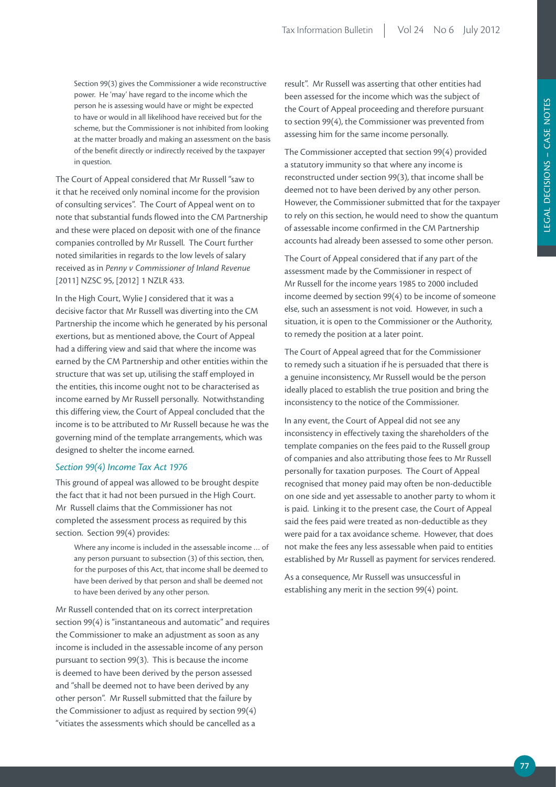Section 99(3) gives the Commissioner a wide reconstructive power. He 'may' have regard to the income which the person he is assessing would have or might be expected to have or would in all likelihood have received but for the scheme, but the Commissioner is not inhibited from looking at the matter broadly and making an assessment on the basis of the benefit directly or indirectly received by the taxpayer in question.

The Court of Appeal considered that Mr Russell "saw to it that he received only nominal income for the provision of consulting services". The Court of Appeal went on to note that substantial funds flowed into the CM Partnership and these were placed on deposit with one of the finance companies controlled by Mr Russell. The Court further noted similarities in regards to the low levels of salary received as in *Penny v Commissioner of Inland Revenue* [2011] NZSC 95, [2012] 1 NZLR 433.

In the High Court, Wylie J considered that it was a decisive factor that Mr Russell was diverting into the CM Partnership the income which he generated by his personal exertions, but as mentioned above, the Court of Appeal had a differing view and said that where the income was earned by the CM Partnership and other entities within the structure that was set up, utilising the staff employed in the entities, this income ought not to be characterised as income earned by Mr Russell personally. Notwithstanding this differing view, the Court of Appeal concluded that the income is to be attributed to Mr Russell because he was the governing mind of the template arrangements, which was designed to shelter the income earned.

#### *Section 99(4) Income Tax Act 1976*

This ground of appeal was allowed to be brought despite the fact that it had not been pursued in the High Court. Mr Russell claims that the Commissioner has not completed the assessment process as required by this section. Section 99(4) provides:

Where any income is included in the assessable income … of any person pursuant to subsection (3) of this section, then, for the purposes of this Act, that income shall be deemed to have been derived by that person and shall be deemed not to have been derived by any other person.

Mr Russell contended that on its correct interpretation section 99(4) is "instantaneous and automatic" and requires the Commissioner to make an adjustment as soon as any income is included in the assessable income of any person pursuant to section 99(3). This is because the income is deemed to have been derived by the person assessed and "shall be deemed not to have been derived by any other person". Mr Russell submitted that the failure by the Commissioner to adjust as required by section 99(4) "vitiates the assessments which should be cancelled as a

result". Mr Russell was asserting that other entities had been assessed for the income which was the subject of the Court of Appeal proceeding and therefore pursuant to section 99(4), the Commissioner was prevented from assessing him for the same income personally.

The Commissioner accepted that section 99(4) provided a statutory immunity so that where any income is reconstructed under section 99(3), that income shall be deemed not to have been derived by any other person. However, the Commissioner submitted that for the taxpayer to rely on this section, he would need to show the quantum of assessable income confirmed in the CM Partnership accounts had already been assessed to some other person.

The Court of Appeal considered that if any part of the assessment made by the Commissioner in respect of Mr Russell for the income years 1985 to 2000 included income deemed by section 99(4) to be income of someone else, such an assessment is not void. However, in such a situation, it is open to the Commissioner or the Authority, to remedy the position at a later point.

The Court of Appeal agreed that for the Commissioner to remedy such a situation if he is persuaded that there is a genuine inconsistency, Mr Russell would be the person ideally placed to establish the true position and bring the inconsistency to the notice of the Commissioner.

In any event, the Court of Appeal did not see any inconsistency in effectively taxing the shareholders of the template companies on the fees paid to the Russell group of companies and also attributing those fees to Mr Russell personally for taxation purposes. The Court of Appeal recognised that money paid may often be non-deductible on one side and yet assessable to another party to whom it is paid. Linking it to the present case, the Court of Appeal said the fees paid were treated as non-deductible as they were paid for a tax avoidance scheme. However, that does not make the fees any less assessable when paid to entities established by Mr Russell as payment for services rendered.

As a consequence, Mr Russell was unsuccessful in establishing any merit in the section 99(4) point.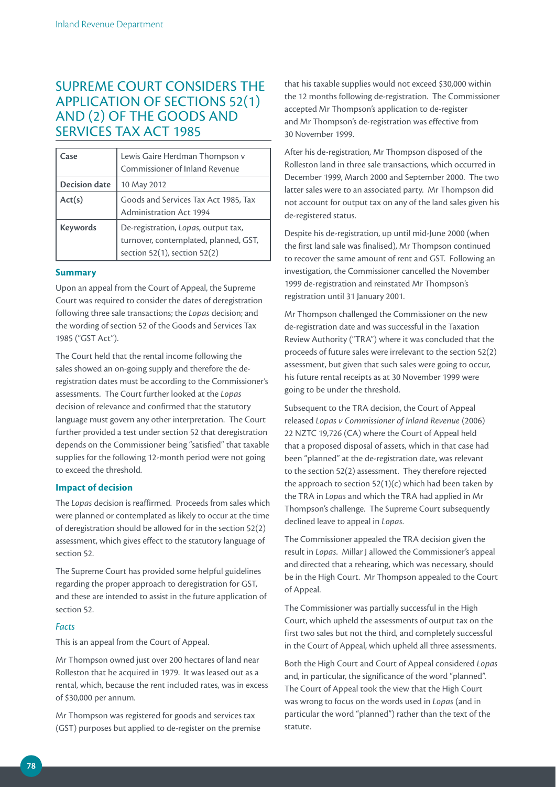# SUPREME COURT CONSIDERS THE APPLICATION OF SECTIONS 52(1) AND (2) OF THE GOODS AND SERVICES TAX ACT 1985

| Case                 | Lewis Gaire Herdman Thompson v<br>Commissioner of Inland Revenue                                                  |
|----------------------|-------------------------------------------------------------------------------------------------------------------|
| <b>Decision date</b> | 10 May 2012                                                                                                       |
| Act(s)               | Goods and Services Tax Act 1985, Tax<br><b>Administration Act 1994</b>                                            |
| <b>Keywords</b>      | De-registration, Lopas, output tax,<br>turnover, contemplated, planned, GST,<br>section $52(1)$ , section $52(2)$ |

# **Summary**

Upon an appeal from the Court of Appeal, the Supreme Court was required to consider the dates of deregistration following three sale transactions; the *Lopas* decision; and the wording of section 52 of the Goods and Services Tax 1985 ("GST Act").

The Court held that the rental income following the sales showed an on-going supply and therefore the deregistration dates must be according to the Commissioner's assessments. The Court further looked at the *Lopas* decision of relevance and confirmed that the statutory language must govern any other interpretation. The Court further provided a test under section 52 that deregistration depends on the Commissioner being "satisfied" that taxable supplies for the following 12-month period were not going to exceed the threshold.

# **Impact of decision**

The *Lopas* decision is reaffirmed. Proceeds from sales which were planned or contemplated as likely to occur at the time of deregistration should be allowed for in the section 52(2) assessment, which gives effect to the statutory language of section 52.

The Supreme Court has provided some helpful guidelines regarding the proper approach to deregistration for GST, and these are intended to assist in the future application of section 52.

# *Facts*

This is an appeal from the Court of Appeal.

Mr Thompson owned just over 200 hectares of land near Rolleston that he acquired in 1979. It was leased out as a rental, which, because the rent included rates, was in excess of \$30,000 per annum.

Mr Thompson was registered for goods and services tax (GST) purposes but applied to de-register on the premise

that his taxable supplies would not exceed \$30,000 within the 12 months following de-registration. The Commissioner accepted Mr Thompson's application to de-register and Mr Thompson's de-registration was effective from 30 November 1999.

After his de-registration, Mr Thompson disposed of the Rolleston land in three sale transactions, which occurred in December 1999, March 2000 and September 2000. The two latter sales were to an associated party. Mr Thompson did not account for output tax on any of the land sales given his de-registered status.

Despite his de-registration, up until mid-June 2000 (when the first land sale was finalised), Mr Thompson continued to recover the same amount of rent and GST. Following an investigation, the Commissioner cancelled the November 1999 de-registration and reinstated Mr Thompson's registration until 31 January 2001.

Mr Thompson challenged the Commissioner on the new de-registration date and was successful in the Taxation Review Authority ("TRA") where it was concluded that the proceeds of future sales were irrelevant to the section 52(2) assessment, but given that such sales were going to occur, his future rental receipts as at 30 November 1999 were going to be under the threshold.

Subsequent to the TRA decision, the Court of Appeal released *Lopas v Commissioner of Inland Revenue* (2006) 22 NZTC 19,726 (CA) where the Court of Appeal held that a proposed disposal of assets, which in that case had been "planned" at the de-registration date, was relevant to the section 52(2) assessment. They therefore rejected the approach to section  $52(1)(c)$  which had been taken by the TRA in *Lopas* and which the TRA had applied in Mr Thompson's challenge. The Supreme Court subsequently declined leave to appeal in *Lopas*.

The Commissioner appealed the TRA decision given the result in *Lopas*. Millar J allowed the Commissioner's appeal and directed that a rehearing, which was necessary, should be in the High Court. Mr Thompson appealed to the Court of Appeal.

The Commissioner was partially successful in the High Court, which upheld the assessments of output tax on the first two sales but not the third, and completely successful in the Court of Appeal, which upheld all three assessments.

Both the High Court and Court of Appeal considered *Lopas* and, in particular, the significance of the word "planned". The Court of Appeal took the view that the High Court was wrong to focus on the words used in *Lopas* (and in particular the word "planned") rather than the text of the statute.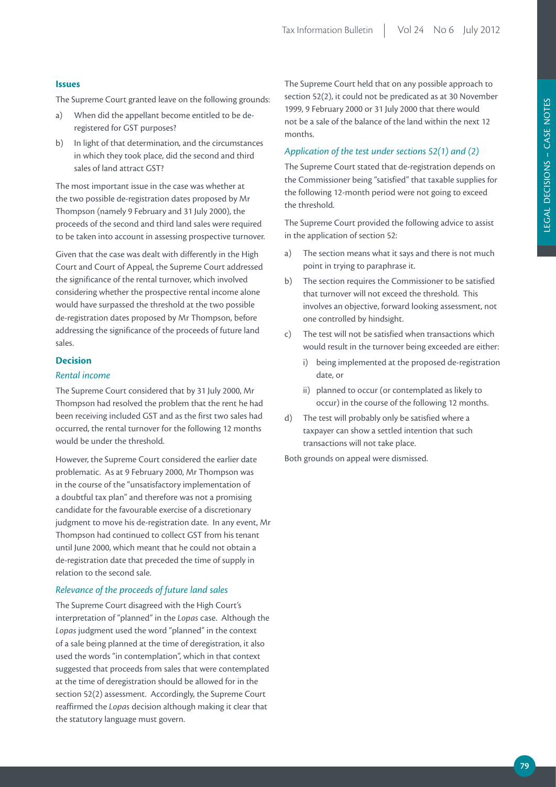# **Issues**

The Supreme Court granted leave on the following grounds:

- a) When did the appellant become entitled to be deregistered for GST purposes?
- b) In light of that determination, and the circumstances in which they took place, did the second and third sales of land attract GST?

The most important issue in the case was whether at the two possible de-registration dates proposed by Mr Thompson (namely 9 February and 31 July 2000), the proceeds of the second and third land sales were required to be taken into account in assessing prospective turnover.

Given that the case was dealt with differently in the High Court and Court of Appeal, the Supreme Court addressed the significance of the rental turnover, which involved considering whether the prospective rental income alone would have surpassed the threshold at the two possible de-registration dates proposed by Mr Thompson, before addressing the significance of the proceeds of future land sales.

# **Decision**

# *Rental income*

The Supreme Court considered that by 31 July 2000, Mr Thompson had resolved the problem that the rent he had been receiving included GST and as the first two sales had occurred, the rental turnover for the following 12 months would be under the threshold.

However, the Supreme Court considered the earlier date problematic. As at 9 February 2000, Mr Thompson was in the course of the "unsatisfactory implementation of a doubtful tax plan" and therefore was not a promising candidate for the favourable exercise of a discretionary judgment to move his de-registration date. In any event, Mr Thompson had continued to collect GST from his tenant until June 2000, which meant that he could not obtain a de-registration date that preceded the time of supply in relation to the second sale.

# *Relevance of the proceeds of future land sales*

The Supreme Court disagreed with the High Court's interpretation of "planned" in the *Lopas* case. Although the *Lopas* judgment used the word "planned" in the context of a sale being planned at the time of deregistration, it also used the words "in contemplation", which in that context suggested that proceeds from sales that were contemplated at the time of deregistration should be allowed for in the section 52(2) assessment. Accordingly, the Supreme Court reaffirmed the *Lopas* decision although making it clear that the statutory language must govern.

The Supreme Court held that on any possible approach to section 52(2), it could not be predicated as at 30 November 1999, 9 February 2000 or 31 July 2000 that there would not be a sale of the balance of the land within the next 12 months.

# *Application of the test under sections 52(1) and (2)*

The Supreme Court stated that de-registration depends on the Commissioner being "satisfied" that taxable supplies for the following 12-month period were not going to exceed the threshold.

The Supreme Court provided the following advice to assist in the application of section 52:

- a) The section means what it says and there is not much point in trying to paraphrase it.
- b) The section requires the Commissioner to be satisfied that turnover will not exceed the threshold. This involves an objective, forward looking assessment, not one controlled by hindsight.
- c) The test will not be satisfied when transactions which would result in the turnover being exceeded are either:
	- i) being implemented at the proposed de-registration date, or
	- ii) planned to occur (or contemplated as likely to occur) in the course of the following 12 months.
- d) The test will probably only be satisfied where a taxpayer can show a settled intention that such transactions will not take place.

Both grounds on appeal were dismissed.